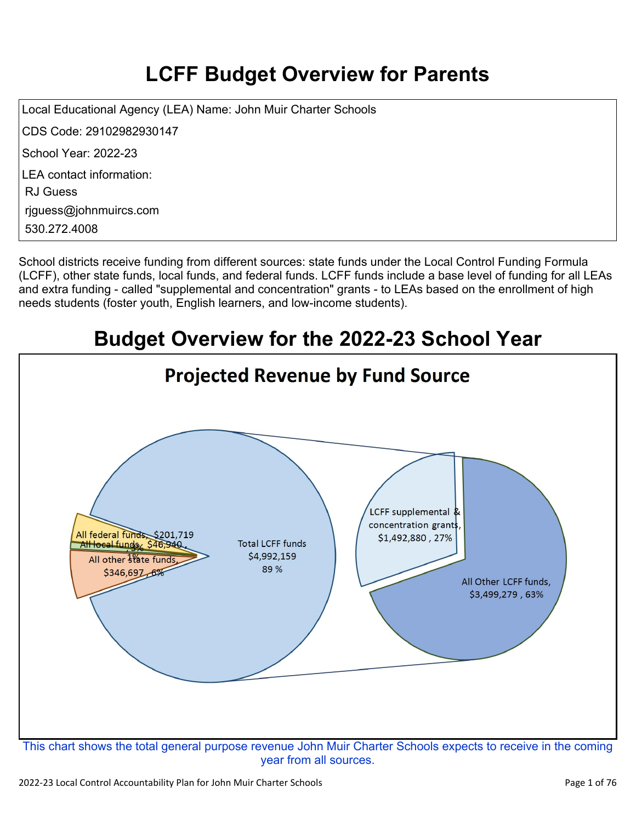# **LCFF Budget Overview for Parents**

Local Educational Agency (LEA) Name: John Muir Charter Schools CDS Code: 29102982930147 School Year: 2022-23 LEA contact information: RJ Guess rjguess@johnmuircs.com 530.272.4008

School districts receive funding from different sources: state funds under the Local Control Funding Formula (LCFF), other state funds, local funds, and federal funds. LCFF funds include a base level of funding for all LEAs and extra funding - called "supplemental and concentration" grants - to LEAs based on the enrollment of high needs students (foster youth, English learners, and low-income students).

# **Budget Overview for the 2022-23 School Year**

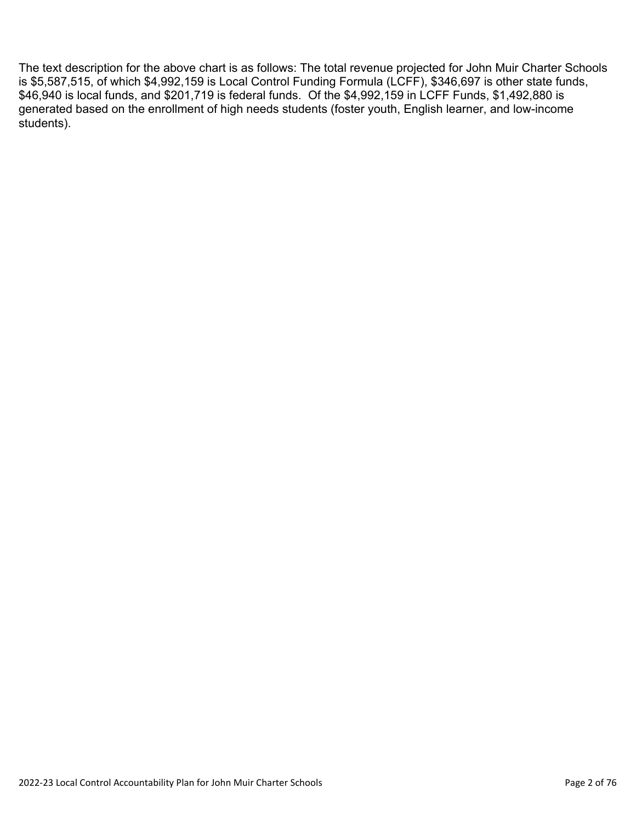The text description for the above chart is as follows: The total revenue projected for John Muir Charter Schools is \$5,587,515, of which \$4,992,159 is Local Control Funding Formula (LCFF), \$346,697 is other state funds, \$46,940 is local funds, and \$201,719 is federal funds. Of the \$4,992,159 in LCFF Funds, \$1,492,880 is generated based on the enrollment of high needs students (foster youth, English learner, and low-income students).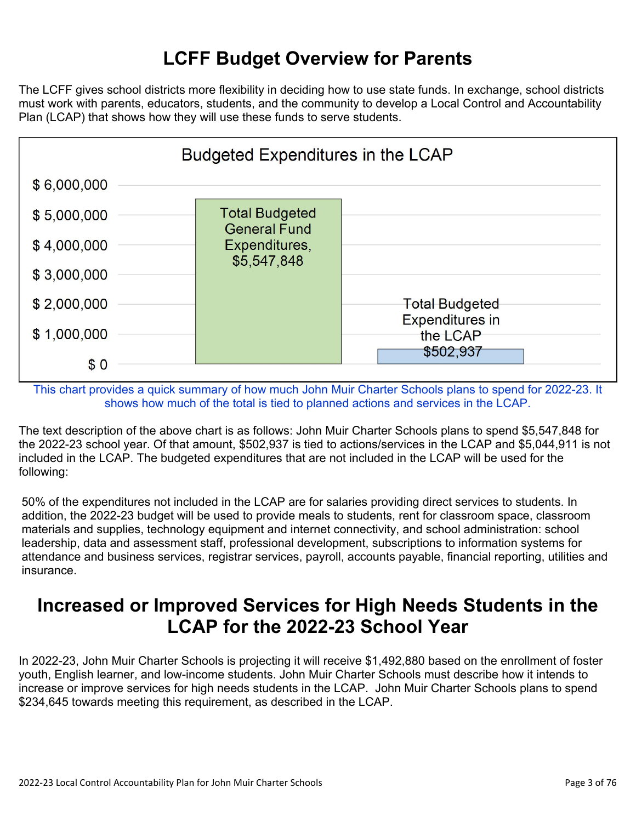# **LCFF Budget Overview for Parents**

The LCFF gives school districts more flexibility in deciding how to use state funds. In exchange, school districts must work with parents, educators, students, and the community to develop a Local Control and Accountability Plan (LCAP) that shows how they will use these funds to serve students.



This chart provides a quick summary of how much John Muir Charter Schools plans to spend for 2022-23. It shows how much of the total is tied to planned actions and services in the LCAP.

The text description of the above chart is as follows: John Muir Charter Schools plans to spend \$5,547,848 for the 2022-23 school year. Of that amount, \$502,937 is tied to actions/services in the LCAP and \$5,044,911 is not included in the LCAP. The budgeted expenditures that are not included in the LCAP will be used for the following:

50% of the expenditures not included in the LCAP are for salaries providing direct services to students. In addition, the 2022-23 budget will be used to provide meals to students, rent for classroom space, classroom materials and supplies, technology equipment and internet connectivity, and school administration: school leadership, data and assessment staff, professional development, subscriptions to information systems for attendance and business services, registrar services, payroll, accounts payable, financial reporting, utilities and insurance.

## **Increased or Improved Services for High Needs Students in the LCAP for the 2022-23 School Year**

In 2022-23, John Muir Charter Schools is projecting it will receive \$1,492,880 based on the enrollment of foster youth, English learner, and low-income students. John Muir Charter Schools must describe how it intends to increase or improve services for high needs students in the LCAP. John Muir Charter Schools plans to spend \$234,645 towards meeting this requirement, as described in the LCAP.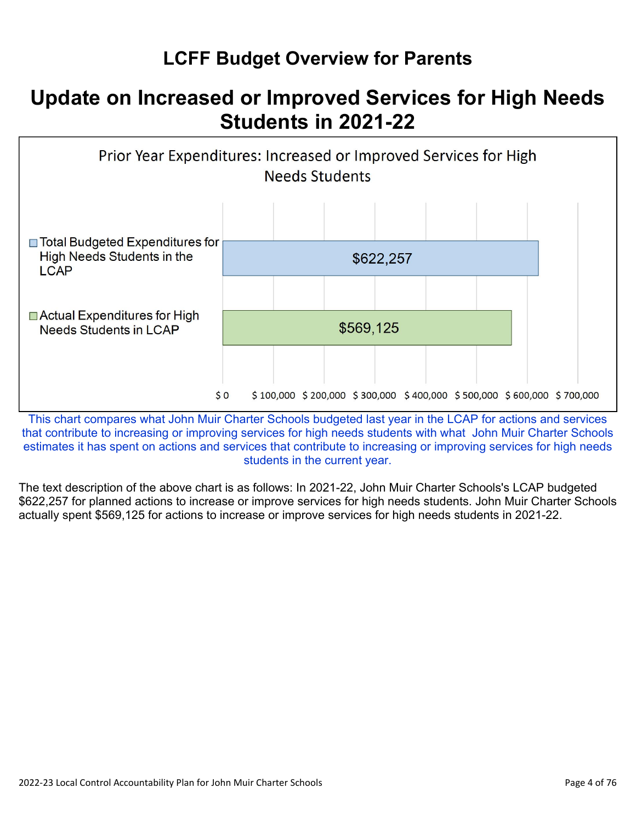# **LCFF Budget Overview for Parents**

# **Update on Increased or Improved Services for High Needs Students in 2021-22**



This chart compares what John Muir Charter Schools budgeted last year in the LCAP for actions and services that contribute to increasing or improving services for high needs students with what John Muir Charter Schools estimates it has spent on actions and services that contribute to increasing or improving services for high needs students in the current year.

The text description of the above chart is as follows: In 2021-22, John Muir Charter Schools's LCAP budgeted \$622,257 for planned actions to increase or improve services for high needs students. John Muir Charter Schools actually spent \$569,125 for actions to increase or improve services for high needs students in 2021-22.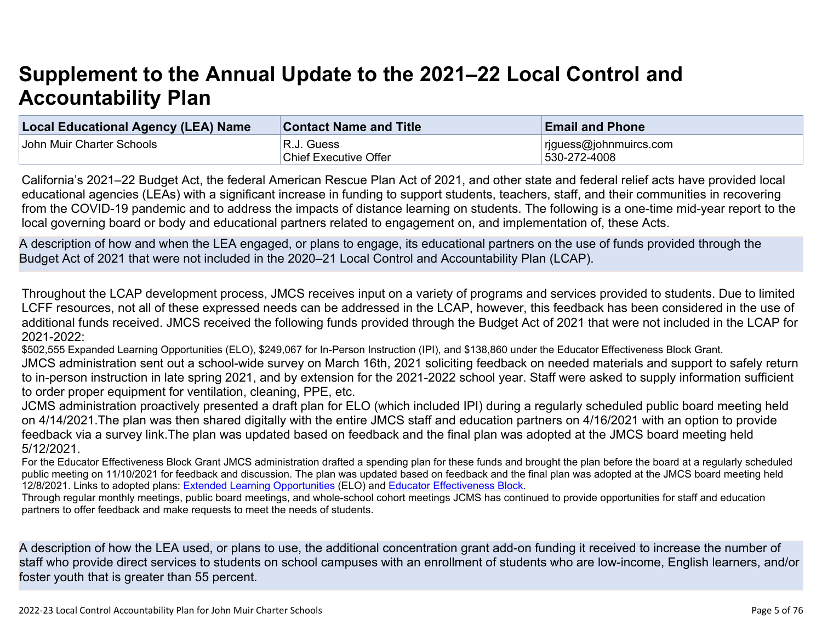# **Supplement to the Annual Update to the 2021–22 Local Control and Accountability Plan**

| <b>Local Educational Agency (LEA) Name</b> | <b>Contact Name and Title</b> | <b>Email and Phone</b>     |
|--------------------------------------------|-------------------------------|----------------------------|
| John Muir Charter Schools                  | 'R.J. Guess                   | $ $ rjguess@johnmuircs.com |
|                                            | <b>Chief Executive Offer</b>  | 530-272-4008               |

California's 2021–22 Budget Act, the federal American Rescue Plan Act of 2021, and other state and federal relief acts have provided local educational agencies (LEAs) with a significant increase in funding to support students, teachers, staff, and their communities in recovering from the COVID-19 pandemic and to address the impacts of distance learning on students. The following is a one-time mid-year report to the local governing board or body and educational partners related to engagement on, and implementation of, these Acts.

A description of how and when the LEA engaged, or plans to engage, its educational partners on the use of funds provided through the Budget Act of 2021 that were not included in the 2020–21 Local Control and Accountability Plan (LCAP).

Throughout the LCAP development process, JMCS receives input on a variety of programs and services provided to students. Due to limited LCFF resources, not all of these expressed needs can be addressed in the LCAP, however, this feedback has been considered in the use of additional funds received. JMCS received the following funds provided through the Budget Act of 2021 that were not included in the LCAP for 2021-2022:

\$502,555 Expanded Learning Opportunities (ELO), \$249,067 for In-Person Instruction (IPI), and \$138,860 under the Educator Effectiveness Block Grant.

JMCS administration sent out a school-wide survey on March 16th, 2021 soliciting feedback on needed materials and support to safely return to in-person instruction in late spring 2021, and by extension for the 2021-2022 school year. Staff were asked to supply information sufficient to order proper equipment for ventilation, cleaning, PPE, etc.

JCMS administration proactively presented a draft plan for ELO (which included IPI) during a regularly scheduled public board meeting held on 4/14/2021.The plan was then shared digitally with the entire JMCS staff and education partners on 4/16/2021 with an option to provide feedback via a survey link.The plan was updated based on feedback and the final plan was adopted at the JMCS board meeting held 5/12/2021.

For the Educator Effectiveness Block Grant JMCS administration drafted a spending plan for these funds and brought the plan before the board at a regularly scheduled public meeting on 11/10/2021 for feedback and discussion. The plan was updated based on feedback and the final plan was adopted at the JMCS board meeting held 12/8/2021. Links to adopted plans: [Extended Learning Opportunities](https://drive.google.com/file/d/1jTJWSTld3aqHb63amSOQs32cwbOBIK5T/view?usp=sharing) (ELO) and [Educator Effectiveness Block.](https://drive.google.com/file/d/12AqBCmhCG_ahTv6M-ANSUf5mbEMWVeDF/view?usp=sharing)

Through regular monthly meetings, public board meetings, and whole-school cohort meetings JCMS has continued to provide opportunities for staff and education partners to offer feedback and make requests to meet the needs of students.

A description of how the LEA used, or plans to use, the additional concentration grant add-on funding it received to increase the number of staff who provide direct services to students on school campuses with an enrollment of students who are low-income, English learners, and/or foster youth that is greater than 55 percent.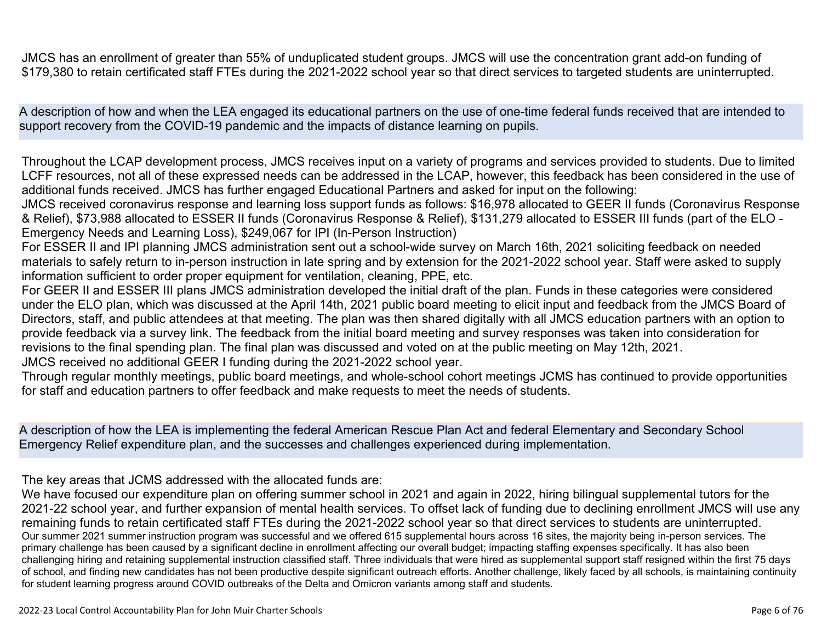A description of how and when the LEA engaged its educational partners on the use of one-time federal funds received that are intended to support recovery from the COVID-19 pandemic and the impacts of distance learning on pupils.

Throughout the LCAP development process, JMCS receives input on a variety of programs and services provided to students. Due to limited LCFF resources, not all of these expressed needs can be addressed in the LCAP, however, this feedback has been considered in the use of additional funds received. JMCS has further engaged Educational Partners and asked for input on the following:

JMCS received coronavirus response and learning loss support funds as follows: \$16,978 allocated to GEER II funds (Coronavirus Response & Relief), \$73,988 allocated to ESSER II funds (Coronavirus Response & Relief), \$131,279 allocated to ESSER III funds (part of the ELO - Emergency Needs and Learning Loss), \$249,067 for IPI (In-Person Instruction)

For ESSER II and IPI planning JMCS administration sent out a school-wide survey on March 16th, 2021 soliciting feedback on needed materials to safely return to in-person instruction in late spring and by extension for the 2021-2022 school year. Staff were asked to supply information sufficient to order proper equipment for ventilation, cleaning, PPE, etc.

For GEER II and ESSER III plans JMCS administration developed the initial draft of the plan. Funds in these categories were considered under the ELO plan, which was discussed at the April 14th, 2021 public board meeting to elicit input and feedback from the JMCS Board of Directors, staff, and public attendees at that meeting. The plan was then shared digitally with all JMCS education partners with an option to provide feedback via a survey link. The feedback from the initial board meeting and survey responses was taken into consideration for revisions to the final spending plan. The final plan was discussed and voted on at the public meeting on May 12th, 2021.

JMCS received no additional GEER I funding during the 2021-2022 school year.

Through regular monthly meetings, public board meetings, and whole-school cohort meetings JCMS has continued to provide opportunities for staff and education partners to offer feedback and make requests to meet the needs of students.

A description of how the LEA is implementing the federal American Rescue Plan Act and federal Elementary and Secondary School Emergency Relief expenditure plan, and the successes and challenges experienced during implementation.

The key areas that JCMS addressed with the allocated funds are:

We have focused our expenditure plan on offering summer school in 2021 and again in 2022, hiring bilingual supplemental tutors for the 2021-22 school year, and further expansion of mental health services. To offset lack of funding due to declining enrollment JMCS will use any remaining funds to retain certificated staff FTEs during the 2021-2022 school year so that direct services to students are uninterrupted. Our summer 2021 summer instruction program was successful and we offered 615 supplemental hours across 16 sites, the majority being in-person services. The primary challenge has been caused by a significant decline in enrollment affecting our overall budget; impacting staffing expenses specifically. It has also been challenging hiring and retaining supplemental instruction classified staff. Three individuals that were hired as supplemental support staff resigned within the first 75 days of school, and finding new candidates has not been productive despite significant outreach efforts. Another challenge, likely faced by all schools, is maintaining continuity for student learning progress around COVID outbreaks of the Delta and Omicron variants among staff and students.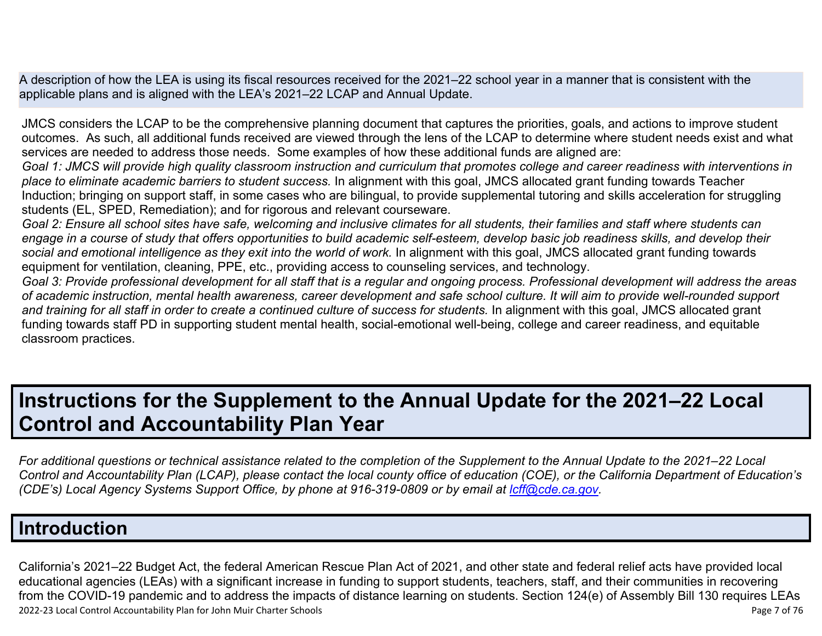A description of how the LEA is using its fiscal resources received for the 2021–22 school year in a manner that is consistent with the applicable plans and is aligned with the LEA's 2021–22 LCAP and Annual Update.

JMCS considers the LCAP to be the comprehensive planning document that captures the priorities, goals, and actions to improve student outcomes. As such, all additional funds received are viewed through the lens of the LCAP to determine where student needs exist and what services are needed to address those needs. Some examples of how these additional funds are aligned are:

*Goal 1: JMCS will provide high quality classroom instruction and curriculum that promotes college and career readiness with interventions in place to eliminate academic barriers to student success.* In alignment with this goal, JMCS allocated grant funding towards Teacher Induction; bringing on support staff, in some cases who are bilingual, to provide supplemental tutoring and skills acceleration for struggling students (EL, SPED, Remediation); and for rigorous and relevant courseware.

*Goal 2: Ensure all school sites have safe, welcoming and inclusive climates for all students, their families and staff where students can engage in a course of study that offers opportunities to build academic self-esteem, develop basic job readiness skills, and develop their social and emotional intelligence as they exit into the world of work.* In alignment with this goal, JMCS allocated grant funding towards equipment for ventilation, cleaning, PPE, etc., providing access to counseling services, and technology.

*Goal 3: Provide professional development for all staff that is a regular and ongoing process. Professional development will address the areas of academic instruction, mental health awareness, career development and safe school culture. It will aim to provide well-rounded support and training for all staff in order to create a continued culture of success for students.* In alignment with this goal, JMCS allocated grant funding towards staff PD in supporting student mental health, social-emotional well-being, college and career readiness, and equitable classroom practices.

# **Instructions for the Supplement to the Annual Update for the 2021–22 Local Control and Accountability Plan Year**

*For additional questions or technical assistance related to the completion of the Supplement to the Annual Update to the 2021–22 Local Control and Accountability Plan (LCAP), please contact the local county office of education (COE), or the California Department of Education's (CDE's)* Local Agency Systems Support Office, by phone at 916-319-0809 or by email at *[lcff@cde.ca.gov](mailto:lcff@cde.ca.gov)*.

## **Introduction**

2022-23 Local Control Accountability Plan for John Muir Charter Schools Page 7 of 76 California's 2021–22 Budget Act, the federal American Rescue Plan Act of 2021, and other state and federal relief acts have provided local educational agencies (LEAs) with a significant increase in funding to support students, teachers, staff, and their communities in recovering from the COVID-19 pandemic and to address the impacts of distance learning on students. Section 124(e) of Assembly Bill 130 requires LEAs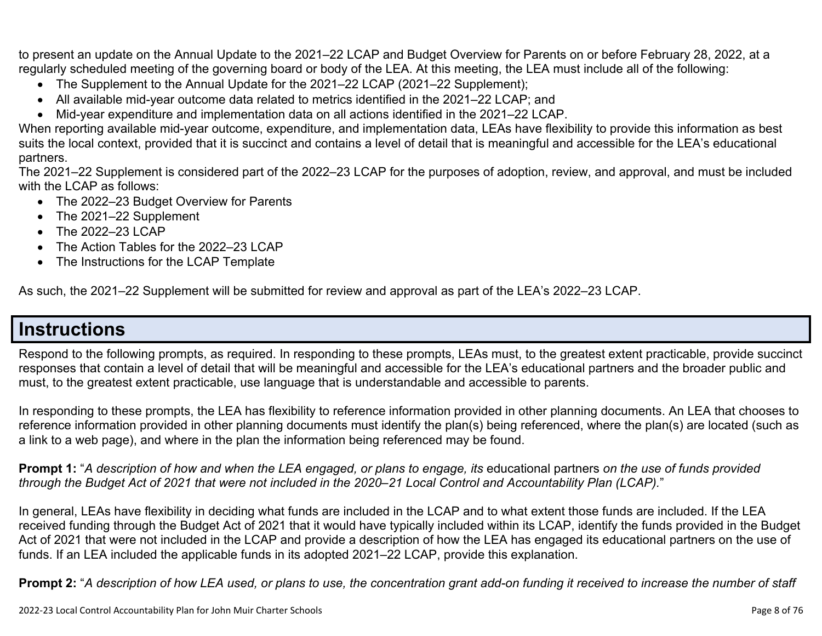to present an update on the Annual Update to the 2021–22 LCAP and Budget Overview for Parents on or before February 28, 2022, at a regularly scheduled meeting of the governing board or body of the LEA. At this meeting, the LEA must include all of the following:

- The Supplement to the Annual Update for the 2021–22 LCAP (2021–22 Supplement);
- All available mid-year outcome data related to metrics identified in the 2021–22 LCAP; and
- Mid-year expenditure and implementation data on all actions identified in the 2021–22 LCAP.

When reporting available mid-year outcome, expenditure, and implementation data, LEAs have flexibility to provide this information as best suits the local context, provided that it is succinct and contains a level of detail that is meaningful and accessible for the LEA's educational partners.

The 2021–22 Supplement is considered part of the 2022–23 LCAP for the purposes of adoption, review, and approval, and must be included with the LCAP as follows:

- The 2022–23 Budget Overview for Parents
- The 2021–22 Supplement
- The 2022-23 LCAP
- The Action Tables for the 2022–23 LCAP
- The Instructions for the LCAP Template

As such, the 2021–22 Supplement will be submitted for review and approval as part of the LEA's 2022–23 LCAP.

## **Instructions**

Respond to the following prompts, as required. In responding to these prompts, LEAs must, to the greatest extent practicable, provide succinct responses that contain a level of detail that will be meaningful and accessible for the LEA's educational partners and the broader public and must, to the greatest extent practicable, use language that is understandable and accessible to parents.

In responding to these prompts, the LEA has flexibility to reference information provided in other planning documents. An LEA that chooses to reference information provided in other planning documents must identify the plan(s) being referenced, where the plan(s) are located (such as a link to a web page), and where in the plan the information being referenced may be found.

**Prompt 1:** "*A description of how and when the LEA engaged, or plans to engage, its* educational partners *on the use of funds provided through the Budget Act of 2021 that were not included in the 2020–21 Local Control and Accountability Plan (LCAP).*"

In general, LEAs have flexibility in deciding what funds are included in the LCAP and to what extent those funds are included. If the LEA received funding through the Budget Act of 2021 that it would have typically included within its LCAP, identify the funds provided in the Budget Act of 2021 that were not included in the LCAP and provide a description of how the LEA has engaged its educational partners on the use of funds. If an LEA included the applicable funds in its adopted 2021–22 LCAP, provide this explanation.

**Prompt 2:** "*A description of how LEA used, or plans to use, the concentration grant add-on funding it received to increase the number of staff*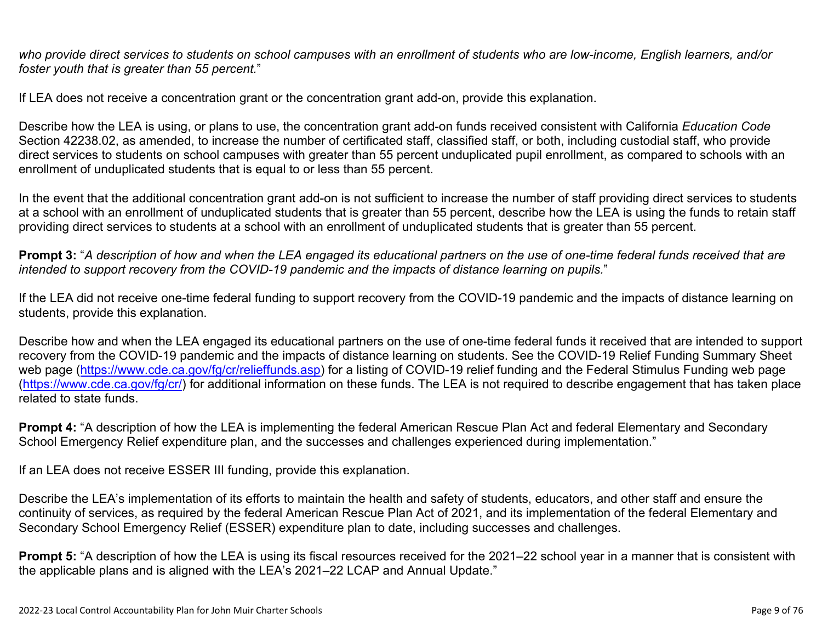*who provide direct services to students on school campuses with an enrollment of students who are low-income, English learners, and/or foster youth that is greater than 55 percent.*"

If LEA does not receive a concentration grant or the concentration grant add-on, provide this explanation.

Describe how the LEA is using, or plans to use, the concentration grant add-on funds received consistent with California *Education Code* Section 42238.02, as amended, to increase the number of certificated staff, classified staff, or both, including custodial staff, who provide direct services to students on school campuses with greater than 55 percent unduplicated pupil enrollment, as compared to schools with an enrollment of unduplicated students that is equal to or less than 55 percent.

In the event that the additional concentration grant add-on is not sufficient to increase the number of staff providing direct services to students at a school with an enrollment of unduplicated students that is greater than 55 percent, describe how the LEA is using the funds to retain staff providing direct services to students at a school with an enrollment of unduplicated students that is greater than 55 percent.

**Prompt 3:** "*A description of how and when the LEA engaged its educational partners on the use of one-time federal funds received that are intended to support recovery from the COVID-19 pandemic and the impacts of distance learning on pupils.*"

If the LEA did not receive one-time federal funding to support recovery from the COVID-19 pandemic and the impacts of distance learning on students, provide this explanation.

Describe how and when the LEA engaged its educational partners on the use of one-time federal funds it received that are intended to support recovery from the COVID-19 pandemic and the impacts of distance learning on students. See the COVID-19 Relief Funding Summary Sheet web page [\(https://www.cde.ca.gov/fg/cr/relieffunds.asp\)](https://www.cde.ca.gov/fg/cr/relieffunds.asp) for a listing of COVID-19 relief funding and the Federal Stimulus Funding web page (<https://www.cde.ca.gov/fg/cr/>) for additional information on these funds. The LEA is not required to describe engagement that has taken place related to state funds.

**Prompt 4:** "A description of how the LEA is implementing the federal American Rescue Plan Act and federal Elementary and Secondary School Emergency Relief expenditure plan, and the successes and challenges experienced during implementation."

If an LEA does not receive ESSER III funding, provide this explanation.

Describe the LEA's implementation of its efforts to maintain the health and safety of students, educators, and other staff and ensure the continuity of services, as required by the federal American Rescue Plan Act of 2021, and its implementation of the federal Elementary and Secondary School Emergency Relief (ESSER) expenditure plan to date, including successes and challenges.

**Prompt 5:** "A description of how the LEA is using its fiscal resources received for the 2021–22 school year in a manner that is consistent with the applicable plans and is aligned with the LEA's 2021–22 LCAP and Annual Update."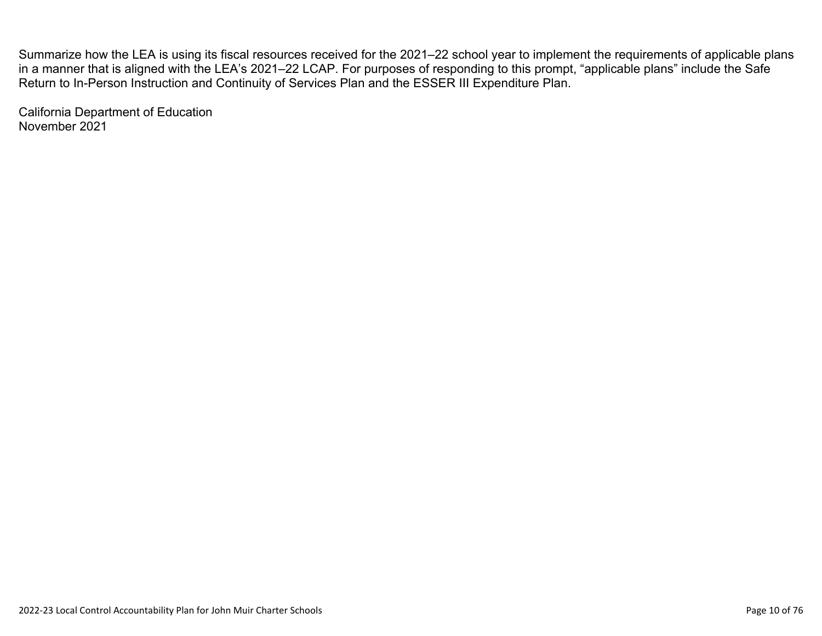Summarize how the LEA is using its fiscal resources received for the 2021–22 school year to implement the requirements of applicable plans in a manner that is aligned with the LEA's 2021–22 LCAP. For purposes of responding to this prompt, "applicable plans" include the Safe Return to In-Person Instruction and Continuity of Services Plan and the ESSER III Expenditure Plan.

California Department of Education November 2021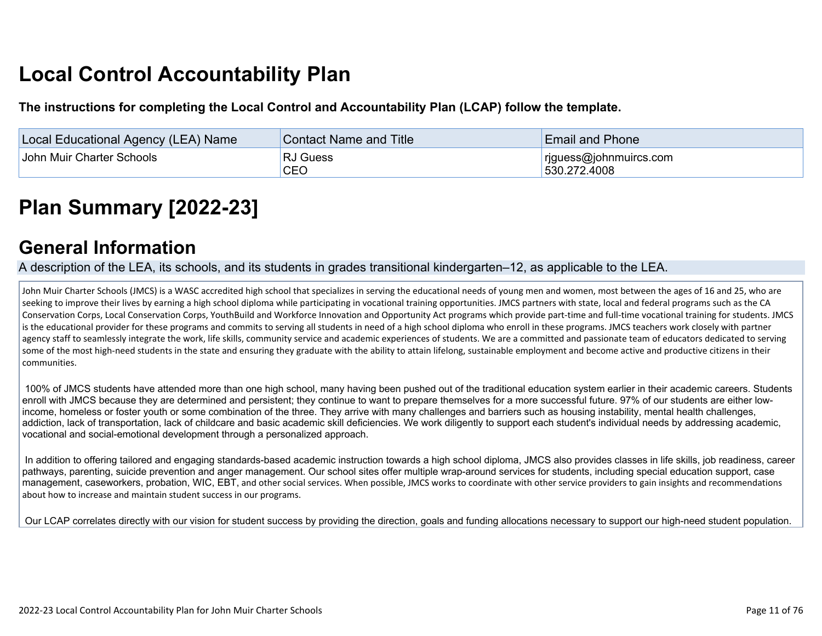# **Local Control Accountability Plan**

**The instructions for completing the Local Control and Accountability Plan (LCAP) follow the template.**

| <b>Local Educational Agency (LEA) Name</b> | <b>Contact Name and Title</b> | <b>Email and Phone</b>                 |
|--------------------------------------------|-------------------------------|----------------------------------------|
| John Muir Charter Schools                  | <b>RJ Guess</b><br>CEO        | riguess@johnmuircs.com<br>530.272.4008 |

# **[Plan Summary \[2022-23\]](http://www.doc-tracking.com/screenshots/22LCAP/Instructions/22LCAPInstructions.htm#PlanSummary)**

## **[General Information](http://www.doc-tracking.com/screenshots/22LCAP/Instructions/22LCAPInstructions.htm#generalinformation)**

A description of the LEA, its schools, and its students in grades transitional kindergarten–12, as applicable to the LEA.

John Muir Charter Schools (JMCS) is a WASC accredited high school that specializes in serving the educational needs of young men and women, most between the ages of 16 and 25, who are seeking to improve their lives by earning a high school diploma while participating in vocational training opportunities. JMCS partners with state, local and federal programs such as the CA Conservation Corps, Local Conservation Corps, YouthBuild and Workforce Innovation and Opportunity Act programs which provide part-time and full-time vocational training for students. JMCS is the educational provider for these programs and commits to serving all students in need of a high school diploma who enroll in these programs. JMCS teachers work closely with partner agency staff to seamlessly integrate the work, life skills, community service and academic experiences of students. We are a committed and passionate team of educators dedicated to serving some of the most high-need students in the state and ensuring they graduate with the ability to attain lifelong, sustainable employment and become active and productive citizens in their communities.

 100% of JMCS students have attended more than one high school, many having been pushed out of the traditional education system earlier in their academic careers. Students enroll with JMCS because they are determined and persistent; they continue to want to prepare themselves for a more successful future. 97% of our students are either lowincome, homeless or foster youth or some combination of the three. They arrive with many challenges and barriers such as housing instability, mental health challenges, addiction, lack of transportation, lack of childcare and basic academic skill deficiencies. We work diligently to support each student's individual needs by addressing academic, vocational and social-emotional development through a personalized approach.

 In addition to offering tailored and engaging standards-based academic instruction towards a high school diploma, JMCS also provides classes in life skills, job readiness, career pathways, parenting, suicide prevention and anger management. Our school sites offer multiple wrap-around services for students, including special education support, case management, caseworkers, probation, WIC, EBT, and other social services. When possible, JMCS works to coordinate with other service providers to gain insights and recommendations about how to increase and maintain student success in our programs.

Our LCAP correlates directly with our vision for student success by providing the direction, goals and funding allocations necessary to support our high-need student population.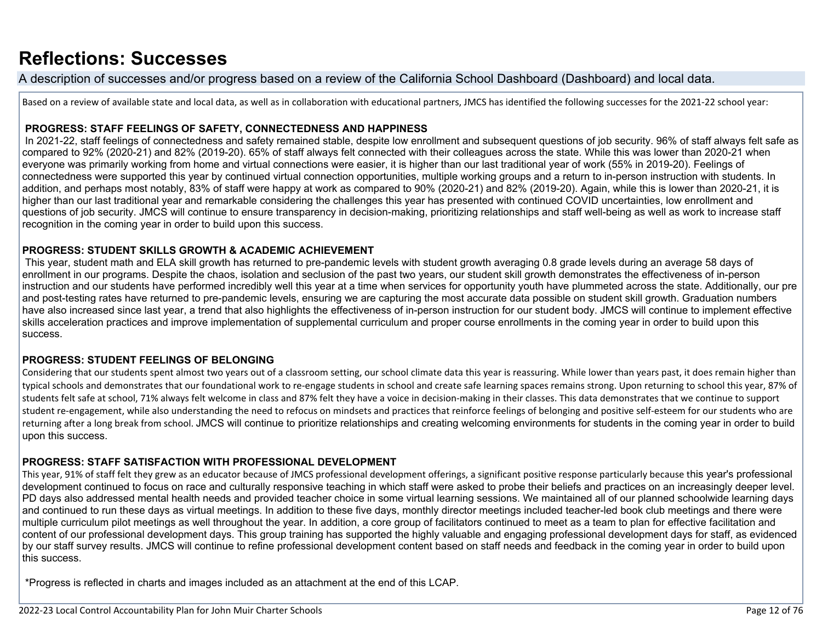# **[Reflections: Successes](http://www.doc-tracking.com/screenshots/22LCAP/Instructions/22LCAPInstructions.htm#ReflectionsSuccesses)**

A description of successes and/or progress based on a review of the California School Dashboard (Dashboard) and local data.

Based on a review of available state and local data, as well as in collaboration with educational partners, JMCS has identified the following successes for the 2021-22 school year:

#### **PROGRESS: STAFF FEELINGS OF SAFETY, CONNECTEDNESS AND HAPPINESS**

 In 2021-22, staff feelings of connectedness and safety remained stable, despite low enrollment and subsequent questions of job security. 96% of staff always felt safe as compared to 92% (2020-21) and 82% (2019-20). 65% of staff always felt connected with their colleagues across the state. While this was lower than 2020-21 when everyone was primarily working from home and virtual connections were easier, it is higher than our last traditional year of work (55% in 2019-20). Feelings of connectedness were supported this year by continued virtual connection opportunities, multiple working groups and a return to in-person instruction with students. In addition, and perhaps most notably, 83% of staff were happy at work as compared to 90% (2020-21) and 82% (2019-20). Again, while this is lower than 2020-21, it is higher than our last traditional year and remarkable considering the challenges this year has presented with continued COVID uncertainties, low enrollment and questions of job security. JMCS will continue to ensure transparency in decision-making, prioritizing relationships and staff well-being as well as work to increase staff recognition in the coming year in order to build upon this success.

#### **PROGRESS: STUDENT SKILLS GROWTH & ACADEMIC ACHIEVEMENT**

 This year, student math and ELA skill growth has returned to pre-pandemic levels with student growth averaging 0.8 grade levels during an average 58 days of enrollment in our programs. Despite the chaos, isolation and seclusion of the past two years, our student skill growth demonstrates the effectiveness of in-person instruction and our students have performed incredibly well this year at a time when services for opportunity youth have plummeted across the state. Additionally, our pre and post-testing rates have returned to pre-pandemic levels, ensuring we are capturing the most accurate data possible on student skill growth. Graduation numbers have also increased since last vear, a trend that also highlights the effectiveness of in-person instruction for our student body. JMCS will continue to implement effective skills acceleration practices and improve implementation of supplemental curriculum and proper course enrollments in the coming year in order to build upon this success.

#### **PROGRESS: STUDENT FEELINGS OF BELONGING**

Considering that our students spent almost two years out of a classroom setting, our school climate data this year is reassuring. While lower than years past, it does remain higher than typical schools and demonstrates that our foundational work to re-engage students in school and create safe learning spaces remains strong. Upon returning to school this year, 87% of students felt safe at school, 71% always felt welcome in class and 87% felt they have a voice in decision-making in their classes. This data demonstrates that we continue to support student re-engagement, while also understanding the need to refocus on mindsets and practices that reinforce feelings of belonging and positive self-esteem for our students who are returning after a long break from school. JMCS will continue to prioritize relationships and creating welcoming environments for students in the coming year in order to build upon this success.

#### **PROGRESS: STAFF SATISFACTION WITH PROFESSIONAL DEVELOPMENT**

This year, 91% of staff felt they grew as an educator because of JMCS professional development offerings, a significant positive response particularly because this year's professional development continued to focus on race and culturally responsive teaching in which staff were asked to probe their beliefs and practices on an increasingly deeper level. PD days also addressed mental health needs and provided teacher choice in some virtual learning sessions. We maintained all of our planned schoolwide learning days and continued to run these days as virtual meetings. In addition to these five days, monthly director meetings included teacher-led book club meetings and there were multiple curriculum pilot meetings as well throughout the year. In addition, a core group of facilitators continued to meet as a team to plan for effective facilitation and content of our professional development days. This group training has supported the highly valuable and engaging professional development days for staff, as evidenced by our staff survey results. JMCS will continue to refine professional development content based on staff needs and feedback in the coming year in order to build upon this success.

\*Progress is reflected in charts and images included as an attachment at the end of this LCAP.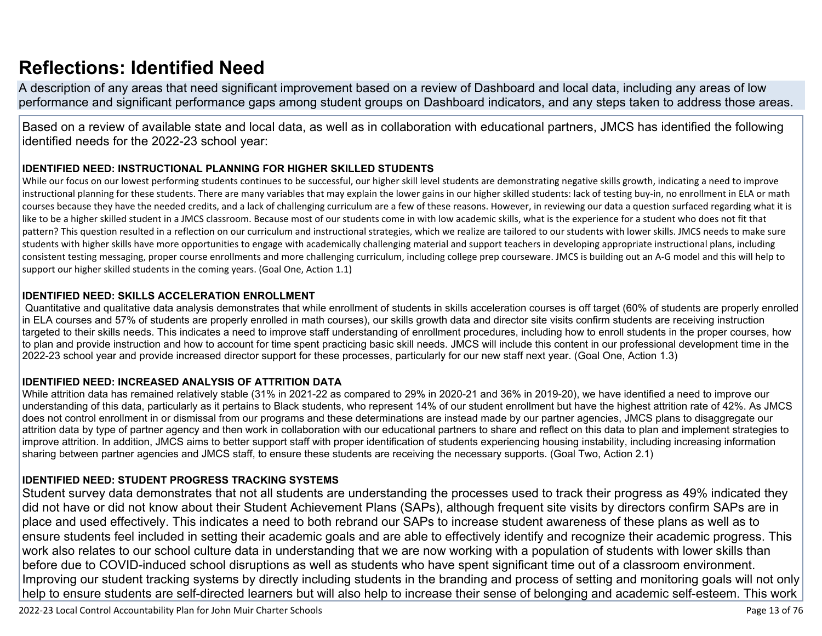# **[Reflections: Identified Need](http://www.doc-tracking.com/screenshots/22LCAP/Instructions/22LCAPInstructions.htm#ReflectionsIdentifiedNeed)**

A description of any areas that need significant improvement based on a review of Dashboard and local data, including any areas of low performance and significant performance gaps among student groups on Dashboard indicators, and any steps taken to address those areas.

Based on a review of available state and local data, as well as in collaboration with educational partners, JMCS has identified the following identified needs for the 2022-23 school year:

### **IDENTIFIED NEED: INSTRUCTIONAL PLANNING FOR HIGHER SKILLED STUDENTS**

While our focus on our lowest performing students continues to be successful, our higher skill level students are demonstrating negative skills growth, indicating a need to improve instructional planning for these students. There are many variables that may explain the lower gains in our higher skilled students: lack of testing buy-in, no enrollment in ELA or math courses because they have the needed credits, and a lack of challenging curriculum are a few of these reasons. However, in reviewing our data a question surfaced regarding what it is like to be a higher skilled student in a JMCS classroom. Because most of our students come in with low academic skills, what is the experience for a student who does not fit that pattern? This question resulted in a reflection on our curriculum and instructional strategies, which we realize are tailored to our students with lower skills. JMCS needs to make sure students with higher skills have more opportunities to engage with academically challenging material and support teachers in developing appropriate instructional plans, including consistent testing messaging, proper course enrollments and more challenging curriculum, including college prep courseware. JMCS is building out an A-G model and this will help to support our higher skilled students in the coming years. (Goal One, Action 1.1)

### **IDENTIFIED NEED: SKILLS ACCELERATION ENROLLMENT**

 Quantitative and qualitative data analysis demonstrates that while enrollment of students in skills acceleration courses is off target (60% of students are properly enrolled in ELA courses and 57% of students are properly enrolled in math courses), our skills growth data and director site visits confirm students are receiving instruction targeted to their skills needs. This indicates a need to improve staff understanding of enrollment procedures, including how to enroll students in the proper courses, how to plan and provide instruction and how to account for time spent practicing basic skill needs. JMCS will include this content in our professional development time in the 2022-23 school year and provide increased director support for these processes, particularly for our new staff next year. (Goal One, Action 1.3)

### **IDENTIFIED NEED: INCREASED ANALYSIS OF ATTRITION DATA**

While attrition data has remained relatively stable (31% in 2021-22 as compared to 29% in 2020-21 and 36% in 2019-20), we have identified a need to improve our understanding of this data, particularly as it pertains to Black students, who represent 14% of our student enrollment but have the highest attrition rate of 42%. As JMCS does not control enrollment in or dismissal from our programs and these determinations are instead made by our partner agencies, JMCS plans to disaggregate our attrition data by type of partner agency and then work in collaboration with our educational partners to share and reflect on this data to plan and implement strategies to improve attrition. In addition, JMCS aims to better support staff with proper identification of students experiencing housing instability, including increasing information sharing between partner agencies and JMCS staff, to ensure these students are receiving the necessary supports. (Goal Two, Action 2.1)

### **IDENTIFIED NEED: STUDENT PROGRESS TRACKING SYSTEMS**

Student survey data demonstrates that not all students are understanding the processes used to track their progress as 49% indicated they did not have or did not know about their Student Achievement Plans (SAPs), although frequent site visits by directors confirm SAPs are in place and used effectively. This indicates a need to both rebrand our SAPs to increase student awareness of these plans as well as to ensure students feel included in setting their academic goals and are able to effectively identify and recognize their academic progress. This work also relates to our school culture data in understanding that we are now working with a population of students with lower skills than before due to COVID-induced school disruptions as well as students who have spent significant time out of a classroom environment. Improving our student tracking systems by directly including students in the branding and process of setting and monitoring goals will not only help to ensure students are self-directed learners but will also help to increase their sense of belonging and academic self-esteem. This work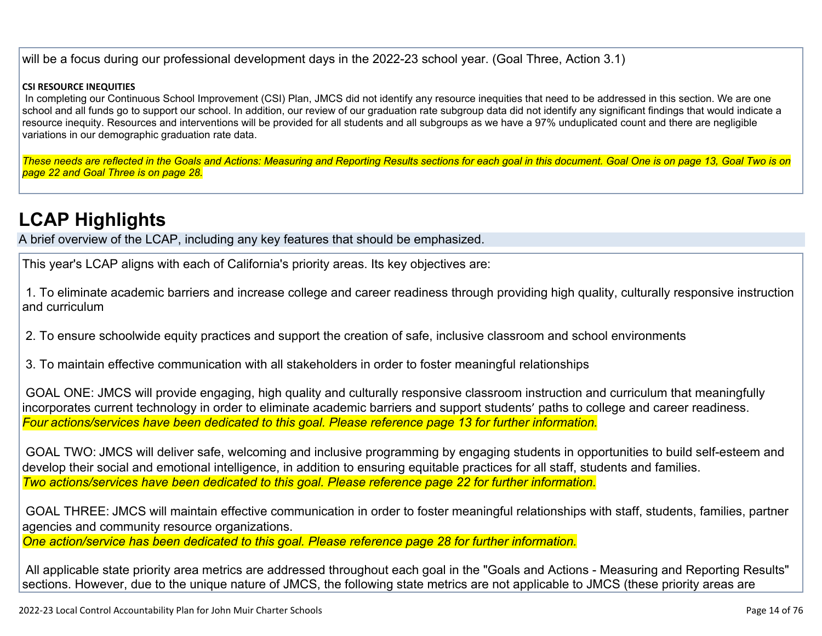will be a focus during our professional development days in the 2022-23 school year. (Goal Three, Action 3.1)

#### **CSI RESOURCE INEQUITIES**

In completing our Continuous School Improvement (CSI) Plan, JMCS did not identify any resource inequities that need to be addressed in this section. We are one school and all funds go to support our school. In addition, our review of our graduation rate subgroup data did not identify any significant findings that would indicate a resource inequity. Resources and interventions will be provided for all students and all subgroups as we have a 97% unduplicated count and there are negligible variations in our demographic graduation rate data.

*These needs are reflected in the Goals and Actions: Measuring and Reporting Results sections for each goal in this document. Goal One is on page 13, Goal Two is on page 22 and Goal Three is on page 28.*

# **[LCAP Highlights](http://www.doc-tracking.com/screenshots/22LCAP/Instructions/22LCAPInstructions.htm#LCAPHighlights)**

A brief overview of the LCAP, including any key features that should be emphasized.

This year's LCAP aligns with each of California's priority areas. Its key objectives are:

 1. To eliminate academic barriers and increase college and career readiness through providing high quality, culturally responsive instruction and curriculum

2. To ensure schoolwide equity practices and support the creation of safe, inclusive classroom and school environments

3. To maintain effective communication with all stakeholders in order to foster meaningful relationships

 GOAL ONE: JMCS will provide engaging, high quality and culturally responsive classroom instruction and curriculum that meaningfully incorporates current technology in order to eliminate academic barriers and support students' paths to college and career readiness. *Four actions/services have been dedicated to this goal. Please reference page 13 for further information.*

 GOAL TWO: JMCS will deliver safe, welcoming and inclusive programming by engaging students in opportunities to build self-esteem and develop their social and emotional intelligence, in addition to ensuring equitable practices for all staff, students and families. *Two actions/services have been dedicated to this goal. Please reference page 22 for further information.*

 GOAL THREE: JMCS will maintain effective communication in order to foster meaningful relationships with staff, students, families, partner agencies and community resource organizations.

*One action/service has been dedicated to this goal. Please reference page 28 for further information.*

 All applicable state priority area metrics are addressed throughout each goal in the "Goals and Actions - Measuring and Reporting Results" sections. However, due to the unique nature of JMCS, the following state metrics are not applicable to JMCS (these priority areas are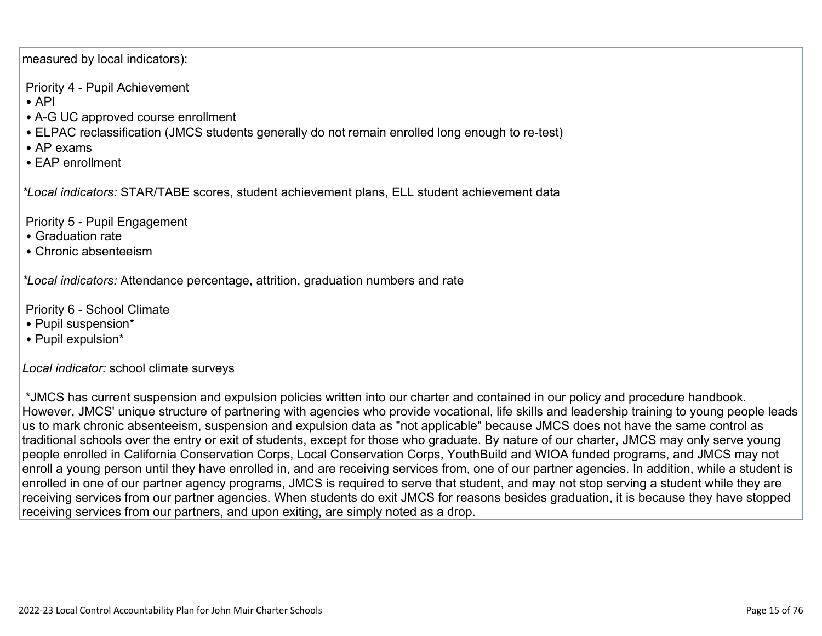measured by local indicators):

Priority 4 - Pupil Achievement

- API
- A-G UC approved course enrollment
- ELPAC reclassification (JMCS students generally do not remain enrolled long enough to re-test)
- AP exams
- EAP enrollment

*\*Local indicators:* STAR/TABE scores, student achievement plans, ELL student achievement data

Priority 5 - Pupil Engagement

- Graduation rate
- Chronic absenteeism

*\*Local indicators:* Attendance percentage, attrition, graduation numbers and rate

Priority 6 - School Climate

- Pupil suspension\*
- Pupil expulsion\*

*Local indicator:* school climate surveys

 \*JMCS has current suspension and expulsion policies written into our charter and contained in our policy and procedure handbook. However, JMCS' unique structure of partnering with agencies who provide vocational, life skills and leadership training to young people leads us to mark chronic absenteeism, suspension and expulsion data as "not applicable" because JMCS does not have the same control as traditional schools over the entry or exit of students, except for those who graduate. By nature of our charter, JMCS may only serve young people enrolled in California Conservation Corps, Local Conservation Corps, YouthBuild and WIOA funded programs, and JMCS may not enroll a young person until they have enrolled in, and are receiving services from, one of our partner agencies. In addition, while a student is enrolled in one of our partner agency programs, JMCS is required to serve that student, and may not stop serving a student while they are receiving services from our partner agencies. When students do exit JMCS for reasons besides graduation, it is because they have stopped receiving services from our partners, and upon exiting, are simply noted as a drop.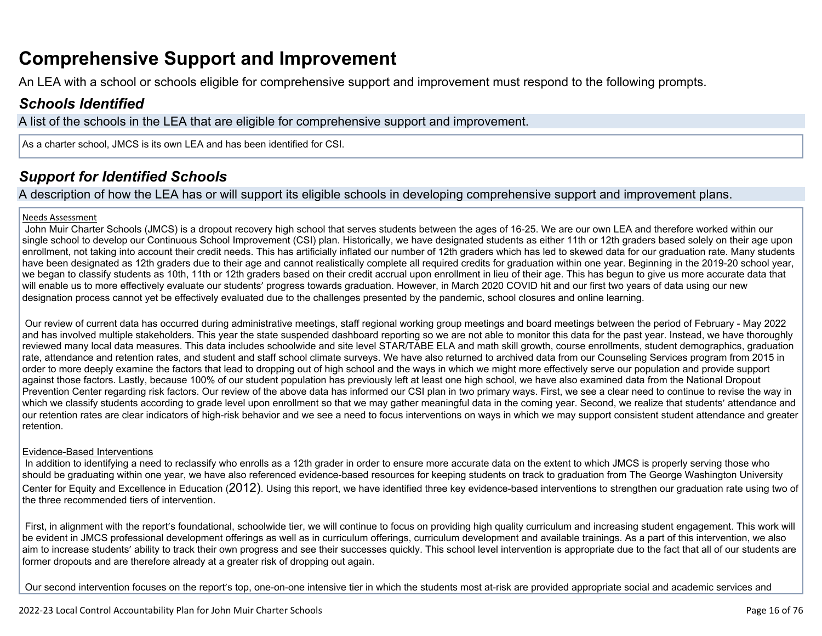## **Comprehensive Support and Improvement**

An LEA with a school or schools eligible for comprehensive support and improvement must respond to the following prompts.

## *[Schools Identified](http://www.doc-tracking.com/screenshots/22LCAP/Instructions/22LCAPInstructions.htm#SchoolsIdentified)*

A list of the schools in the LEA that are eligible for comprehensive support and improvement.

As a charter school, JMCS is its own LEA and has been identified for CSI.

## *[Support for Identified Schools](http://www.doc-tracking.com/screenshots/22LCAP/Instructions/22LCAPInstructions.htm#SupportforIdentifiedSchools)*

A description of how the LEA has or will support its eligible schools in developing comprehensive support and improvement plans.

#### Needs Assessment

 John Muir Charter Schools (JMCS) is a dropout recovery high school that serves students between the ages of 16-25. We are our own LEA and therefore worked within our single school to develop our Continuous School Improvement (CSI) plan. Historically, we have designated students as either 11th or 12th graders based solely on their age upon enrollment, not taking into account their credit needs. This has artificially inflated our number of 12th graders which has led to skewed data for our graduation rate. Many students have been designated as 12th graders due to their age and cannot realistically complete all required credits for graduation within one year. Beginning in the 2019-20 school year, we began to classify students as 10th, 11th or 12th graders based on their credit accrual upon enrollment in lieu of their age. This has begun to give us more accurate data that will enable us to more effectively evaluate our students' progress towards graduation. However, in March 2020 COVID hit and our first two years of data using our new designation process cannot yet be effectively evaluated due to the challenges presented by the pandemic, school closures and online learning.

 Our review of current data has occurred during administrative meetings, staff regional working group meetings and board meetings between the period of February - May 2022 and has involved multiple stakeholders. This year the state suspended dashboard reporting so we are not able to monitor this data for the past year. Instead, we have thoroughly reviewed many local data measures. This data includes schoolwide and site level STAR/TABE ELA and math skill growth, course enrollments, student demographics, graduation rate, attendance and retention rates, and student and staff school climate surveys. We have also returned to archived data from our Counseling Services program from 2015 in order to more deeply examine the factors that lead to dropping out of high school and the ways in which we might more effectively serve our population and provide support against those factors. Lastly, because 100% of our student population has previously left at least one high school, we have also examined data from the National Dropout Prevention Center regarding risk factors. Our review of the above data has informed our CSI plan in two primary ways. First, we see a clear need to continue to revise the way in which we classify students according to grade level upon enrollment so that we may gather meaningful data in the coming year. Second, we realize that students' attendance and our retention rates are clear indicators of high-risk behavior and we see a need to focus interventions on ways in which we may support consistent student attendance and greater retention.

#### Evidence-Based Interventions

In addition to identifying a need to reclassify who enrolls as a 12th grader in order to ensure more accurate data on the extent to which JMCS is properly serving those who should be graduating within one year, we have also referenced evidence-based resources for keeping students on track to graduation from The George Washington University Center for Equity and Excellence in Education (2012). Using this report, we have identified three key evidence-based interventions to strengthen our graduation rate using two of the three recommended tiers of intervention.

First, in alignment with the report's foundational, schoolwide tier, we will continue to focus on providing high quality curriculum and increasing student engagement. This work will be evident in JMCS professional development offerings as well as in curriculum offerings, curriculum development and available trainings. As a part of this intervention, we also aim to increase students' ability to track their own progress and see their successes quickly. This school level intervention is appropriate due to the fact that all of our students are former dropouts and are therefore already at a greater risk of dropping out again.

Our second intervention focuses on the report's top, one-on-one intensive tier in which the students most at-risk are provided appropriate social and academic services and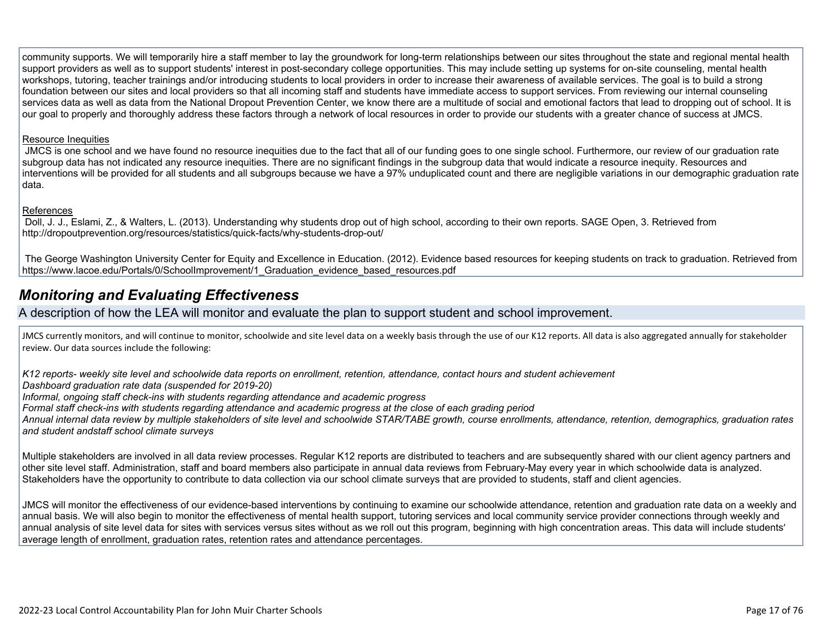community supports. We will temporarily hire a staff member to lay the groundwork for long-term relationships between our sites throughout the state and regional mental health support providers as well as to support students' interest in post-secondary college opportunities. This may include setting up systems for on-site counseling, mental health workshops, tutoring, teacher trainings and/or introducing students to local providers in order to increase their awareness of available services. The goal is to build a strong foundation between our sites and local providers so that all incoming staff and students have immediate access to support services. From reviewing our internal counseling services data as well as data from the National Dropout Prevention Center, we know there are a multitude of social and emotional factors that lead to dropping out of school. It is our goal to properly and thoroughly address these factors through a network of local resources in order to provide our students with a greater chance of success at JMCS.

#### Resource Inequities

 JMCS is one school and we have found no resource inequities due to the fact that all of our funding goes to one single school. Furthermore, our review of our graduation rate subgroup data has not indicated any resource inequities. There are no significant findings in the subgroup data that would indicate a resource inequity. Resources and interventions will be provided for all students and all subgroups because we have a 97% unduplicated count and there are negligible variations in our demographic graduation rate data.

#### References

 Doll, J. J., Eslami, Z., & Walters, L. (2013). Understanding why students drop out of high school, according to their own reports. SAGE Open, 3. Retrieved from http://dropoutprevention.org/resources/statistics/quick-facts/why-students-drop-out/

 The George Washington University Center for Equity and Excellence in Education. (2012). Evidence based resources for keeping students on track to graduation. Retrieved from https://www.lacoe.edu/Portals/0/SchoolImprovement/1\_Graduation\_evidence\_based\_resources.pdf

## *[Monitoring and Evaluating Effectiveness](http://www.doc-tracking.com/screenshots/22LCAP/Instructions/22LCAPInstructions.htm#MonitoringandEvaluatingEffectiveness)*

### A description of how the LEA will monitor and evaluate the plan to support student and school improvement.

JMCS currently monitors, and will continue to monitor, schoolwide and site level data on a weekly basis through the use of our K12 reports. All data is also aggregated annually for stakeholder review. Our data sources include the following:

*K12 reports- weekly site level and schoolwide data reports on enrollment, retention, attendance, contact hours and student achievement Dashboard graduation rate data (suspended for 2019-20)*

*Informal, ongoing staff check-ins with students regarding attendance and academic progress* 

*Formal staff check-ins with students regarding attendance and academic progress at the close of each grading period* 

*Annual internal data review by multiple stakeholders of site level and schoolwide STAR/TABE growth, course enrollments, attendance, retention, demographics, graduation rates and student andstaff school climate surveys* 

Multiple stakeholders are involved in all data review processes. Regular K12 reports are distributed to teachers and are subsequently shared with our client agency partners and other site level staff. Administration, staff and board members also participate in annual data reviews from February-May every year in which schoolwide data is analyzed. Stakeholders have the opportunity to contribute to data collection via our school climate surveys that are provided to students, staff and client agencies.

JMCS will monitor the effectiveness of our evidence-based interventions by continuing to examine our schoolwide attendance, retention and graduation rate data on a weekly and annual basis. We will also begin to monitor the effectiveness of mental health support, tutoring services and local community service provider connections through weekly and annual analysis of site level data for sites with services versus sites without as we roll out this program, beginning with high concentration areas. This data will include students' average length of enrollment, graduation rates, retention rates and attendance percentages.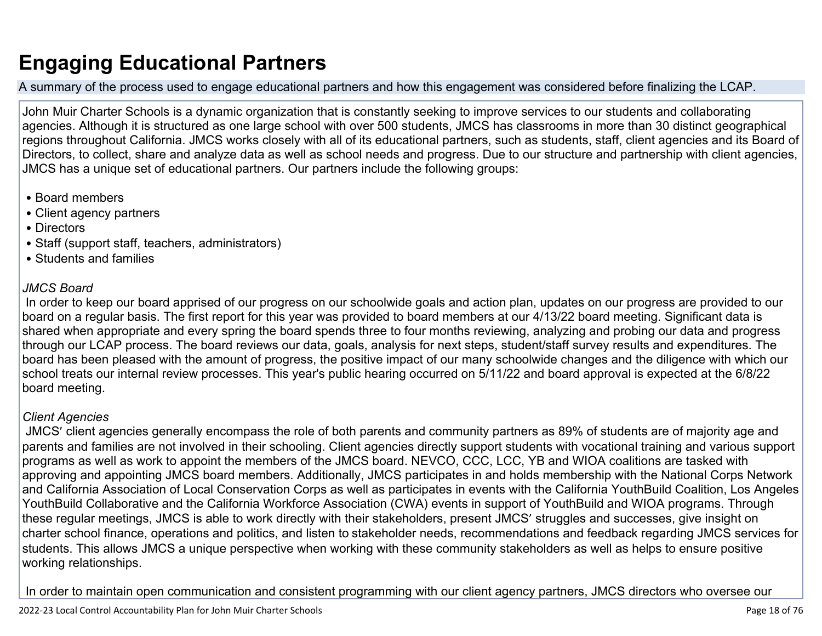# **Engaging Educational Partners**

A summary of the process used to engage educational partners and how this engagement was considered before finalizing the LCAP.

John Muir Charter Schools is a dynamic organization that is constantly seeking to improve services to our students and collaborating agencies. Although it is structured as one large school with over 500 students, JMCS has classrooms in more than 30 distinct geographical regions throughout California. JMCS works closely with all of its educational partners, such as students, staff, client agencies and its Board of Directors, to collect, share and analyze data as well as school needs and progress. Due to our structure and partnership with client agencies, JMCS has a unique set of educational partners. Our partners include the following groups:

- Board members
- Client agency partners
- Directors
- Staff (support staff, teachers, administrators)
- Students and families

## *JMCS Board*

 In order to keep our board apprised of our progress on our schoolwide goals and action plan, updates on our progress are provided to our board on a regular basis. The first report for this year was provided to board members at our 4/13/22 board meeting. Significant data is shared when appropriate and every spring the board spends three to four months reviewing, analyzing and probing our data and progress through our LCAP process. The board reviews our data, goals, analysis for next steps, student/staff survey results and expenditures. The board has been pleased with the amount of progress, the positive impact of our many schoolwide changes and the diligence with which our school treats our internal review processes. This year's public hearing occurred on 5/11/22 and board approval is expected at the 6/8/22 board meeting.

### *Client Agencies*

 JMCS' client agencies generally encompass the role of both parents and community partners as 89% of students are of majority age and parents and families are not involved in their schooling. Client agencies directly support students with vocational training and various support programs as well as work to appoint the members of the JMCS board. NEVCO, CCC, LCC, YB and WIOA coalitions are tasked with approving and appointing JMCS board members. Additionally, JMCS participates in and holds membership with the National Corps Network and California Association of Local Conservation Corps as well as participates in events with the California YouthBuild Coalition, Los Angeles YouthBuild Collaborative and the California Workforce Association (CWA) events in support of YouthBuild and WIOA programs. Through these regular meetings, JMCS is able to work directly with their stakeholders, present JMCS' struggles and successes, give insight on charter school finance, operations and politics, and listen to stakeholder needs, recommendations and feedback regarding JMCS services for students. This allows JMCS a unique perspective when working with these community stakeholders as well as helps to ensure positive working relationships.

In order to maintain open communication and consistent programming with our client agency partners, JMCS directors who oversee our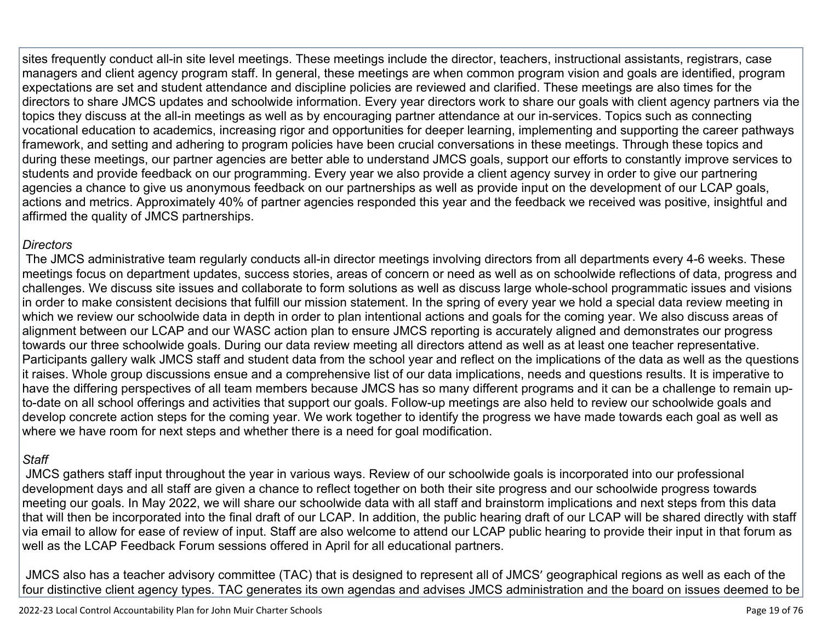sites frequently conduct all-in site level meetings. These meetings include the director, teachers, instructional assistants, registrars, case managers and client agency program staff. In general, these meetings are when common program vision and goals are identified, program expectations are set and student attendance and discipline policies are reviewed and clarified. These meetings are also times for the directors to share JMCS updates and schoolwide information. Every year directors work to share our goals with client agency partners via the topics they discuss at the all-in meetings as well as by encouraging partner attendance at our in-services. Topics such as connecting vocational education to academics, increasing rigor and opportunities for deeper learning, implementing and supporting the career pathways framework, and setting and adhering to program policies have been crucial conversations in these meetings. Through these topics and during these meetings, our partner agencies are better able to understand JMCS goals, support our efforts to constantly improve services to students and provide feedback on our programming. Every year we also provide a client agency survey in order to give our partnering agencies a chance to give us anonymous feedback on our partnerships as well as provide input on the development of our LCAP goals, actions and metrics. Approximately 40% of partner agencies responded this year and the feedback we received was positive, insightful and affirmed the quality of JMCS partnerships.

## *Directors*

 The JMCS administrative team regularly conducts all-in director meetings involving directors from all departments every 4-6 weeks. These meetings focus on department updates, success stories, areas of concern or need as well as on schoolwide reflections of data, progress and challenges. We discuss site issues and collaborate to form solutions as well as discuss large whole-school programmatic issues and visions in order to make consistent decisions that fulfill our mission statement. In the spring of every year we hold a special data review meeting in which we review our schoolwide data in depth in order to plan intentional actions and goals for the coming year. We also discuss areas of alignment between our LCAP and our WASC action plan to ensure JMCS reporting is accurately aligned and demonstrates our progress towards our three schoolwide goals. During our data review meeting all directors attend as well as at least one teacher representative. Participants gallery walk JMCS staff and student data from the school year and reflect on the implications of the data as well as the questions it raises. Whole group discussions ensue and a comprehensive list of our data implications, needs and questions results. It is imperative to have the differing perspectives of all team members because JMCS has so many different programs and it can be a challenge to remain upto-date on all school offerings and activities that support our goals. Follow-up meetings are also held to review our schoolwide goals and develop concrete action steps for the coming year. We work together to identify the progress we have made towards each goal as well as where we have room for next steps and whether there is a need for goal modification.

## *Staff*

 JMCS gathers staff input throughout the year in various ways. Review of our schoolwide goals is incorporated into our professional development days and all staff are given a chance to reflect together on both their site progress and our schoolwide progress towards meeting our goals. In May 2022, we will share our schoolwide data with all staff and brainstorm implications and next steps from this data that will then be incorporated into the final draft of our LCAP. In addition, the public hearing draft of our LCAP will be shared directly with staff via email to allow for ease of review of input. Staff are also welcome to attend our LCAP public hearing to provide their input in that forum as well as the LCAP Feedback Forum sessions offered in April for all educational partners.

 JMCS also has a teacher advisory committee (TAC) that is designed to represent all of JMCS' geographical regions as well as each of the four distinctive client agency types. TAC generates its own agendas and advises JMCS administration and the board on issues deemed to be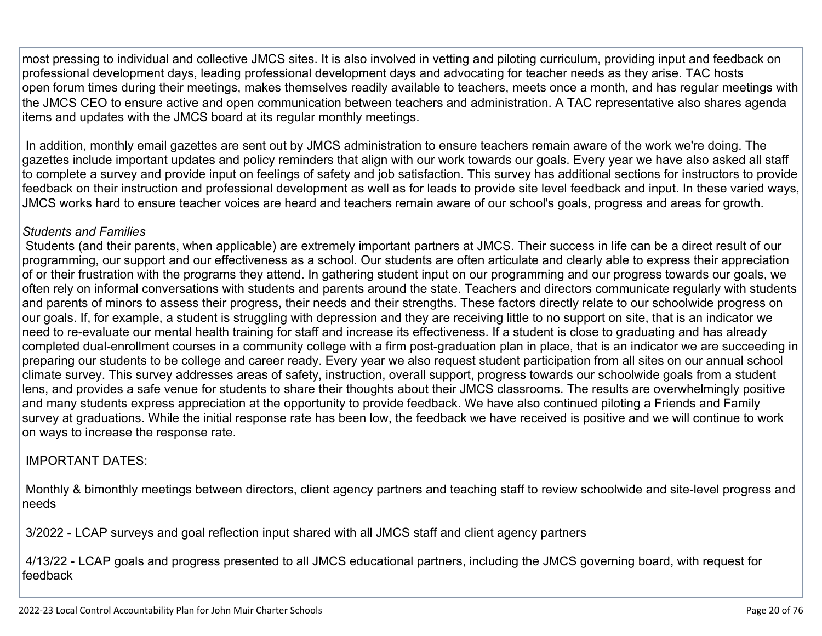most pressing to individual and collective JMCS sites. It is also involved in vetting and piloting curriculum, providing input and feedback on professional development days, leading professional development days and advocating for teacher needs as they arise. TAC hosts open forum times during their meetings, makes themselves readily available to teachers, meets once a month, and has regular meetings with the JMCS CEO to ensure active and open communication between teachers and administration. A TAC representative also shares agenda items and updates with the JMCS board at its regular monthly meetings.

 In addition, monthly email gazettes are sent out by JMCS administration to ensure teachers remain aware of the work we're doing. The gazettes include important updates and policy reminders that align with our work towards our goals. Every year we have also asked all staff to complete a survey and provide input on feelings of safety and job satisfaction. This survey has additional sections for instructors to provide feedback on their instruction and professional development as well as for leads to provide site level feedback and input. In these varied ways, JMCS works hard to ensure teacher voices are heard and teachers remain aware of our school's goals, progress and areas for growth.

### *Students and Families*

 Students (and their parents, when applicable) are extremely important partners at JMCS. Their success in life can be a direct result of our programming, our support and our effectiveness as a school. Our students are often articulate and clearly able to express their appreciation of or their frustration with the programs they attend. In gathering student input on our programming and our progress towards our goals, we often rely on informal conversations with students and parents around the state. Teachers and directors communicate regularly with students and parents of minors to assess their progress, their needs and their strengths. These factors directly relate to our schoolwide progress on our goals. If, for example, a student is struggling with depression and they are receiving little to no support on site, that is an indicator we need to re-evaluate our mental health training for staff and increase its effectiveness. If a student is close to graduating and has already completed dual-enrollment courses in a community college with a firm post-graduation plan in place, that is an indicator we are succeeding in preparing our students to be college and career ready. Every year we also request student participation from all sites on our annual school climate survey. This survey addresses areas of safety, instruction, overall support, progress towards our schoolwide goals from a student lens, and provides a safe venue for students to share their thoughts about their JMCS classrooms. The results are overwhelmingly positive and many students express appreciation at the opportunity to provide feedback. We have also continued piloting a Friends and Family survey at graduations. While the initial response rate has been low, the feedback we have received is positive and we will continue to work on ways to increase the response rate.

### IMPORTANT DATES:

 Monthly & bimonthly meetings between directors, client agency partners and teaching staff to review schoolwide and site-level progress and needs

3/2022 - LCAP surveys and goal reflection input shared with all JMCS staff and client agency partners

 4/13/22 - LCAP goals and progress presented to all JMCS educational partners, including the JMCS governing board, with request for feedback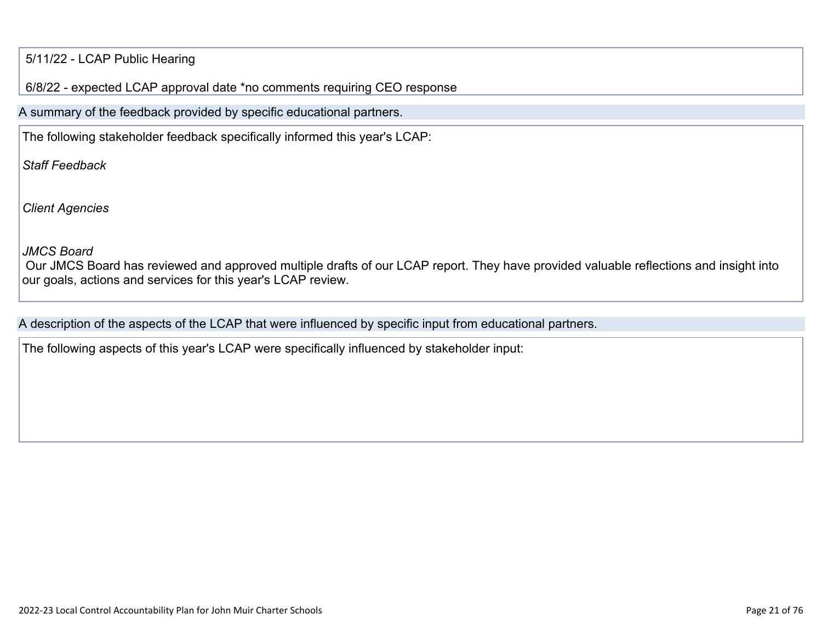### 5/11/22 - LCAP Public Hearing

6/8/22 - expected LCAP approval date \*no comments requiring CEO response

A summary of the feedback provided by specific educational partners.

The following stakeholder feedback specifically informed this year's LCAP:

*Staff Feedback*

*Client Agencies*

*JMCS Board*

 Our JMCS Board has reviewed and approved multiple drafts of our LCAP report. They have provided valuable reflections and insight into our goals, actions and services for this year's LCAP review.

A description of the aspects of the LCAP that were influenced by specific input from educational partners.

The following aspects of this year's LCAP were specifically influenced by stakeholder input: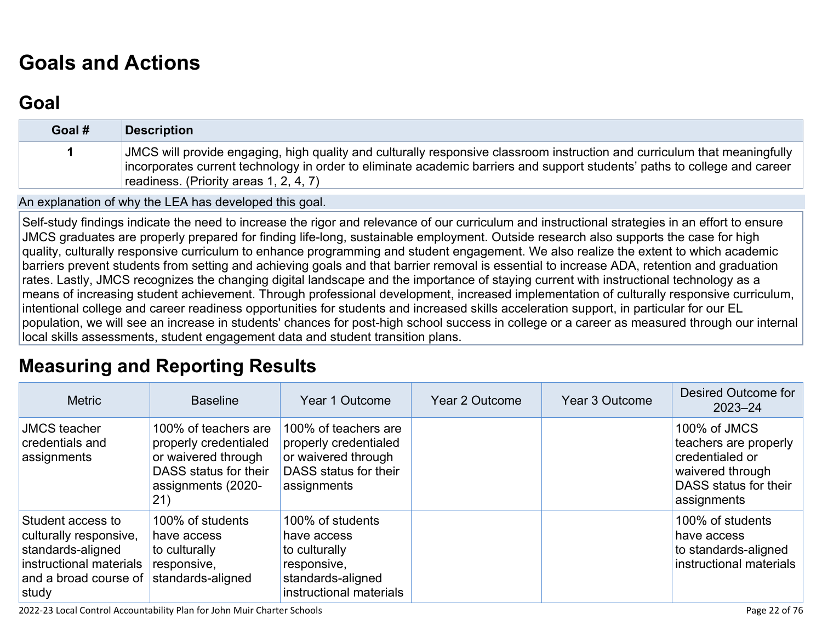# **[Goals and Actions](http://www.doc-tracking.com/screenshots/22LCAP/Instructions/22LCAPInstructions.htm#GoalsandActions)**

# **[Goal](http://www.doc-tracking.com/screenshots/22LCAP/Instructions/22LCAPInstructions.htm#goalDescription)**

| Goal # | <b>Description</b>                                                                                                                                                                                                                                                                               |
|--------|--------------------------------------------------------------------------------------------------------------------------------------------------------------------------------------------------------------------------------------------------------------------------------------------------|
|        | JMCS will provide engaging, high quality and culturally responsive classroom instruction and curriculum that meaningfully<br>incorporates current technology in order to eliminate academic barriers and support students' paths to college and career<br>readiness. (Priority areas 1, 2, 4, 7) |

An explanation of why the LEA has developed this goal.

Self-study findings indicate the need to increase the rigor and relevance of our curriculum and instructional strategies in an effort to ensure JMCS graduates are properly prepared for finding life-long, sustainable employment. Outside research also supports the case for high quality, culturally responsive curriculum to enhance programming and student engagement. We also realize the extent to which academic barriers prevent students from setting and achieving goals and that barrier removal is essential to increase ADA, retention and graduation rates. Lastly, JMCS recognizes the changing digital landscape and the importance of staying current with instructional technology as a means of increasing student achievement. Through professional development, increased implementation of culturally responsive curriculum, intentional college and career readiness opportunities for students and increased skills acceleration support, in particular for our EL population, we will see an increase in students' chances for post-high school success in college or a career as measured through our internal local skills assessments, student engagement data and student transition plans.

# **[Measuring and Reporting Results](http://www.doc-tracking.com/screenshots/22LCAP/Instructions/22LCAPInstructions.htm#MeasuringandReportingResults)**

| <b>Metric</b>                                                                                                                 | <b>Baseline</b>                                                                                                            | Year 1 Outcome                                                                                                  | Year 2 Outcome | Year 3 Outcome | Desired Outcome for<br>$2023 - 24$                                                                                   |
|-------------------------------------------------------------------------------------------------------------------------------|----------------------------------------------------------------------------------------------------------------------------|-----------------------------------------------------------------------------------------------------------------|----------------|----------------|----------------------------------------------------------------------------------------------------------------------|
| <b>JMCS</b> teacher<br>credentials and<br>assignments                                                                         | 100% of teachers are<br>properly credentialed<br>or waivered through<br>DASS status for their<br>assignments (2020-<br>21) | 100% of teachers are<br>properly credentialed<br>or waivered through<br>DASS status for their<br>assignments    |                |                | 100% of JMCS<br>teachers are properly<br>credentialed or<br>waivered through<br>DASS status for their<br>assignments |
| Student access to<br>culturally responsive,<br>standards-aligned<br>instructional materials<br>and a broad course of<br>study | 100% of students<br>have access<br>to culturally<br>responsive,<br>standards-aligned                                       | 100% of students<br>have access<br>to culturally<br>responsive,<br>standards-aligned<br>instructional materials |                |                | 100% of students<br>have access<br>to standards-aligned<br>instructional materials                                   |

2022-23 Local Control Accountability Plan for John Muir Charter Schools Page 22 of 76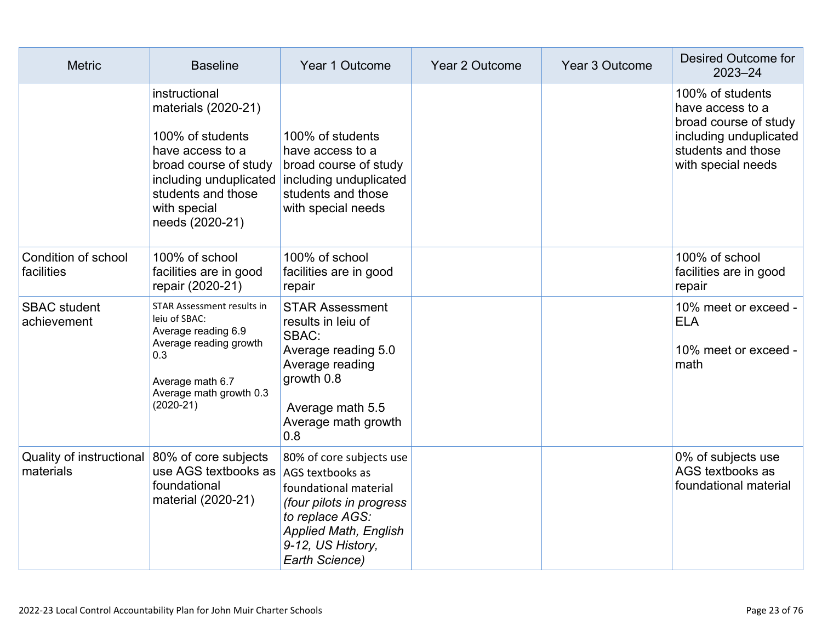| <b>Metric</b>                         | <b>Baseline</b>                                                                                                                                                          | Year 1 Outcome                                                                                                                                                          | Year 2 Outcome | Year 3 Outcome | Desired Outcome for<br>$2023 - 24$                                                                                                  |
|---------------------------------------|--------------------------------------------------------------------------------------------------------------------------------------------------------------------------|-------------------------------------------------------------------------------------------------------------------------------------------------------------------------|----------------|----------------|-------------------------------------------------------------------------------------------------------------------------------------|
|                                       | instructional<br>materials (2020-21)<br>100% of students<br>have access to a<br>broad course of study<br>students and those<br>with special<br>needs (2020-21)           | 100% of students<br>have access to a<br>broad course of study<br>including unduplicated including unduplicated<br>students and those<br>with special needs              |                |                | 100% of students<br>have access to a<br>broad course of study<br>including unduplicated<br>students and those<br>with special needs |
| Condition of school<br>facilities     | 100% of school<br>facilities are in good<br>repair (2020-21)                                                                                                             | 100% of school<br>facilities are in good<br>repair                                                                                                                      |                |                | 100% of school<br>facilities are in good<br>repair                                                                                  |
| <b>SBAC</b> student<br>achievement    | <b>STAR Assessment results in</b><br>leiu of SBAC:<br>Average reading 6.9<br>Average reading growth<br>0.3<br>Average math 6.7<br>Average math growth 0.3<br>$(2020-21)$ | <b>STAR Assessment</b><br>results in leiu of<br>SBAC:<br>Average reading 5.0<br>Average reading<br>growth 0.8<br>Average math 5.5<br>Average math growth<br>0.8         |                |                | 10% meet or exceed -<br><b>ELA</b><br>10% meet or exceed -<br>math                                                                  |
| Quality of instructional<br>materials | 80% of core subjects<br>use AGS textbooks as AGS textbooks as<br>foundational<br>material (2020-21)                                                                      | 80% of core subjects use<br>foundational material<br>(four pilots in progress<br>to replace AGS:<br><b>Applied Math, English</b><br>9-12, US History,<br>Earth Science) |                |                | 0% of subjects use<br>AGS textbooks as<br>foundational material                                                                     |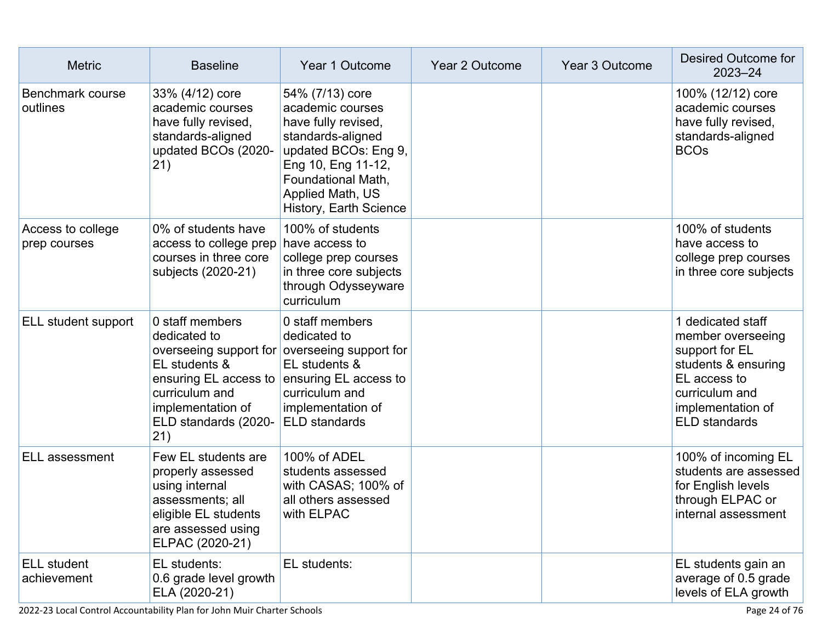| <b>Metric</b>                     | <b>Baseline</b>                                                                                                                                                       | Year 1 Outcome                                                                                                                                                                                    | Year 2 Outcome | Year 3 Outcome | Desired Outcome for<br>$2023 - 24$                                                                                                                             |
|-----------------------------------|-----------------------------------------------------------------------------------------------------------------------------------------------------------------------|---------------------------------------------------------------------------------------------------------------------------------------------------------------------------------------------------|----------------|----------------|----------------------------------------------------------------------------------------------------------------------------------------------------------------|
| Benchmark course<br>outlines      | 33% (4/12) core<br>academic courses<br>have fully revised,<br>standards-aligned<br>updated BCOs (2020-<br>21)                                                         | 54% (7/13) core<br>academic courses<br>have fully revised,<br>standards-aligned<br>updated BCOs: Eng 9,<br>Eng 10, Eng 11-12,<br>Foundational Math,<br>Applied Math, US<br>History, Earth Science |                |                | 100% (12/12) core<br>academic courses<br>have fully revised,<br>standards-aligned<br><b>BCOs</b>                                                               |
| Access to college<br>prep courses | 0% of students have<br>access to college prep have access to<br>courses in three core<br>subjects (2020-21)                                                           | 100% of students<br>college prep courses<br>in three core subjects<br>through Odysseyware<br>curriculum                                                                                           |                |                | 100% of students<br>have access to<br>college prep courses<br>in three core subjects                                                                           |
| ELL student support               | 0 staff members<br>dedicated to<br>EL students &<br>ensuring EL access to ensuring EL access to<br>curriculum and<br>implementation of<br>ELD standards (2020-<br>21) | 0 staff members<br>dedicated to<br>overseeing support for overseeing support for<br>EL students &<br>curriculum and<br>implementation of<br><b>ELD</b> standards                                  |                |                | 1 dedicated staff<br>member overseeing<br>support for EL<br>students & ensuring<br>EL access to<br>curriculum and<br>implementation of<br><b>ELD</b> standards |
| <b>ELL</b> assessment             | Few EL students are<br>properly assessed<br>using internal<br>assessments; all<br>eligible EL students<br>are assessed using<br>ELPAC (2020-21)                       | 100% of ADEL<br>students assessed<br>with CASAS; 100% of<br>all others assessed<br>with ELPAC                                                                                                     |                |                | 100% of incoming EL<br>students are assessed<br>for English levels<br>through ELPAC or<br>internal assessment                                                  |
| <b>ELL</b> student<br>achievement | EL students:<br>0.6 grade level growth<br>ELA (2020-21)                                                                                                               | EL students:                                                                                                                                                                                      |                |                | EL students gain an<br>average of 0.5 grade<br>levels of ELA growth                                                                                            |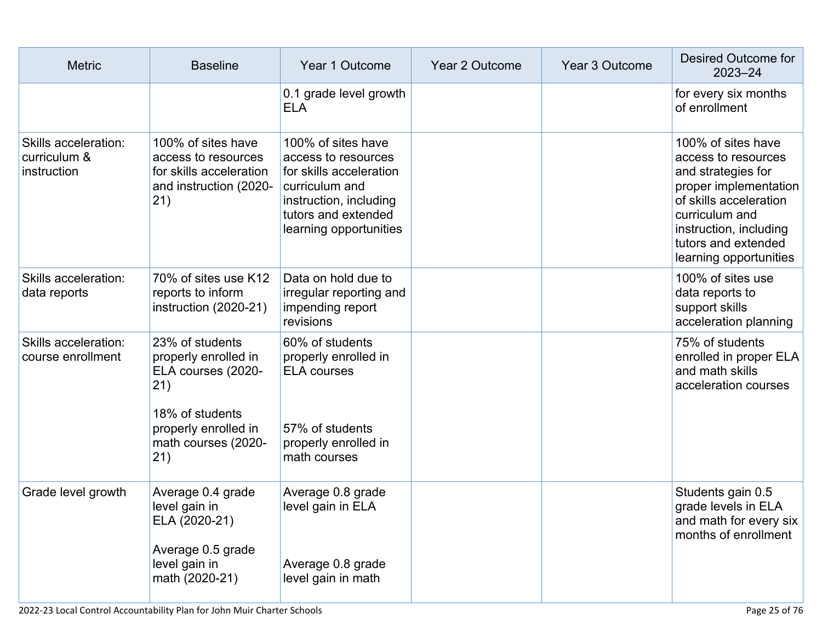| <b>Metric</b>                                       | <b>Baseline</b>                                                                                                                                                                        | Year 1 Outcome                                                                                                                                                    | Year 2 Outcome | Year 3 Outcome | Desired Outcome for<br>$2023 - 24$                                                                                                                                                                              |
|-----------------------------------------------------|----------------------------------------------------------------------------------------------------------------------------------------------------------------------------------------|-------------------------------------------------------------------------------------------------------------------------------------------------------------------|----------------|----------------|-----------------------------------------------------------------------------------------------------------------------------------------------------------------------------------------------------------------|
|                                                     |                                                                                                                                                                                        | 0.1 grade level growth<br><b>ELA</b>                                                                                                                              |                |                | for every six months<br>of enrollment                                                                                                                                                                           |
| Skills acceleration:<br>curriculum &<br>instruction | 100% of sites have<br>access to resources<br>for skills acceleration<br>and instruction (2020-<br>(21)                                                                                 | 100% of sites have<br>access to resources<br>for skills acceleration<br>curriculum and<br>instruction, including<br>tutors and extended<br>learning opportunities |                |                | 100% of sites have<br>access to resources<br>and strategies for<br>proper implementation<br>of skills acceleration<br>curriculum and<br>instruction, including<br>tutors and extended<br>learning opportunities |
| Skills acceleration:<br>data reports                | 70% of sites use K12<br>reports to inform<br>instruction (2020-21)                                                                                                                     | Data on hold due to<br>irregular reporting and<br>impending report<br>revisions                                                                                   |                |                | 100% of sites use<br>data reports to<br>support skills<br>acceleration planning                                                                                                                                 |
| <b>Skills acceleration:</b><br>course enrollment    | 23% of students<br>properly enrolled in<br>ELA courses (2020-<br>(21)<br>18% of students<br>properly enrolled in<br>math courses (2020-<br>21)                                         | 60% of students<br>properly enrolled in<br><b>ELA</b> courses<br>57% of students<br>properly enrolled in<br>math courses                                          |                |                | 75% of students<br>enrolled in proper ELA<br>and math skills<br>acceleration courses                                                                                                                            |
| Grade level growth                                  | Average 0.4 grade<br>level gain in<br>ELA (2020-21)<br>Average 0.5 grade<br>level gain in<br>math (2020-21)<br>2022-23 Local Control Accountability Plan for John Muir Charter Schools | Average 0.8 grade<br>level gain in ELA<br>Average 0.8 grade<br>level gain in math                                                                                 |                |                | Students gain 0.5<br>grade levels in ELA<br>and math for every six<br>months of enrollment<br>Page 25 of 76                                                                                                     |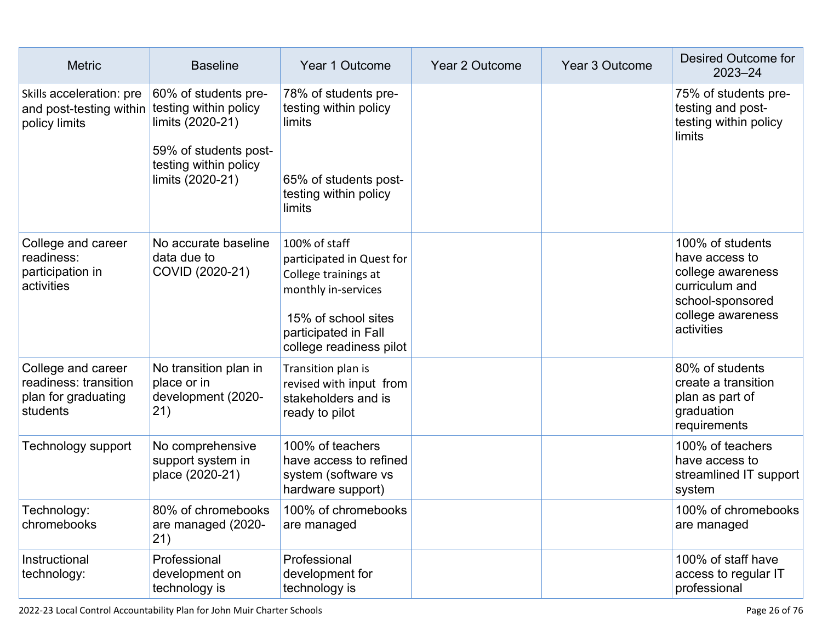| <b>Metric</b>                                                                  | <b>Baseline</b>                                                                                                                         | Year 1 Outcome                                                                                                                                                      | <b>Year 2 Outcome</b> | Year 3 Outcome | <b>Desired Outcome for</b><br>$2023 - 24$                                                                                        |
|--------------------------------------------------------------------------------|-----------------------------------------------------------------------------------------------------------------------------------------|---------------------------------------------------------------------------------------------------------------------------------------------------------------------|-----------------------|----------------|----------------------------------------------------------------------------------------------------------------------------------|
| Skills acceleration: pre<br>and post-testing within<br>policy limits           | 60% of students pre-<br>testing within policy<br>limits (2020-21)<br>59% of students post-<br>testing within policy<br>limits (2020-21) | 78% of students pre-<br>testing within policy<br>limits<br>65% of students post-<br>testing within policy<br>limits                                                 |                       |                | 75% of students pre-<br>testing and post-<br>testing within policy<br>limits                                                     |
| College and career<br>readiness:<br>participation in<br>activities             | No accurate baseline<br>data due to<br>COVID (2020-21)                                                                                  | 100% of staff<br>participated in Quest for<br>College trainings at<br>monthly in-services<br>15% of school sites<br>participated in Fall<br>college readiness pilot |                       |                | 100% of students<br>have access to<br>college awareness<br>curriculum and<br>school-sponsored<br>college awareness<br>activities |
| College and career<br>readiness: transition<br>plan for graduating<br>students | No transition plan in<br>place or in<br>development (2020-<br>21)                                                                       | Transition plan is<br>revised with input from<br>stakeholders and is<br>ready to pilot                                                                              |                       |                | 80% of students<br>create a transition<br>plan as part of<br>graduation<br>requirements                                          |
| <b>Technology support</b>                                                      | No comprehensive<br>support system in<br>place (2020-21)                                                                                | 100% of teachers<br>have access to refined<br>system (software vs<br>hardware support)                                                                              |                       |                | 100% of teachers<br>have access to<br>streamlined IT support<br>system                                                           |
| Technology:<br>chromebooks                                                     | 80% of chromebooks<br>are managed (2020-<br>21)                                                                                         | 100% of chromebooks<br>are managed                                                                                                                                  |                       |                | 100% of chromebooks<br>are managed                                                                                               |
| Instructional<br>technology:                                                   | Professional<br>development on<br>technology is                                                                                         | Professional<br>development for<br>technology is                                                                                                                    |                       |                | 100% of staff have<br>access to regular IT<br>professional                                                                       |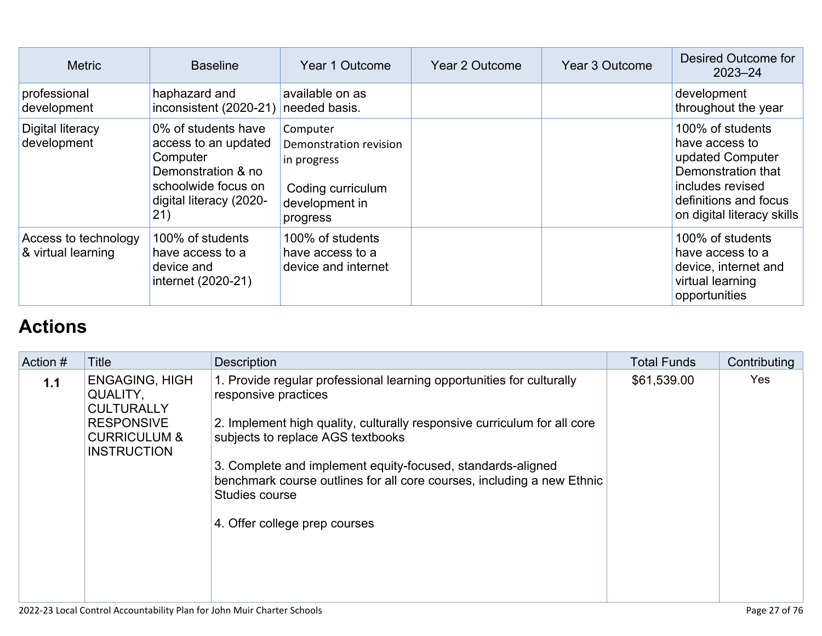| <b>Metric</b>                              | <b>Baseline</b>                                                                                                                        | Year 1 Outcome                                                                                       | Year 2 Outcome | Year 3 Outcome | Desired Outcome for<br>$2023 - 24$                                                                                                                      |
|--------------------------------------------|----------------------------------------------------------------------------------------------------------------------------------------|------------------------------------------------------------------------------------------------------|----------------|----------------|---------------------------------------------------------------------------------------------------------------------------------------------------------|
| professional<br>development                | haphazard and<br>inconsistent (2020-21)                                                                                                | available on as<br>needed basis.                                                                     |                |                | development<br>throughout the year                                                                                                                      |
| Digital literacy<br>development            | 0% of students have<br>access to an updated<br>Computer<br>Demonstration & no<br>schoolwide focus on<br>digital literacy (2020-<br>21) | Computer<br>Demonstration revision<br>in progress<br>Coding curriculum<br>development in<br>progress |                |                | 100% of students<br>have access to<br>updated Computer<br>Demonstration that<br>includes revised<br>definitions and focus<br>on digital literacy skills |
| Access to technology<br>& virtual learning | 100% of students<br>have access to a<br>device and<br>internet (2020-21)                                                               | 100% of students<br>have access to a<br>device and internet                                          |                |                | 100% of students<br>have access to a<br>device, internet and<br>virtual learning<br>opportunities                                                       |

# **[Actions](http://www.doc-tracking.com/screenshots/22LCAP/Instructions/22LCAPInstructions.htm#actions)**

| Action # | <b>Title</b>                                                       | <b>Description</b>                                                                                                                                      | <b>Total Funds</b> | Contributing |
|----------|--------------------------------------------------------------------|---------------------------------------------------------------------------------------------------------------------------------------------------------|--------------------|--------------|
| 1.1      | <b>ENGAGING, HIGH</b><br>QUALITY,<br><b>CULTURALLY</b>             | 1. Provide regular professional learning opportunities for culturally<br>responsive practices                                                           | \$61,539.00        | <b>Yes</b>   |
|          | <b>RESPONSIVE</b><br><b>CURRICULUM &amp;</b><br><b>INSTRUCTION</b> | 2. Implement high quality, culturally responsive curriculum for all core<br>subjects to replace AGS textbooks                                           |                    |              |
|          |                                                                    | 3. Complete and implement equity-focused, standards-aligned<br>benchmark course outlines for all core courses, including a new Ethnic<br>Studies course |                    |              |
|          |                                                                    | 4. Offer college prep courses                                                                                                                           |                    |              |
|          |                                                                    |                                                                                                                                                         |                    |              |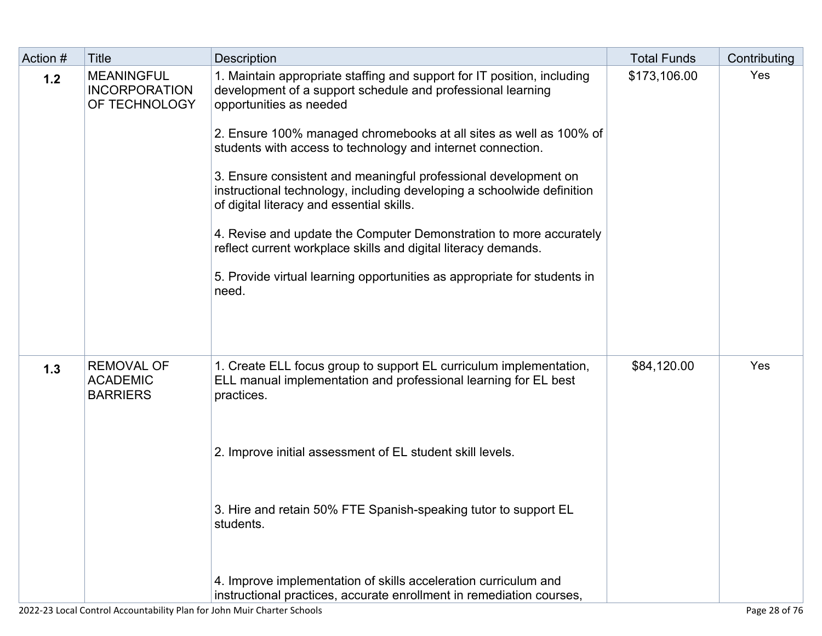| Action # | <b>Title</b>                                               | <b>Description</b>                                                                                                                                                                                                                                                                                                                                                                                                                                                                                                                                                                                                                                                                                                            | <b>Total Funds</b> | Contributing |
|----------|------------------------------------------------------------|-------------------------------------------------------------------------------------------------------------------------------------------------------------------------------------------------------------------------------------------------------------------------------------------------------------------------------------------------------------------------------------------------------------------------------------------------------------------------------------------------------------------------------------------------------------------------------------------------------------------------------------------------------------------------------------------------------------------------------|--------------------|--------------|
| 1.2      | <b>MEANINGFUL</b><br><b>INCORPORATION</b><br>OF TECHNOLOGY | 1. Maintain appropriate staffing and support for IT position, including<br>development of a support schedule and professional learning<br>opportunities as needed<br>2. Ensure 100% managed chromebooks at all sites as well as 100% of<br>students with access to technology and internet connection.<br>3. Ensure consistent and meaningful professional development on<br>instructional technology, including developing a schoolwide definition<br>of digital literacy and essential skills.<br>4. Revise and update the Computer Demonstration to more accurately<br>reflect current workplace skills and digital literacy demands.<br>5. Provide virtual learning opportunities as appropriate for students in<br>need. | \$173,106.00       | Yes          |
| 1.3      | <b>REMOVAL OF</b><br><b>ACADEMIC</b><br><b>BARRIERS</b>    | 1. Create ELL focus group to support EL curriculum implementation,<br>ELL manual implementation and professional learning for EL best<br>practices.<br>2. Improve initial assessment of EL student skill levels.<br>3. Hire and retain 50% FTE Spanish-speaking tutor to support EL<br>students.<br>4. Improve implementation of skills acceleration curriculum and<br>instructional practices, accurate enrollment in remediation courses,                                                                                                                                                                                                                                                                                   | \$84,120.00        | Yes          |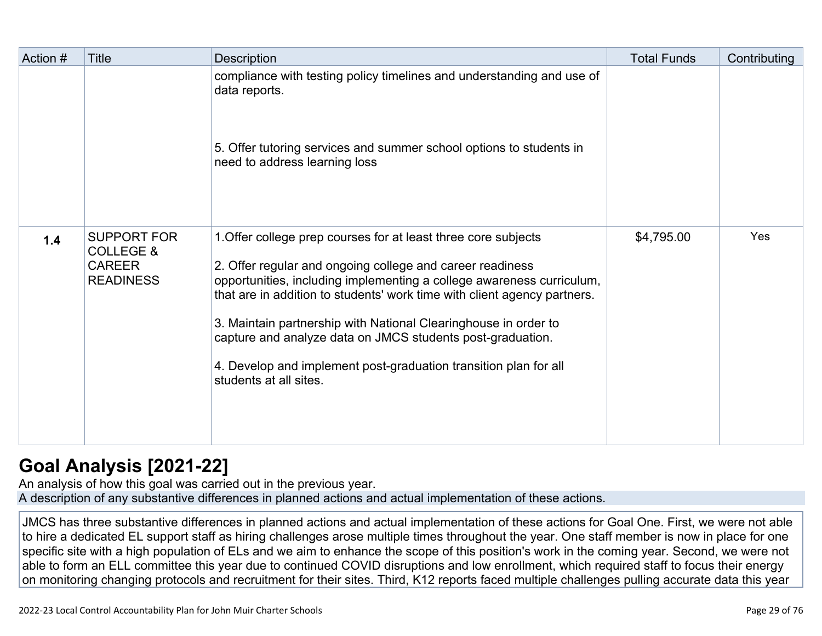| Action # | Title                                                                           | Description                                                                                                                                                                                                                                                                                                                                                                                                                                                                                                     | <b>Total Funds</b> | Contributing |
|----------|---------------------------------------------------------------------------------|-----------------------------------------------------------------------------------------------------------------------------------------------------------------------------------------------------------------------------------------------------------------------------------------------------------------------------------------------------------------------------------------------------------------------------------------------------------------------------------------------------------------|--------------------|--------------|
|          |                                                                                 | compliance with testing policy timelines and understanding and use of<br>data reports.<br>5. Offer tutoring services and summer school options to students in<br>need to address learning loss                                                                                                                                                                                                                                                                                                                  |                    |              |
| 1.4      | <b>SUPPORT FOR</b><br><b>COLLEGE &amp;</b><br><b>CAREER</b><br><b>READINESS</b> | 1. Offer college prep courses for at least three core subjects<br>2. Offer regular and ongoing college and career readiness<br>opportunities, including implementing a college awareness curriculum,<br>that are in addition to students' work time with client agency partners.<br>3. Maintain partnership with National Clearinghouse in order to<br>capture and analyze data on JMCS students post-graduation.<br>4. Develop and implement post-graduation transition plan for all<br>students at all sites. | \$4,795.00         | Yes          |

# **[Goal Analysis \[2021-22\]](http://www.doc-tracking.com/screenshots/22LCAP/Instructions/22LCAPInstructions.htm#GoalAnalysis)**

An analysis of how this goal was carried out in the previous year. A description of any substantive differences in planned actions and actual implementation of these actions.

JMCS has three substantive differences in planned actions and actual implementation of these actions for Goal One. First, we were not able to hire a dedicated EL support staff as hiring challenges arose multiple times throughout the year. One staff member is now in place for one specific site with a high population of ELs and we aim to enhance the scope of this position's work in the coming year. Second, we were not able to form an ELL committee this year due to continued COVID disruptions and low enrollment, which required staff to focus their energy on monitoring changing protocols and recruitment for their sites. Third, K12 reports faced multiple challenges pulling accurate data this year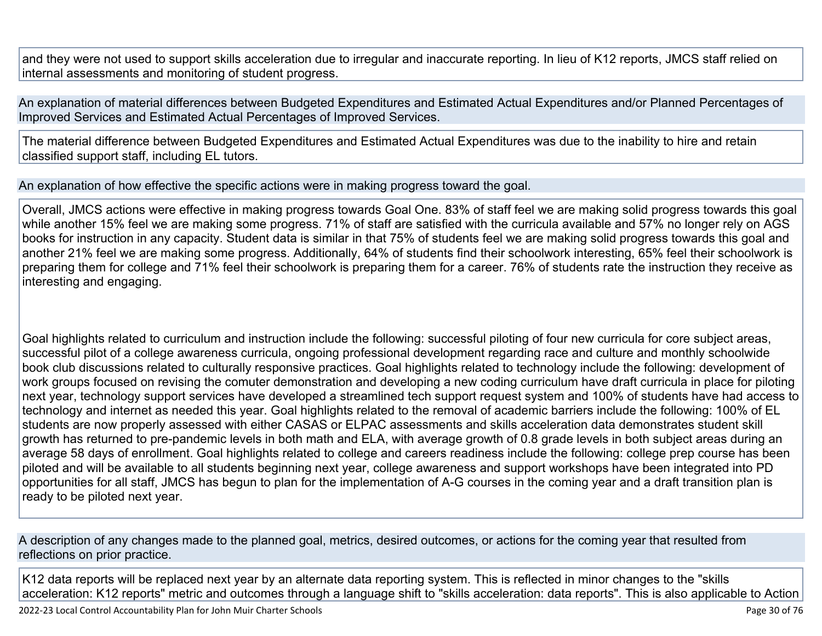and they were not used to support skills acceleration due to irregular and inaccurate reporting. In lieu of K12 reports, JMCS staff relied on internal assessments and monitoring of student progress.

An explanation of material differences between Budgeted Expenditures and Estimated Actual Expenditures and/or Planned Percentages of Improved Services and Estimated Actual Percentages of Improved Services.

The material difference between Budgeted Expenditures and Estimated Actual Expenditures was due to the inability to hire and retain classified support staff, including EL tutors.

An explanation of how effective the specific actions were in making progress toward the goal.

Overall, JMCS actions were effective in making progress towards Goal One. 83% of staff feel we are making solid progress towards this goal while another 15% feel we are making some progress. 71% of staff are satisfied with the curricula available and 57% no longer rely on AGS books for instruction in any capacity. Student data is similar in that 75% of students feel we are making solid progress towards this goal and another 21% feel we are making some progress. Additionally, 64% of students find their schoolwork interesting, 65% feel their schoolwork is preparing them for college and 71% feel their schoolwork is preparing them for a career. 76% of students rate the instruction they receive as interesting and engaging.

Goal highlights related to curriculum and instruction include the following: successful piloting of four new curricula for core subject areas, successful pilot of a college awareness curricula, ongoing professional development regarding race and culture and monthly schoolwide book club discussions related to culturally responsive practices. Goal highlights related to technology include the following: development of work groups focused on revising the comuter demonstration and developing a new coding curriculum have draft curricula in place for piloting next year, technology support services have developed a streamlined tech support request system and 100% of students have had access to technology and internet as needed this year. Goal highlights related to the removal of academic barriers include the following: 100% of EL students are now properly assessed with either CASAS or ELPAC assessments and skills acceleration data demonstrates student skill growth has returned to pre-pandemic levels in both math and ELA, with average growth of 0.8 grade levels in both subject areas during an average 58 days of enrollment. Goal highlights related to college and careers readiness include the following: college prep course has been piloted and will be available to all students beginning next year, college awareness and support workshops have been integrated into PD opportunities for all staff, JMCS has begun to plan for the implementation of A-G courses in the coming year and a draft transition plan is ready to be piloted next year.

A description of any changes made to the planned goal, metrics, desired outcomes, or actions for the coming year that resulted from reflections on prior practice.

K12 data reports will be replaced next year by an alternate data reporting system. This is reflected in minor changes to the "skills acceleration: K12 reports" metric and outcomes through a language shift to "skills acceleration: data reports". This is also applicable to Action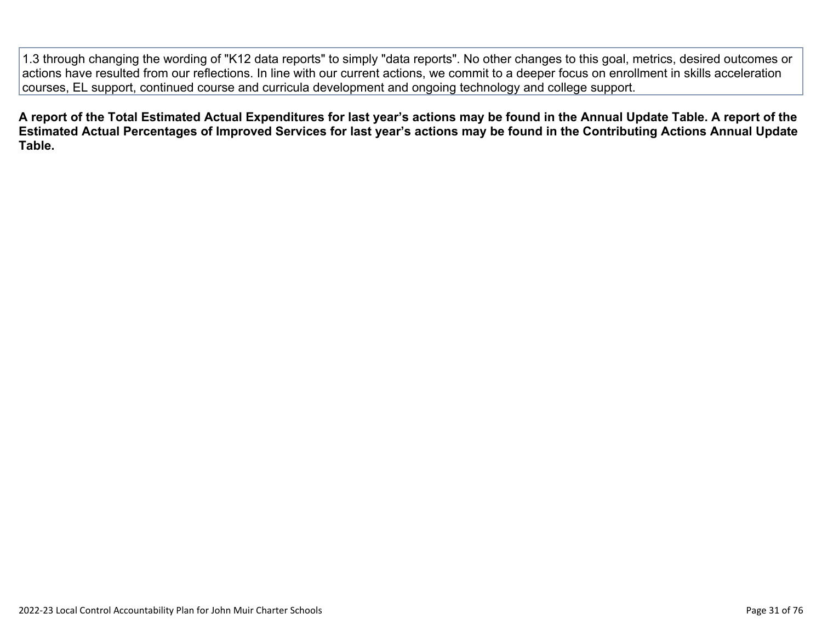1.3 through changing the wording of "K12 data reports" to simply "data reports". No other changes to this goal, metrics, desired outcomes or actions have resulted from our reflections. In line with our current actions, we commit to a deeper focus on enrollment in skills acceleration courses, EL support, continued course and curricula development and ongoing technology and college support.

**A report of the Total Estimated Actual Expenditures for last year's actions may be found in the Annual Update Table. A report of the Estimated Actual Percentages of Improved Services for last year's actions may be found in the Contributing Actions Annual Update Table.**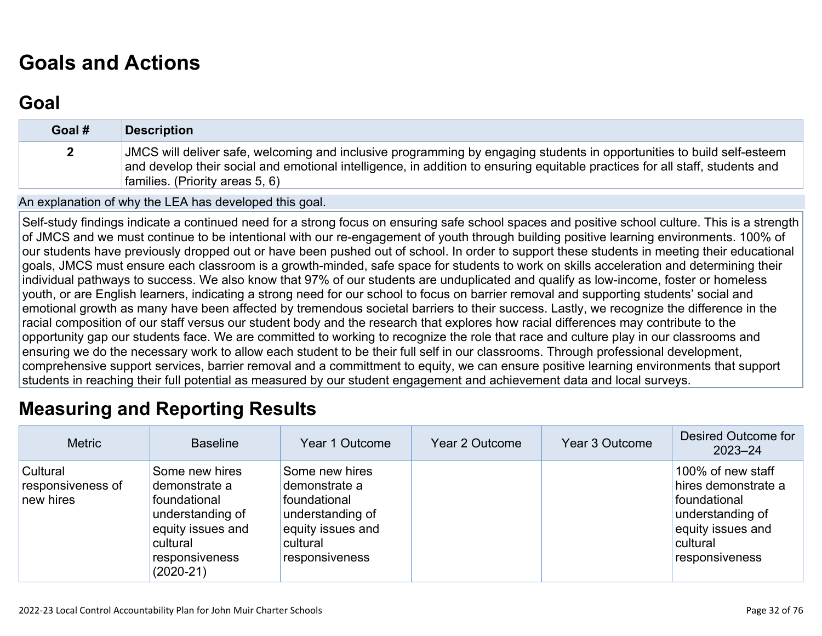# **[Goals and Actions](http://www.doc-tracking.com/screenshots/22LCAP/Instructions/22LCAPInstructions.htm#GoalsandActions)**

# **[Goal](http://www.doc-tracking.com/screenshots/22LCAP/Instructions/22LCAPInstructions.htm#goalDescription)**

| Goal # | <b>Description</b>                                                                                                                                                                                                                                                                        |
|--------|-------------------------------------------------------------------------------------------------------------------------------------------------------------------------------------------------------------------------------------------------------------------------------------------|
|        | JMCS will deliver safe, welcoming and inclusive programming by engaging students in opportunities to build self-esteem<br>and develop their social and emotional intelligence, in addition to ensuring equitable practices for all staff, students and<br>families. (Priority areas 5, 6) |

An explanation of why the LEA has developed this goal.

Self-study findings indicate a continued need for a strong focus on ensuring safe school spaces and positive school culture. This is a strength of JMCS and we must continue to be intentional with our re-engagement of youth through building positive learning environments. 100% of our students have previously dropped out or have been pushed out of school. In order to support these students in meeting their educational goals, JMCS must ensure each classroom is a growth-minded, safe space for students to work on skills acceleration and determining their individual pathways to success. We also know that 97% of our students are unduplicated and qualify as low-income, foster or homeless youth, or are English learners, indicating a strong need for our school to focus on barrier removal and supporting students' social and emotional growth as many have been affected by tremendous societal barriers to their success. Lastly, we recognize the difference in the racial composition of our staff versus our student body and the research that explores how racial differences may contribute to the opportunity gap our students face. We are committed to working to recognize the role that race and culture play in our classrooms and ensuring we do the necessary work to allow each student to be their full self in our classrooms. Through professional development, comprehensive support services, barrier removal and a committment to equity, we can ensure positive learning environments that support students in reaching their full potential as measured by our student engagement and achievement data and local surveys.

# **[Measuring and Reporting Results](http://www.doc-tracking.com/screenshots/22LCAP/Instructions/22LCAPInstructions.htm#MeasuringandReportingResults)**

| <b>Metric</b>                              | <b>Baseline</b>                                                                                                                       | Year 1 Outcome                                                                                                         | Year 2 Outcome | Year 3 Outcome | Desired Outcome for<br>$2023 - 24$                                                                                              |
|--------------------------------------------|---------------------------------------------------------------------------------------------------------------------------------------|------------------------------------------------------------------------------------------------------------------------|----------------|----------------|---------------------------------------------------------------------------------------------------------------------------------|
| Cultural<br>responsiveness of<br>new hires | Some new hires<br>demonstrate a<br>foundational<br>understanding of<br>equity issues and<br>cultural<br>responsiveness<br>$(2020-21)$ | Some new hires<br>demonstrate a<br>foundational<br>understanding of<br>equity issues and<br>cultural<br>responsiveness |                |                | 100% of new staff<br>hires demonstrate a<br>foundational<br>understanding of<br>equity issues and<br>cultural<br>responsiveness |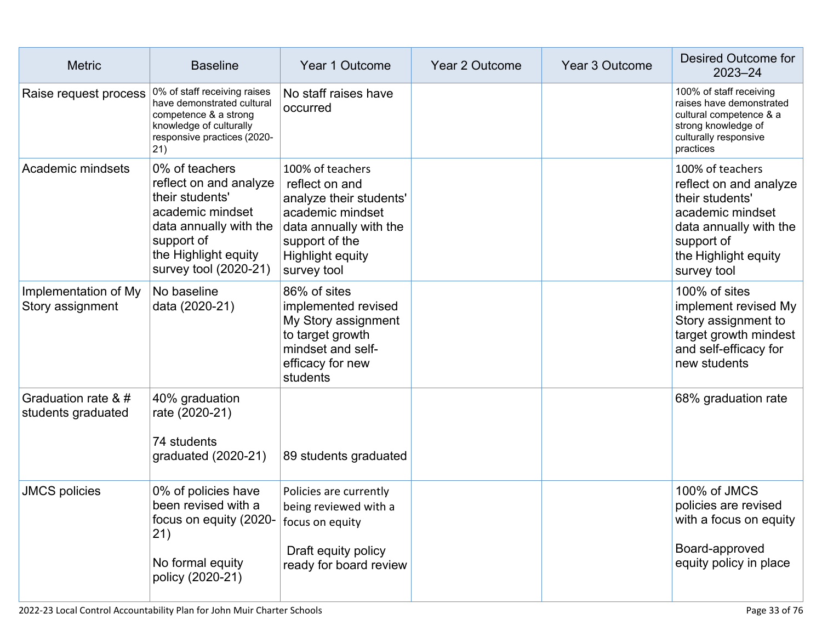| <b>Metric</b>                             | <b>Baseline</b>                                                                                                                                                          | Year 1 Outcome                                                                                                                                                          | <b>Year 2 Outcome</b> | Year 3 Outcome | Desired Outcome for<br>$2023 - 24$                                                                                                                               |
|-------------------------------------------|--------------------------------------------------------------------------------------------------------------------------------------------------------------------------|-------------------------------------------------------------------------------------------------------------------------------------------------------------------------|-----------------------|----------------|------------------------------------------------------------------------------------------------------------------------------------------------------------------|
| Raise request process                     | 0% of staff receiving raises<br>have demonstrated cultural<br>competence & a strong<br>knowledge of culturally<br>responsive practices (2020-<br>21)                     | No staff raises have<br>occurred                                                                                                                                        |                       |                | 100% of staff receiving<br>raises have demonstrated<br>cultural competence & a<br>strong knowledge of<br>culturally responsive<br>practices                      |
| Academic mindsets                         | 0% of teachers<br>reflect on and analyze<br>their students'<br>academic mindset<br>data annually with the<br>support of<br>the Highlight equity<br>survey tool (2020-21) | 100% of teachers<br>reflect on and<br>analyze their students'<br>academic mindset<br>data annually with the<br>support of the<br><b>Highlight equity</b><br>survey tool |                       |                | 100% of teachers<br>reflect on and analyze<br>their students'<br>academic mindset<br>data annually with the<br>support of<br>the Highlight equity<br>survey tool |
| Implementation of My<br>Story assignment  | No baseline<br>data (2020-21)                                                                                                                                            | 86% of sites<br>implemented revised<br>My Story assignment<br>to target growth<br>mindset and self-<br>efficacy for new<br>students                                     |                       |                | 100% of sites<br>implement revised My<br>Story assignment to<br>target growth mindest<br>and self-efficacy for<br>new students                                   |
| Graduation rate & #<br>students graduated | 40% graduation<br>rate (2020-21)<br>74 students<br>graduated (2020-21)                                                                                                   | 89 students graduated                                                                                                                                                   |                       |                | 68% graduation rate                                                                                                                                              |
| <b>JMCS policies</b>                      | 0% of policies have<br>been revised with a<br>focus on equity (2020-<br>21)<br>No formal equity<br>policy (2020-21)                                                      | Policies are currently<br>being reviewed with a<br>focus on equity<br>Draft equity policy<br>ready for board review                                                     |                       |                | 100% of JMCS<br>policies are revised<br>with a focus on equity<br>Board-approved<br>equity policy in place                                                       |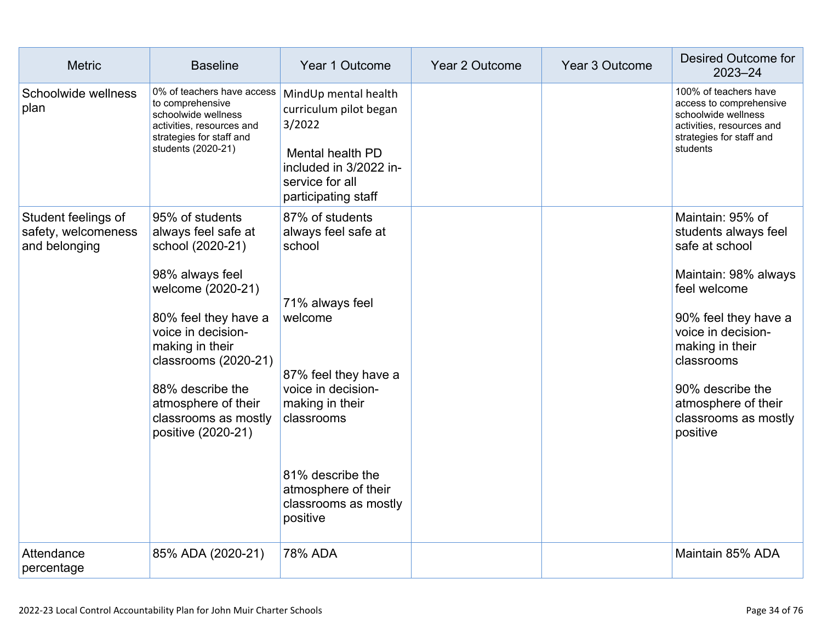| <b>Metric</b>                                               | <b>Baseline</b>                                                                                                                                                                                                                                                                      | Year 1 Outcome                                                                                                                                                                                                                               | <b>Year 2 Outcome</b> | Year 3 Outcome | Desired Outcome for<br>$2023 - 24$                                                                                                                                                                                                                               |
|-------------------------------------------------------------|--------------------------------------------------------------------------------------------------------------------------------------------------------------------------------------------------------------------------------------------------------------------------------------|----------------------------------------------------------------------------------------------------------------------------------------------------------------------------------------------------------------------------------------------|-----------------------|----------------|------------------------------------------------------------------------------------------------------------------------------------------------------------------------------------------------------------------------------------------------------------------|
| Schoolwide wellness<br>plan                                 | 0% of teachers have access<br>to comprehensive<br>schoolwide wellness<br>activities, resources and<br>strategies for staff and<br>students (2020-21)                                                                                                                                 | MindUp mental health<br>curriculum pilot began<br>3/2022<br>Mental health PD<br>included in 3/2022 in-<br>service for all<br>participating staff                                                                                             |                       |                | 100% of teachers have<br>access to comprehensive<br>schoolwide wellness<br>activities, resources and<br>strategies for staff and<br>students                                                                                                                     |
| Student feelings of<br>safety, welcomeness<br>and belonging | 95% of students<br>always feel safe at<br>school (2020-21)<br>98% always feel<br>welcome (2020-21)<br>80% feel they have a<br>voice in decision-<br>making in their<br>classrooms (2020-21)<br>88% describe the<br>atmosphere of their<br>classrooms as mostly<br>positive (2020-21) | 87% of students<br>always feel safe at<br>school<br>71% always feel<br>welcome<br>87% feel they have a<br>voice in decision-<br>making in their<br>classrooms<br>81% describe the<br>atmosphere of their<br>classrooms as mostly<br>positive |                       |                | Maintain: 95% of<br>students always feel<br>safe at school<br>Maintain: 98% always<br>feel welcome<br>90% feel they have a<br>voice in decision-<br>making in their<br>classrooms<br>90% describe the<br>atmosphere of their<br>classrooms as mostly<br>positive |
| Attendance<br>percentage                                    | 85% ADA (2020-21)                                                                                                                                                                                                                                                                    | 78% ADA                                                                                                                                                                                                                                      |                       |                | Maintain 85% ADA                                                                                                                                                                                                                                                 |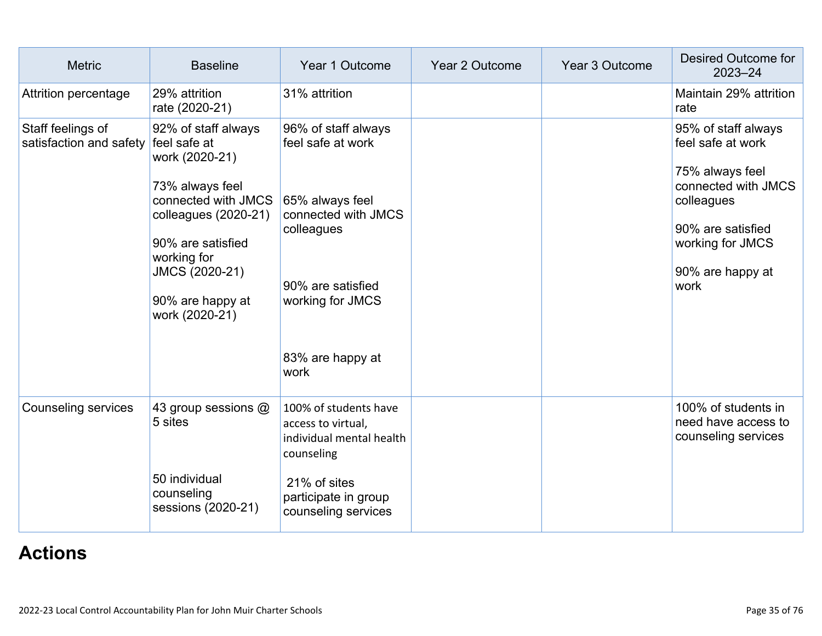| <b>Metric</b>                                | <b>Baseline</b>                                                                                                                                                                                                     | Year 1 Outcome                                                                                                                                                        | Year 2 Outcome | Year 3 Outcome | Desired Outcome for<br>$2023 - 24$                                                                                                                                    |
|----------------------------------------------|---------------------------------------------------------------------------------------------------------------------------------------------------------------------------------------------------------------------|-----------------------------------------------------------------------------------------------------------------------------------------------------------------------|----------------|----------------|-----------------------------------------------------------------------------------------------------------------------------------------------------------------------|
| Attrition percentage                         | 29% attrition<br>rate (2020-21)                                                                                                                                                                                     | 31% attrition                                                                                                                                                         |                |                | Maintain 29% attrition<br>rate                                                                                                                                        |
| Staff feelings of<br>satisfaction and safety | 92% of staff always<br>feel safe at<br>work (2020-21)<br>73% always feel<br>connected with JMCS<br>colleagues (2020-21)<br>90% are satisfied<br>working for<br>JMCS (2020-21)<br>90% are happy at<br>work (2020-21) | 96% of staff always<br>feel safe at work<br>65% always feel<br>connected with JMCS<br>colleagues<br>90% are satisfied<br>working for JMCS<br>83% are happy at<br>work |                |                | 95% of staff always<br>feel safe at work<br>75% always feel<br>connected with JMCS<br>colleagues<br>90% are satisfied<br>working for JMCS<br>90% are happy at<br>work |
| <b>Counseling services</b>                   | 43 group sessions @<br>5 sites<br>50 individual<br>counseling<br>sessions (2020-21)                                                                                                                                 | 100% of students have<br>access to virtual,<br>individual mental health<br>counseling<br>21% of sites<br>participate in group<br>counseling services                  |                |                | 100% of students in<br>need have access to<br>counseling services                                                                                                     |

# **[Actions](http://www.doc-tracking.com/screenshots/22LCAP/Instructions/22LCAPInstructions.htm#actions)**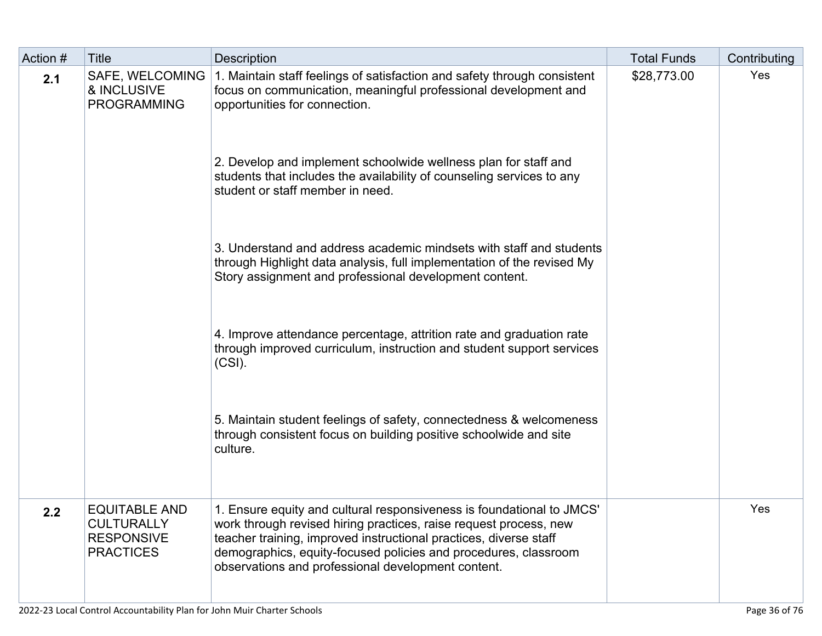| Action # | <b>Title</b>                                                                       | <b>Description</b>                                                                                                                                                                                                                                                                                                                                           | <b>Total Funds</b> | Contributing |
|----------|------------------------------------------------------------------------------------|--------------------------------------------------------------------------------------------------------------------------------------------------------------------------------------------------------------------------------------------------------------------------------------------------------------------------------------------------------------|--------------------|--------------|
| 2.1      | <b>SAFE, WELCOMING</b><br>& INCLUSIVE<br><b>PROGRAMMING</b>                        | 1. Maintain staff feelings of satisfaction and safety through consistent<br>focus on communication, meaningful professional development and<br>opportunities for connection.<br>2. Develop and implement schoolwide wellness plan for staff and<br>students that includes the availability of counseling services to any<br>student or staff member in need. | \$28,773.00        | Yes          |
|          |                                                                                    | 3. Understand and address academic mindsets with staff and students<br>through Highlight data analysis, full implementation of the revised My<br>Story assignment and professional development content.                                                                                                                                                      |                    |              |
|          |                                                                                    | 4. Improve attendance percentage, attrition rate and graduation rate<br>through improved curriculum, instruction and student support services<br>$(CSI)$ .                                                                                                                                                                                                   |                    |              |
|          |                                                                                    | 5. Maintain student feelings of safety, connectedness & welcomeness<br>through consistent focus on building positive schoolwide and site<br>culture.                                                                                                                                                                                                         |                    |              |
| 2.2      | <b>EQUITABLE AND</b><br><b>CULTURALLY</b><br><b>RESPONSIVE</b><br><b>PRACTICES</b> | 1. Ensure equity and cultural responsiveness is foundational to JMCS'<br>work through revised hiring practices, raise request process, new<br>teacher training, improved instructional practices, diverse staff<br>demographics, equity-focused policies and procedures, classroom<br>observations and professional development content.                     |                    | Yes          |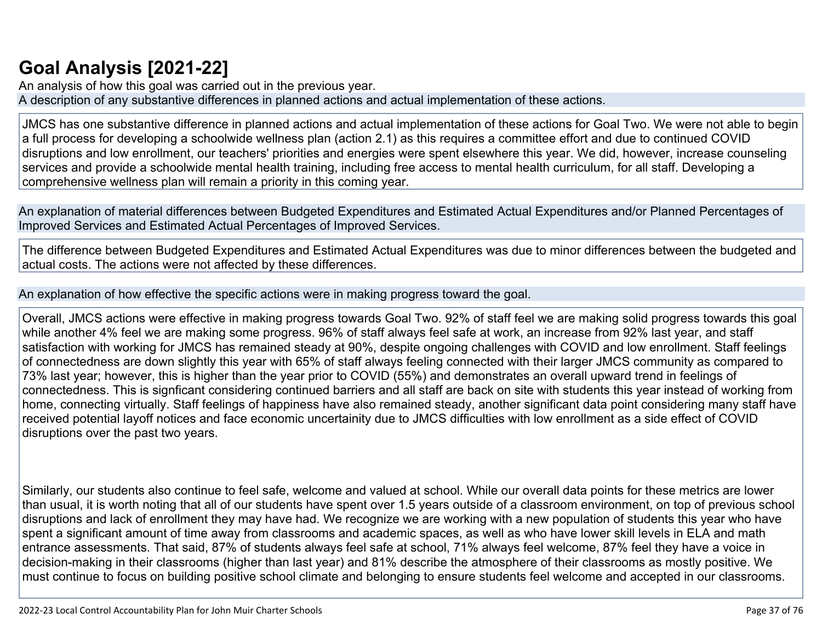## **[Goal Analysis \[2021-22\]](http://www.doc-tracking.com/screenshots/22LCAP/Instructions/22LCAPInstructions.htm#GoalAnalysis)**

An analysis of how this goal was carried out in the previous year. A description of any substantive differences in planned actions and actual implementation of these actions.

JMCS has one substantive difference in planned actions and actual implementation of these actions for Goal Two. We were not able to begin a full process for developing a schoolwide wellness plan (action 2.1) as this requires a committee effort and due to continued COVID disruptions and low enrollment, our teachers' priorities and energies were spent elsewhere this year. We did, however, increase counseling services and provide a schoolwide mental health training, including free access to mental health curriculum, for all staff. Developing a comprehensive wellness plan will remain a priority in this coming year.

An explanation of material differences between Budgeted Expenditures and Estimated Actual Expenditures and/or Planned Percentages of Improved Services and Estimated Actual Percentages of Improved Services.

The difference between Budgeted Expenditures and Estimated Actual Expenditures was due to minor differences between the budgeted and actual costs. The actions were not affected by these differences.

An explanation of how effective the specific actions were in making progress toward the goal.

Overall, JMCS actions were effective in making progress towards Goal Two. 92% of staff feel we are making solid progress towards this goal while another 4% feel we are making some progress. 96% of staff always feel safe at work, an increase from 92% last year, and staff satisfaction with working for JMCS has remained steady at 90%, despite ongoing challenges with COVID and low enrollment. Staff feelings of connectedness are down slightly this year with 65% of staff always feeling connected with their larger JMCS community as compared to 73% last year; however, this is higher than the year prior to COVID (55%) and demonstrates an overall upward trend in feelings of connectedness. This is signficant considering continued barriers and all staff are back on site with students this year instead of working from home, connecting virtually. Staff feelings of happiness have also remained steady, another significant data point considering many staff have received potential layoff notices and face economic uncertainity due to JMCS difficulties with low enrollment as a side effect of COVID disruptions over the past two years.

Similarly, our students also continue to feel safe, welcome and valued at school. While our overall data points for these metrics are lower than usual, it is worth noting that all of our students have spent over 1.5 years outside of a classroom environment, on top of previous school disruptions and lack of enrollment they may have had. We recognize we are working with a new population of students this year who have spent a significant amount of time away from classrooms and academic spaces, as well as who have lower skill levels in ELA and math entrance assessments. That said, 87% of students always feel safe at school, 71% always feel welcome, 87% feel they have a voice in decision-making in their classrooms (higher than last year) and 81% describe the atmosphere of their classrooms as mostly positive. We must continue to focus on building positive school climate and belonging to ensure students feel welcome and accepted in our classrooms.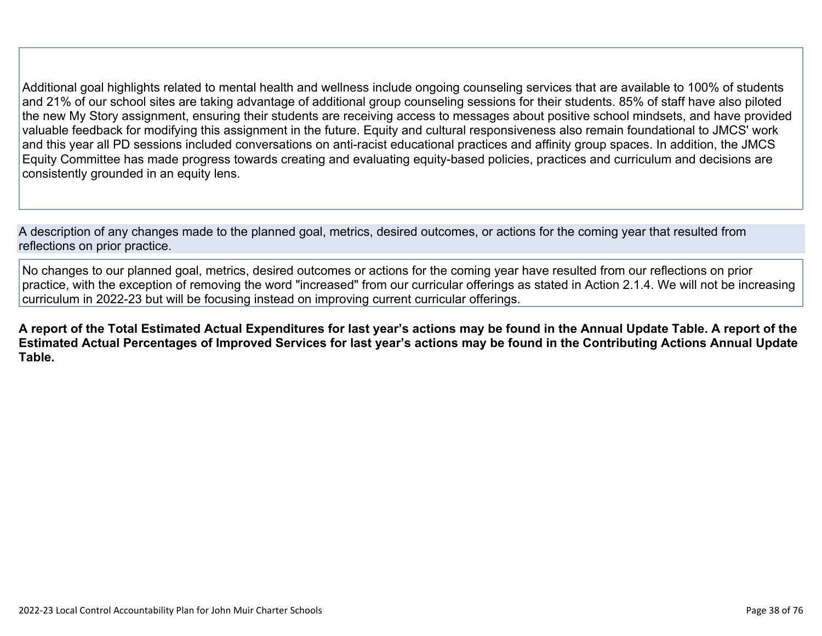Additional goal highlights related to mental health and wellness include ongoing counseling services that are available to 100% of students and 21% of our school sites are taking advantage of additional group counseling sessions for their students. 85% of staff have also piloted the new My Story assignment, ensuring their students are receiving access to messages about positive school mindsets, and have provided valuable feedback for modifying this assignment in the future. Equity and cultural responsiveness also remain foundational to JMCS' work and this year all PD sessions included conversations on anti-racist educational practices and affinity group spaces. In addition, the JMCS Equity Committee has made progress towards creating and evaluating equity-based policies, practices and curriculum and decisions are consistently grounded in an equity lens.

A description of any changes made to the planned goal, metrics, desired outcomes, or actions for the coming year that resulted from reflections on prior practice.

No changes to our planned goal, metrics, desired outcomes or actions for the coming year have resulted from our reflections on prior practice, with the exception of removing the word "increased" from our curricular offerings as stated in Action 2.1.4. We will not be increasing curriculum in 2022-23 but will be focusing instead on improving current curricular offerings.

**A report of the Total Estimated Actual Expenditures for last year's actions may be found in the Annual Update Table. A report of the Estimated Actual Percentages of Improved Services for last year's actions may be found in the Contributing Actions Annual Update Table.**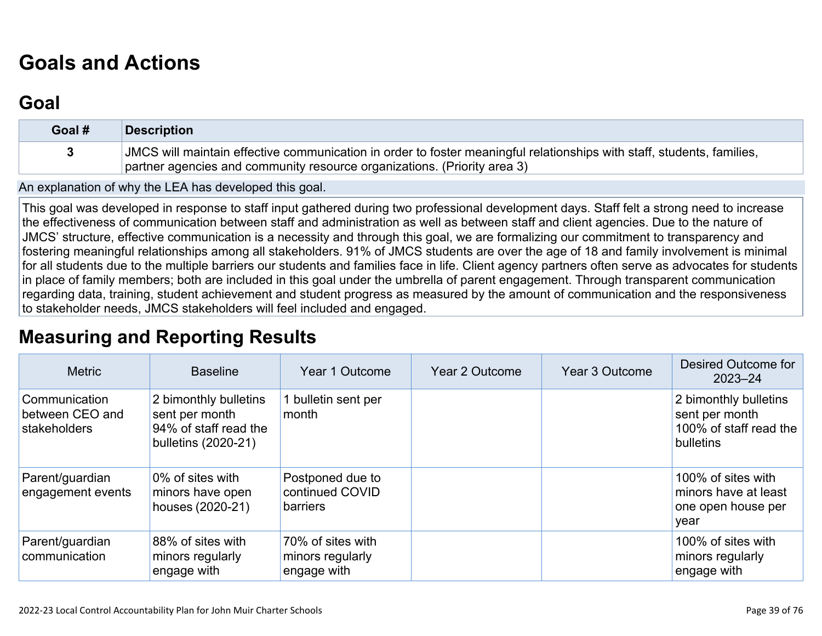# **[Goals and Actions](http://www.doc-tracking.com/screenshots/22LCAP/Instructions/22LCAPInstructions.htm#GoalsandActions)**

## **[Goal](http://www.doc-tracking.com/screenshots/22LCAP/Instructions/22LCAPInstructions.htm#goalDescription)**

| Goal # | <b>Description</b>                                                                                                                                                                                 |
|--------|----------------------------------------------------------------------------------------------------------------------------------------------------------------------------------------------------|
|        | JMCS will maintain effective communication in order to foster meaningful relationships with staff, students, families,<br>partner agencies and community resource organizations. (Priority area 3) |

An explanation of why the LEA has developed this goal.

This goal was developed in response to staff input gathered during two professional development days. Staff felt a strong need to increase the effectiveness of communication between staff and administration as well as between staff and client agencies. Due to the nature of JMCS' structure, effective communication is a necessity and through this goal, we are formalizing our commitment to transparency and fostering meaningful relationships among all stakeholders. 91% of JMCS students are over the age of 18 and family involvement is minimal for all students due to the multiple barriers our students and families face in life. Client agency partners often serve as advocates for students in place of family members; both are included in this goal under the umbrella of parent engagement. Through transparent communication regarding data, training, student achievement and student progress as measured by the amount of communication and the responsiveness to stakeholder needs, JMCS stakeholders will feel included and engaged.

## **[Measuring and Reporting Results](http://www.doc-tracking.com/screenshots/22LCAP/Instructions/22LCAPInstructions.htm#MeasuringandReportingResults)**

| <b>Metric</b>                                    | <b>Baseline</b>                                                                         | Year 1 Outcome                                       | Year 2 Outcome | Year 3 Outcome | Desired Outcome for<br>$2023 - 24$                                             |
|--------------------------------------------------|-----------------------------------------------------------------------------------------|------------------------------------------------------|----------------|----------------|--------------------------------------------------------------------------------|
| Communication<br>between CEO and<br>stakeholders | 2 bimonthly bulletins<br>sent per month<br>94% of staff read the<br>bulletins (2020-21) | 1 bulletin sent per<br>month                         |                |                | 2 bimonthly bulletins<br>sent per month<br>100% of staff read the<br>bulletins |
| Parent/guardian<br>engagement events             | 0% of sites with<br>minors have open<br>houses (2020-21)                                | Postponed due to<br>continued COVID<br>barriers      |                |                | 100% of sites with<br>minors have at least<br>one open house per<br>year       |
| Parent/guardian<br>communication                 | 88% of sites with<br>minors regularly<br>engage with                                    | 70% of sites with<br>minors regularly<br>engage with |                |                | 100% of sites with<br>minors regularly<br>engage with                          |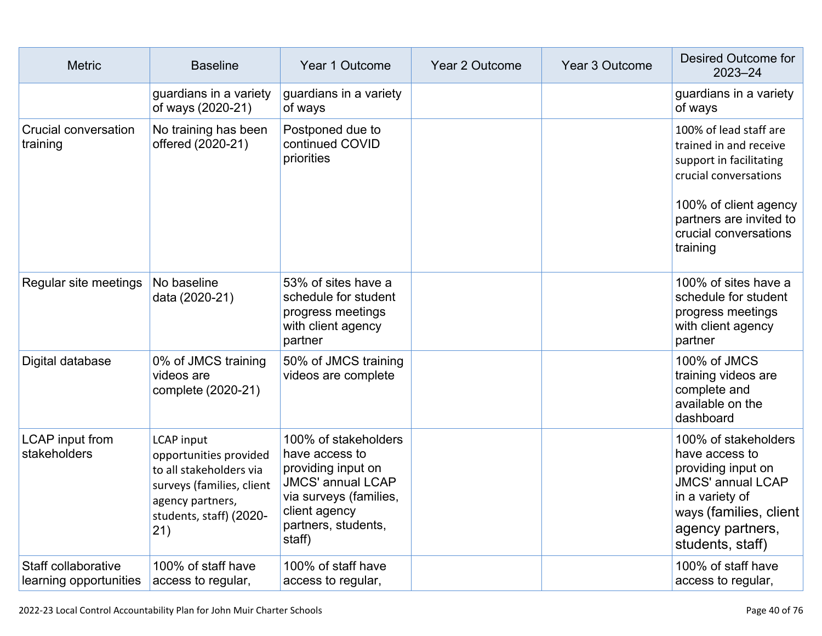| <b>Metric</b>                                 | <b>Baseline</b>                                                                                                                                           | Year 1 Outcome                                                                                                                                                       | Year 2 Outcome | Year 3 Outcome | <b>Desired Outcome for</b><br>$2023 - 24$                                                                                                                                                     |
|-----------------------------------------------|-----------------------------------------------------------------------------------------------------------------------------------------------------------|----------------------------------------------------------------------------------------------------------------------------------------------------------------------|----------------|----------------|-----------------------------------------------------------------------------------------------------------------------------------------------------------------------------------------------|
|                                               | guardians in a variety<br>of ways (2020-21)                                                                                                               | guardians in a variety<br>of ways                                                                                                                                    |                |                | guardians in a variety<br>of ways                                                                                                                                                             |
| Crucial conversation<br>training              | No training has been<br>offered (2020-21)                                                                                                                 | Postponed due to<br>continued COVID<br>priorities                                                                                                                    |                |                | 100% of lead staff are<br>trained in and receive<br>support in facilitating<br>crucial conversations<br>100% of client agency<br>partners are invited to<br>crucial conversations<br>training |
| Regular site meetings                         | No baseline<br>data (2020-21)                                                                                                                             | 53% of sites have a<br>schedule for student<br>progress meetings<br>with client agency<br>partner                                                                    |                |                | 100% of sites have a<br>schedule for student<br>progress meetings<br>with client agency<br>partner                                                                                            |
| Digital database                              | 0% of JMCS training<br>videos are<br>complete (2020-21)                                                                                                   | 50% of JMCS training<br>videos are complete                                                                                                                          |                |                | 100% of JMCS<br>training videos are<br>complete and<br>available on the<br>dashboard                                                                                                          |
| <b>LCAP</b> input from<br>stakeholders        | <b>LCAP</b> input<br>opportunities provided<br>to all stakeholders via<br>surveys (families, client<br>agency partners,<br>students, staff) (2020-<br>21) | 100% of stakeholders<br>have access to<br>providing input on<br><b>JMCS' annual LCAP</b><br>via surveys (families,<br>client agency<br>partners, students,<br>staff) |                |                | 100% of stakeholders<br>have access to<br>providing input on<br><b>JMCS' annual LCAP</b><br>in a variety of<br>ways (families, client<br>agency partners,<br>students, staff)                 |
| Staff collaborative<br>learning opportunities | 100% of staff have<br>access to regular,                                                                                                                  | 100% of staff have<br>access to regular,                                                                                                                             |                |                | 100% of staff have<br>access to regular,                                                                                                                                                      |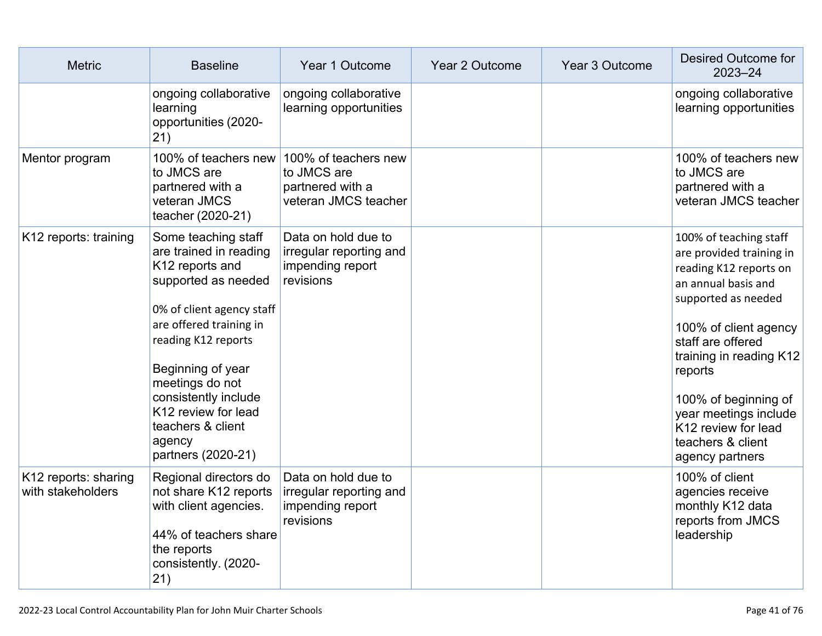| <b>Metric</b>                             | <b>Baseline</b>                                                                                                                                                                                                                                                                                                    | Year 1 Outcome                                                                  | Year 2 Outcome | Year 3 Outcome | <b>Desired Outcome for</b><br>$2023 - 24$                                                                                                                                                                                                                                                                                      |
|-------------------------------------------|--------------------------------------------------------------------------------------------------------------------------------------------------------------------------------------------------------------------------------------------------------------------------------------------------------------------|---------------------------------------------------------------------------------|----------------|----------------|--------------------------------------------------------------------------------------------------------------------------------------------------------------------------------------------------------------------------------------------------------------------------------------------------------------------------------|
|                                           | ongoing collaborative<br>learning<br>opportunities (2020-<br>21)                                                                                                                                                                                                                                                   | ongoing collaborative<br>learning opportunities                                 |                |                | ongoing collaborative<br>learning opportunities                                                                                                                                                                                                                                                                                |
| Mentor program                            | 100% of teachers new<br>to JMCS are<br>partnered with a<br>veteran JMCS<br>teacher (2020-21)                                                                                                                                                                                                                       | 100% of teachers new<br>to JMCS are<br>partnered with a<br>veteran JMCS teacher |                |                | 100% of teachers new<br>to JMCS are<br>partnered with a<br>veteran JMCS teacher                                                                                                                                                                                                                                                |
| K12 reports: training                     | Some teaching staff<br>are trained in reading<br>K12 reports and<br>supported as needed<br>0% of client agency staff<br>are offered training in<br>reading K12 reports<br>Beginning of year<br>meetings do not<br>consistently include<br>K12 review for lead<br>teachers & client<br>agency<br>partners (2020-21) | Data on hold due to<br>irregular reporting and<br>impending report<br>revisions |                |                | 100% of teaching staff<br>are provided training in<br>reading K12 reports on<br>an annual basis and<br>supported as needed<br>100% of client agency<br>staff are offered<br>training in reading K12<br>reports<br>100% of beginning of<br>year meetings include<br>K12 review for lead<br>teachers & client<br>agency partners |
| K12 reports: sharing<br>with stakeholders | Regional directors do<br>not share K12 reports<br>with client agencies.<br>44% of teachers share<br>the reports<br>consistently. (2020-<br>21)                                                                                                                                                                     | Data on hold due to<br>irregular reporting and<br>impending report<br>revisions |                |                | 100% of client<br>agencies receive<br>monthly K12 data<br>reports from JMCS<br>leadership                                                                                                                                                                                                                                      |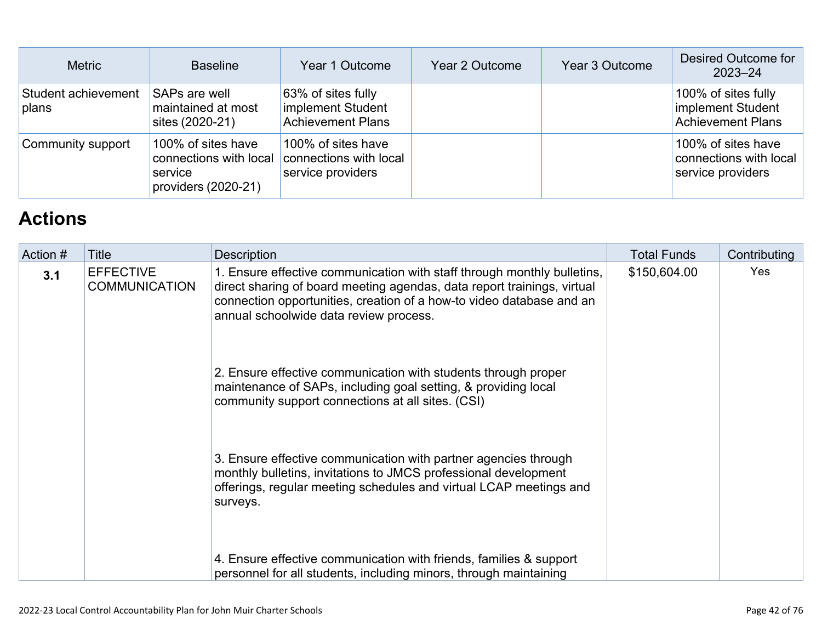| <b>Metric</b>                | <b>Baseline</b>                                                                | Year 1 Outcome                                                      | Year 2 Outcome | Year 3 Outcome | Desired Outcome for<br>$2023 - 24$                                   |
|------------------------------|--------------------------------------------------------------------------------|---------------------------------------------------------------------|----------------|----------------|----------------------------------------------------------------------|
| Student achievement<br>plans | <b>SAPs are well</b><br>maintained at most<br>sites (2020-21)                  | 63% of sites fully<br>implement Student<br><b>Achievement Plans</b> |                |                | 100% of sites fully<br>implement Student<br><b>Achievement Plans</b> |
| Community support            | 100% of sites have<br>connections with local<br>service<br>providers (2020-21) | 100% of sites have<br>connections with local<br>service providers   |                |                | 100% of sites have<br>connections with local<br>service providers    |

## **[Actions](http://www.doc-tracking.com/screenshots/22LCAP/Instructions/22LCAPInstructions.htm#actions)**

| Action # | <b>Title</b>                             | <b>Description</b>                                                                                                                                                                                                                                                   | <b>Total Funds</b> | Contributing |
|----------|------------------------------------------|----------------------------------------------------------------------------------------------------------------------------------------------------------------------------------------------------------------------------------------------------------------------|--------------------|--------------|
| 3.1      | <b>EFFECTIVE</b><br><b>COMMUNICATION</b> | 1. Ensure effective communication with staff through monthly bulletins,<br>direct sharing of board meeting agendas, data report trainings, virtual<br>connection opportunities, creation of a how-to video database and an<br>annual schoolwide data review process. | \$150,604.00       | Yes          |
|          |                                          | 2. Ensure effective communication with students through proper<br>maintenance of SAPs, including goal setting, & providing local<br>community support connections at all sites. (CSI)                                                                                |                    |              |
|          |                                          | 3. Ensure effective communication with partner agencies through<br>monthly bulletins, invitations to JMCS professional development<br>offerings, regular meeting schedules and virtual LCAP meetings and<br>surveys.                                                 |                    |              |
|          |                                          | 4. Ensure effective communication with friends, families & support<br>personnel for all students, including minors, through maintaining                                                                                                                              |                    |              |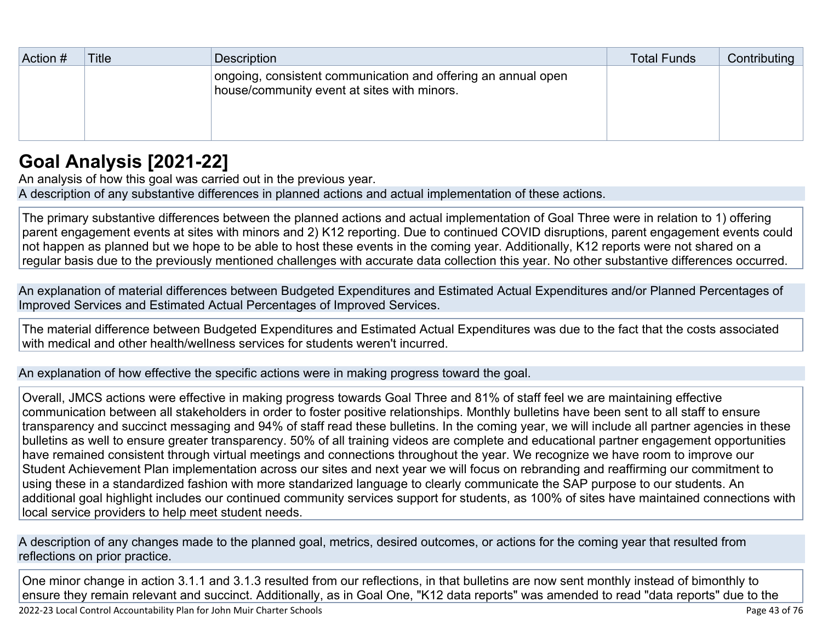| Action # | <b>Title</b> | Description                                                                                                  | <b>Total Funds</b> | Contributing |
|----------|--------------|--------------------------------------------------------------------------------------------------------------|--------------------|--------------|
|          |              | ongoing, consistent communication and offering an annual open<br>house/community event at sites with minors. |                    |              |

## **[Goal Analysis \[2021-22\]](http://www.doc-tracking.com/screenshots/22LCAP/Instructions/22LCAPInstructions.htm#GoalAnalysis)**

An analysis of how this goal was carried out in the previous year. A description of any substantive differences in planned actions and actual implementation of these actions.

The primary substantive differences between the planned actions and actual implementation of Goal Three were in relation to 1) offering parent engagement events at sites with minors and 2) K12 reporting. Due to continued COVID disruptions, parent engagement events could not happen as planned but we hope to be able to host these events in the coming year. Additionally, K12 reports were not shared on a regular basis due to the previously mentioned challenges with accurate data collection this year. No other substantive differences occurred.

An explanation of material differences between Budgeted Expenditures and Estimated Actual Expenditures and/or Planned Percentages of Improved Services and Estimated Actual Percentages of Improved Services.

The material difference between Budgeted Expenditures and Estimated Actual Expenditures was due to the fact that the costs associated with medical and other health/wellness services for students weren't incurred.

An explanation of how effective the specific actions were in making progress toward the goal.

Overall, JMCS actions were effective in making progress towards Goal Three and 81% of staff feel we are maintaining effective communication between all stakeholders in order to foster positive relationships. Monthly bulletins have been sent to all staff to ensure transparency and succinct messaging and 94% of staff read these bulletins. In the coming year, we will include all partner agencies in these bulletins as well to ensure greater transparency. 50% of all training videos are complete and educational partner engagement opportunities have remained consistent through virtual meetings and connections throughout the year. We recognize we have room to improve our Student Achievement Plan implementation across our sites and next year we will focus on rebranding and reaffirming our commitment to using these in a standardized fashion with more standarized language to clearly communicate the SAP purpose to our students. An additional goal highlight includes our continued community services support for students, as 100% of sites have maintained connections with local service providers to help meet student needs.

A description of any changes made to the planned goal, metrics, desired outcomes, or actions for the coming year that resulted from reflections on prior practice.

One minor change in action 3.1.1 and 3.1.3 resulted from our reflections, in that bulletins are now sent monthly instead of bimonthly to ensure they remain relevant and succinct. Additionally, as in Goal One, "K12 data reports" was amended to read "data reports" due to the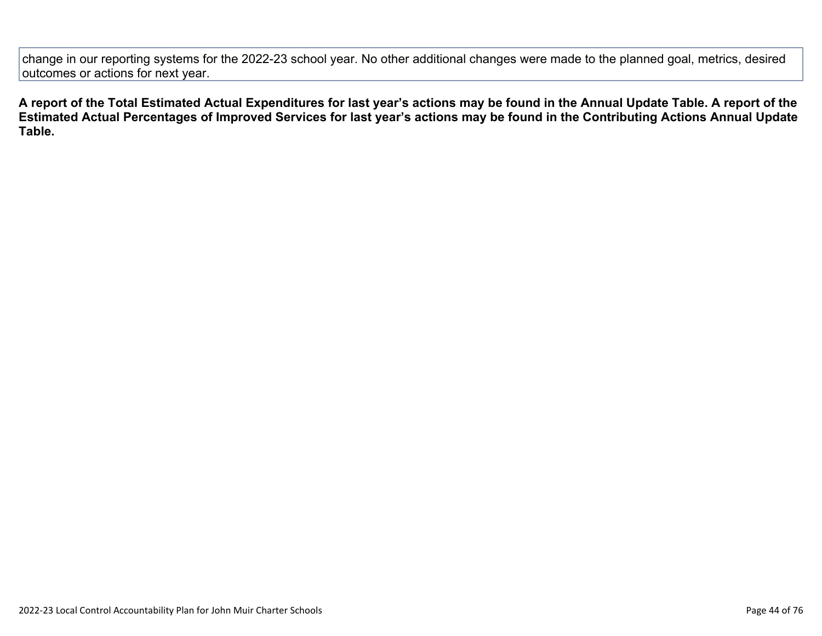change in our reporting systems for the 2022-23 school year. No other additional changes were made to the planned goal, metrics, desired outcomes or actions for next year.

**A report of the Total Estimated Actual Expenditures for last year's actions may be found in the Annual Update Table. A report of the Estimated Actual Percentages of Improved Services for last year's actions may be found in the Contributing Actions Annual Update Table.**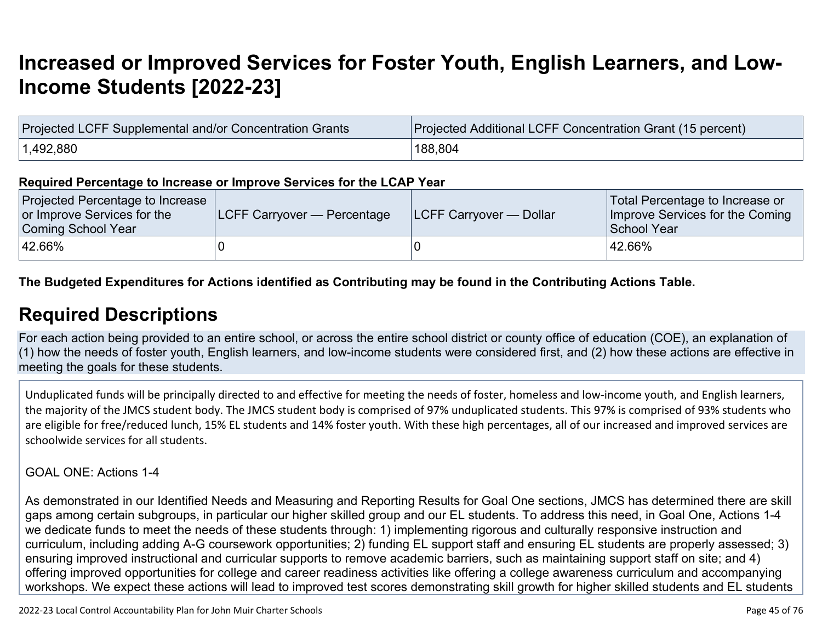## **[Increased or Improved Services for Foster Youth, English Learners, and Low-](http://www.doc-tracking.com/screenshots/22LCAP/Instructions/22LCAPInstructions.htm#IncreasedImprovedServices)[Income Students \[2022-23\]](http://www.doc-tracking.com/screenshots/22LCAP/Instructions/22LCAPInstructions.htm#IncreasedImprovedServices)**

| Projected LCFF Supplemental and/or Concentration Grants | Projected Additional LCFF Concentration Grant (15 percent) |  |  |  |
|---------------------------------------------------------|------------------------------------------------------------|--|--|--|
| 1,492,880                                               | 188.804                                                    |  |  |  |

#### **Required Percentage to Increase or Improve Services for the LCAP Year**

| Projected Percentage to Increase<br>or Improve Services for the<br>Coming School Year | <b>LCFF Carryover — Percentage</b> | <b>LCFF Carryover — Dollar</b> | Total Percentage to Increase or<br>Improve Services for the Coming<br>School Year |
|---------------------------------------------------------------------------------------|------------------------------------|--------------------------------|-----------------------------------------------------------------------------------|
| 42.66%                                                                                |                                    |                                | 42.66%                                                                            |

### **The Budgeted Expenditures for Actions identified as Contributing may be found in the Contributing Actions Table.**

### **[Required Descriptions](http://www.doc-tracking.com/screenshots/22LCAP/Instructions/22LCAPInstructions.htm#RequiredDescriptions)**

For each action being provided to an entire school, or across the entire school district or county office of education (COE), an explanation of (1) how the needs of foster youth, English learners, and low-income students were considered first, and (2) how these actions are effective in meeting the goals for these students.

Unduplicated funds will be principally directed to and effective for meeting the needs of foster, homeless and low-income youth, and English learners, the majority of the JMCS student body. The JMCS student body is comprised of 97% unduplicated students. This 97% is comprised of 93% students who are eligible for free/reduced lunch, 15% EL students and 14% foster youth. With these high percentages, all of our increased and improved services are schoolwide services for all students.

#### GOAL ONE: Actions 1-4

As demonstrated in our Identified Needs and Measuring and Reporting Results for Goal One sections, JMCS has determined there are skill gaps among certain subgroups, in particular our higher skilled group and our EL students. To address this need, in Goal One, Actions 1-4 we dedicate funds to meet the needs of these students through: 1) implementing rigorous and culturally responsive instruction and curriculum, including adding A-G coursework opportunities; 2) funding EL support staff and ensuring EL students are properly assessed; 3) ensuring improved instructional and curricular supports to remove academic barriers, such as maintaining support staff on site; and 4) offering improved opportunities for college and career readiness activities like offering a college awareness curriculum and accompanying workshops. We expect these actions will lead to improved test scores demonstrating skill growth for higher skilled students and EL students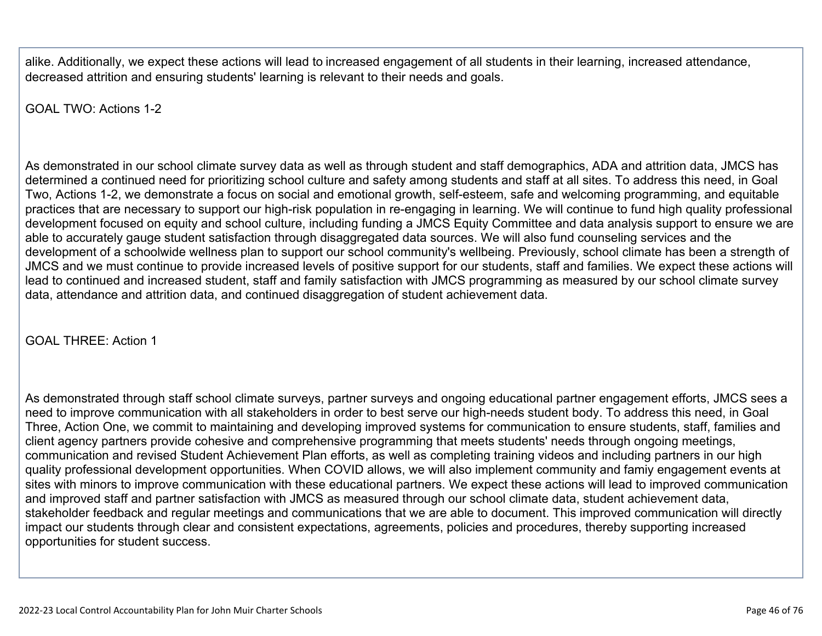alike. Additionally, we expect these actions will lead to increased engagement of all students in their learning, increased attendance, decreased attrition and ensuring students' learning is relevant to their needs and goals.

GOAL TWO: Actions 1-2

As demonstrated in our school climate survey data as well as through student and staff demographics, ADA and attrition data, JMCS has determined a continued need for prioritizing school culture and safety among students and staff at all sites. To address this need, in Goal Two, Actions 1-2, we demonstrate a focus on social and emotional growth, self-esteem, safe and welcoming programming, and equitable practices that are necessary to support our high-risk population in re-engaging in learning. We will continue to fund high quality professional development focused on equity and school culture, including funding a JMCS Equity Committee and data analysis support to ensure we are able to accurately gauge student satisfaction through disaggregated data sources. We will also fund counseling services and the development of a schoolwide wellness plan to support our school community's wellbeing. Previously, school climate has been a strength of JMCS and we must continue to provide increased levels of positive support for our students, staff and families. We expect these actions will lead to continued and increased student, staff and family satisfaction with JMCS programming as measured by our school climate survey data, attendance and attrition data, and continued disaggregation of student achievement data.

GOAL THREE: Action 1

As demonstrated through staff school climate surveys, partner surveys and ongoing educational partner engagement efforts, JMCS sees a need to improve communication with all stakeholders in order to best serve our high-needs student body. To address this need, in Goal Three, Action One, we commit to maintaining and developing improved systems for communication to ensure students, staff, families and client agency partners provide cohesive and comprehensive programming that meets students' needs through ongoing meetings, communication and revised Student Achievement Plan efforts, as well as completing training videos and including partners in our high quality professional development opportunities. When COVID allows, we will also implement community and famiy engagement events at sites with minors to improve communication with these educational partners. We expect these actions will lead to improved communication and improved staff and partner satisfaction with JMCS as measured through our school climate data, student achievement data, stakeholder feedback and regular meetings and communications that we are able to document. This improved communication will directly impact our students through clear and consistent expectations, agreements, policies and procedures, thereby supporting increased opportunities for student success.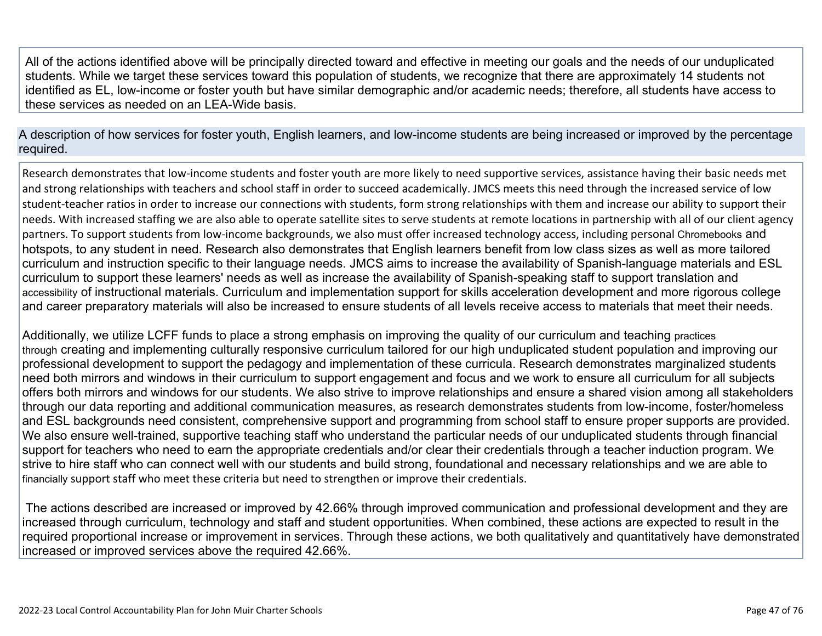All of the actions identified above will be principally directed toward and effective in meeting our goals and the needs of our unduplicated students. While we target these services toward this population of students, we recognize that there are approximately 14 students not identified as EL, low-income or foster youth but have similar demographic and/or academic needs; therefore, all students have access to these services as needed on an LEA-Wide basis.

A description of how services for foster youth, English learners, and low-income students are being increased or improved by the percentage required.

Research demonstrates that low-income students and foster youth are more likely to need supportive services, assistance having their basic needs met and strong relationships with teachers and school staff in order to succeed academically. JMCS meets this need through the increased service of low student-teacher ratios in order to increase our connections with students, form strong relationships with them and increase our ability to support their needs. With increased staffing we are also able to operate satellite sites to serve students at remote locations in partnership with all of our client agency partners. To support students from low-income backgrounds, we also must offer increased technology access, including personal Chromebooks and hotspots, to any student in need. Research also demonstrates that English learners benefit from low class sizes as well as more tailored curriculum and instruction specific to their language needs. JMCS aims to increase the availability of Spanish-language materials and ESL curriculum to support these learners' needs as well as increase the availability of Spanish-speaking staff to support translation and accessibility of instructional materials. Curriculum and implementation support for skills acceleration development and more rigorous college and career preparatory materials will also be increased to ensure students of all levels receive access to materials that meet their needs.

Additionally, we utilize LCFF funds to place a strong emphasis on improving the quality of our curriculum and teaching practices through creating and implementing culturally responsive curriculum tailored for our high unduplicated student population and improving our professional development to support the pedagogy and implementation of these curricula. Research demonstrates marginalized students need both mirrors and windows in their curriculum to support engagement and focus and we work to ensure all curriculum for all subjects offers both mirrors and windows for our students. We also strive to improve relationships and ensure a shared vision among all stakeholders through our data reporting and additional communication measures, as research demonstrates students from low-income, foster/homeless and ESL backgrounds need consistent, comprehensive support and programming from school staff to ensure proper supports are provided. We also ensure well-trained, supportive teaching staff who understand the particular needs of our unduplicated students through financial support for teachers who need to earn the appropriate credentials and/or clear their credentials through a teacher induction program. We strive to hire staff who can connect well with our students and build strong, foundational and necessary relationships and we are able to financially support staff who meet these criteria but need to strengthen or improve their credentials.

 The actions described are increased or improved by 42.66% through improved communication and professional development and they are increased through curriculum, technology and staff and student opportunities. When combined, these actions are expected to result in the required proportional increase or improvement in services. Through these actions, we both qualitatively and quantitatively have demonstrated increased or improved services above the required 42.66%.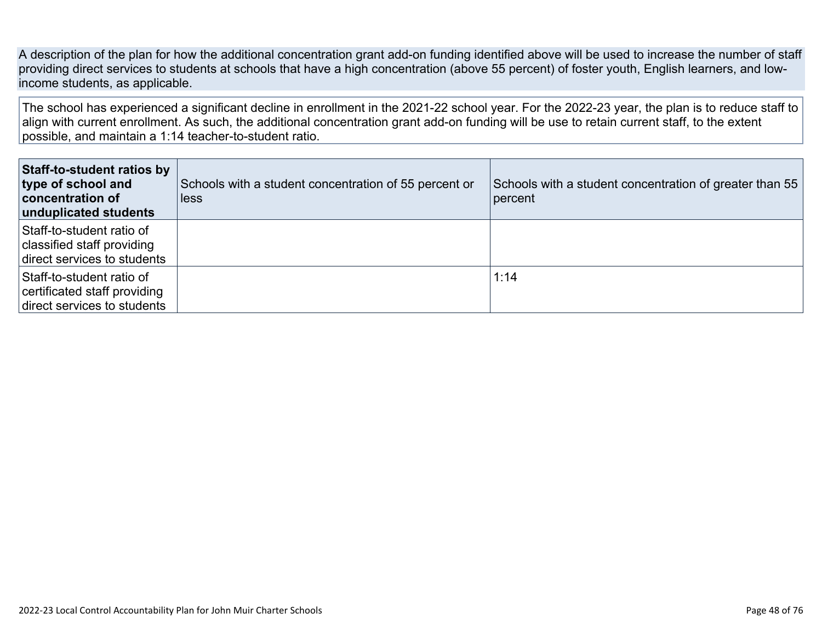A description of the plan for how the additional concentration grant add-on funding identified above will be used to increase the number of staff providing direct services to students at schools that have a high concentration (above 55 percent) of foster youth, English learners, and lowincome students, as applicable.

The school has experienced a significant decline in enrollment in the 2021-22 school year. For the 2022-23 year, the plan is to reduce staff to align with current enrollment. As such, the additional concentration grant add-on funding will be use to retain current staff, to the extent possible, and maintain a 1:14 teacher-to-student ratio.

| <b>Staff-to-student ratios by</b><br>type of school and<br>concentration of<br>unduplicated students | Schools with a student concentration of 55 percent or<br><b>less</b> | Schools with a student concentration of greater than 55<br>percent |
|------------------------------------------------------------------------------------------------------|----------------------------------------------------------------------|--------------------------------------------------------------------|
| Staff-to-student ratio of<br>classified staff providing<br>direct services to students               |                                                                      |                                                                    |
| Staff-to-student ratio of<br>certificated staff providing<br>direct services to students             |                                                                      | 1:14                                                               |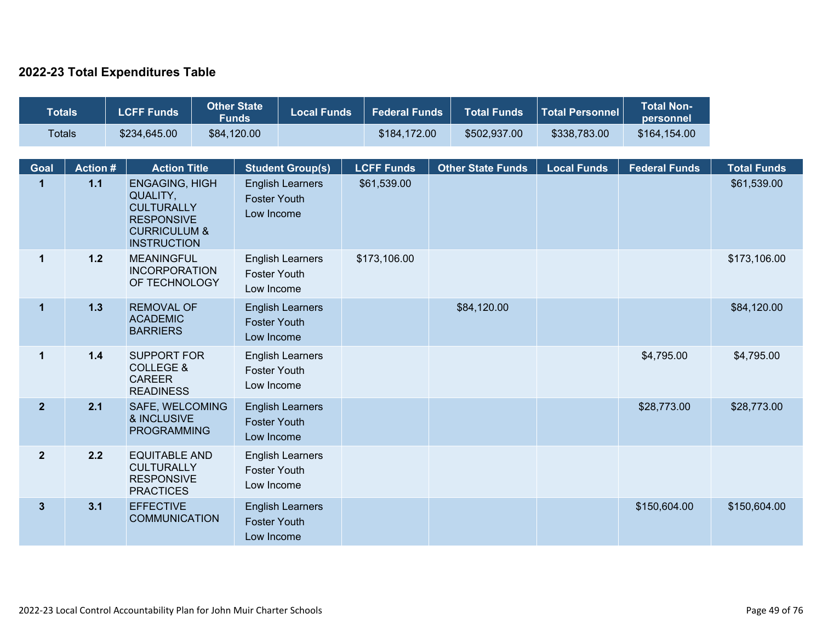### **2022-23 Total Expenditures Table**

| <b>Totals</b>  |                                                                                                                                                                                                                      | <b>LCFF Funds</b>                                                                  | <b>Other State</b><br><b>Funds</b> | <b>Local Funds</b>                                                           | <b>Federal Funds</b> | <b>Total Funds</b>       | <b>Total Personnel</b> | <b>Total Non-</b><br>personnel |                    |
|----------------|----------------------------------------------------------------------------------------------------------------------------------------------------------------------------------------------------------------------|------------------------------------------------------------------------------------|------------------------------------|------------------------------------------------------------------------------|----------------------|--------------------------|------------------------|--------------------------------|--------------------|
|                | <b>Totals</b><br>\$234,645.00                                                                                                                                                                                        |                                                                                    | \$84,120.00                        |                                                                              | \$184,172.00         | \$502,937.00             | \$338,783.00           | \$164,154.00                   |                    |
| <b>Goal</b>    | <b>Action #</b>                                                                                                                                                                                                      | <b>Action Title</b>                                                                |                                    | <b>Student Group(s)</b>                                                      | <b>LCFF Funds</b>    | <b>Other State Funds</b> | <b>Local Funds</b>     | <b>Federal Funds</b>           | <b>Total Funds</b> |
| $\mathbf 1$    | $1.1$<br><b>ENGAGING, HIGH</b><br>\$61,539.00<br><b>English Learners</b><br>QUALITY,<br><b>Foster Youth</b><br><b>CULTURALLY</b><br>Low Income<br><b>RESPONSIVE</b><br><b>CURRICULUM &amp;</b><br><b>INSTRUCTION</b> |                                                                                    |                                    |                                                                              |                      | \$61,539.00              |                        |                                |                    |
| $\mathbf 1$    | $1.2$                                                                                                                                                                                                                | <b>MEANINGFUL</b><br><b>INCORPORATION</b><br>OF TECHNOLOGY                         |                                    | \$173,106.00<br><b>English Learners</b><br><b>Foster Youth</b><br>Low Income |                      |                          |                        |                                | \$173,106.00       |
| $\mathbf{1}$   | 1.3                                                                                                                                                                                                                  | <b>REMOVAL OF</b><br><b>ACADEMIC</b><br><b>BARRIERS</b>                            |                                    | <b>English Learners</b><br><b>Foster Youth</b><br>Low Income                 |                      | \$84,120.00              |                        |                                | \$84,120.00        |
| $\mathbf{1}$   | $1.4$                                                                                                                                                                                                                | <b>SUPPORT FOR</b><br><b>COLLEGE &amp;</b><br><b>CAREER</b><br><b>READINESS</b>    |                                    | <b>English Learners</b><br><b>Foster Youth</b><br>Low Income                 |                      |                          |                        | \$4,795.00                     | \$4,795.00         |
| $\overline{2}$ | 2.1                                                                                                                                                                                                                  | SAFE, WELCOMING<br>& INCLUSIVE<br><b>PROGRAMMING</b>                               |                                    | <b>English Learners</b><br><b>Foster Youth</b><br>Low Income                 |                      |                          |                        | \$28,773.00                    | \$28,773.00        |
| $\mathbf{2}$   | 2.2                                                                                                                                                                                                                  | <b>EQUITABLE AND</b><br><b>CULTURALLY</b><br><b>RESPONSIVE</b><br><b>PRACTICES</b> |                                    | <b>English Learners</b><br><b>Foster Youth</b><br>Low Income                 |                      |                          |                        |                                |                    |
| $\mathbf{3}$   | 3.1                                                                                                                                                                                                                  | <b>EFFECTIVE</b><br><b>COMMUNICATION</b>                                           |                                    | <b>English Learners</b><br><b>Foster Youth</b><br>Low Income                 |                      |                          |                        | \$150,604.00                   | \$150,604.00       |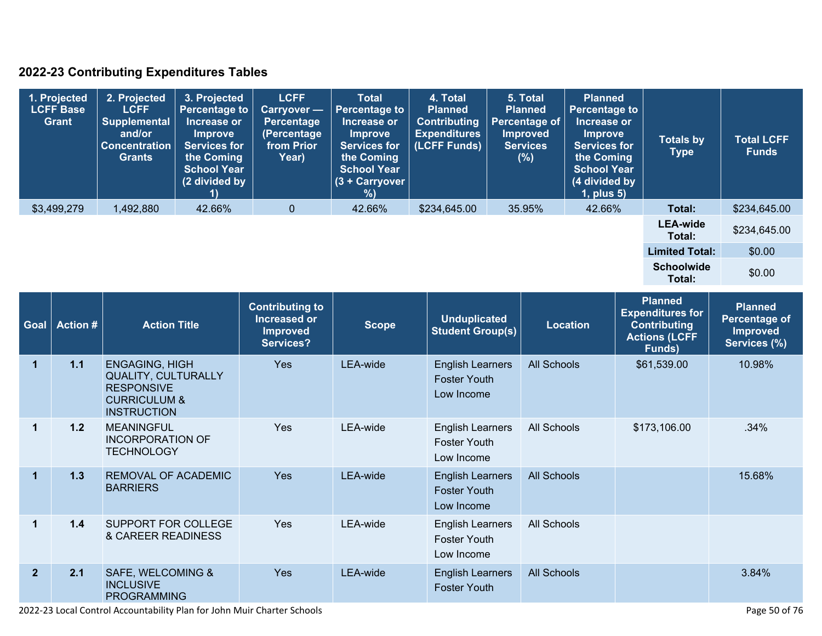### **2022-23 Contributing Expenditures Tables**

| 1. Projected<br><b>LCFF Base</b><br>Grant | 2. Projected<br><b>LCFF</b><br>Supplemental<br>and/or<br><b>Concentration</b><br><b>Grants</b> | 3. Projected<br><b>Percentage to</b><br>Increase or<br><b>Improve</b><br><b>Services for</b><br>the Coming<br><b>School Year</b><br>(2 divided by | <b>LCFF</b><br>Carryover -<br><b>Percentage</b><br>(Percentage<br>from Prior<br>Year) | <b>Total</b><br><b>Percentage to</b><br>Increase or<br><b>Improve</b><br><b>Services for</b><br>the Coming<br><b>School Year</b><br>$(3 +$ Carryover<br>%) | 4. Total<br><b>Planned</b><br><b>Contributing</b><br><b>Expenditures</b><br>(LCFF Funds) | 5. Total<br><b>Planned</b><br><b>Percentage of</b><br><b>Improved</b><br><b>Services</b><br>(%) | <b>Planned</b><br><b>Percentage to</b><br>Increase or<br><b>Improve</b><br><b>Services for</b><br>the Coming<br><b>School Year</b><br>(4 divided by<br>$1$ , plus $5$ ) | <b>Totals by</b><br>Type    | <b>Total LCFF</b><br><b>Funds</b> |
|-------------------------------------------|------------------------------------------------------------------------------------------------|---------------------------------------------------------------------------------------------------------------------------------------------------|---------------------------------------------------------------------------------------|------------------------------------------------------------------------------------------------------------------------------------------------------------|------------------------------------------------------------------------------------------|-------------------------------------------------------------------------------------------------|-------------------------------------------------------------------------------------------------------------------------------------------------------------------------|-----------------------------|-----------------------------------|
| \$3,499,279                               | 1,492,880                                                                                      | 42.66%                                                                                                                                            | $\overline{0}$                                                                        | 42.66%                                                                                                                                                     | \$234,645.00                                                                             | 35.95%                                                                                          | 42.66%                                                                                                                                                                  | Total:                      | \$234,645.00                      |
|                                           |                                                                                                |                                                                                                                                                   |                                                                                       |                                                                                                                                                            |                                                                                          |                                                                                                 |                                                                                                                                                                         | <b>LEA-wide</b><br>Total:   | \$234,645.00                      |
|                                           |                                                                                                |                                                                                                                                                   |                                                                                       |                                                                                                                                                            |                                                                                          |                                                                                                 |                                                                                                                                                                         | <b>Limited Total:</b>       | \$0.00                            |
|                                           |                                                                                                |                                                                                                                                                   |                                                                                       |                                                                                                                                                            |                                                                                          |                                                                                                 |                                                                                                                                                                         | <b>Schoolwide</b><br>Total: | \$0.00                            |

| <b>Goal</b>    | <b>Action #</b> | <b>Action Title</b>                                                                                                       | <b>Contributing to</b><br>Increased or<br><b>Improved</b><br>Services? | <b>Scope</b> | <b>Unduplicated</b><br><b>Student Group(s)</b>               | <b>Location</b>    | <b>Planned</b><br><b>Expenditures for</b><br><b>Contributing</b><br><b>Actions (LCFF</b><br>Funds) | <b>Planned</b><br>Percentage of<br><b>Improved</b><br>Services (%) |
|----------------|-----------------|---------------------------------------------------------------------------------------------------------------------------|------------------------------------------------------------------------|--------------|--------------------------------------------------------------|--------------------|----------------------------------------------------------------------------------------------------|--------------------------------------------------------------------|
| 1              | $1.1$           | <b>ENGAGING, HIGH</b><br><b>QUALITY, CULTURALLY</b><br><b>RESPONSIVE</b><br><b>CURRICULUM &amp;</b><br><b>INSTRUCTION</b> | <b>Yes</b>                                                             | LEA-wide     | <b>English Learners</b><br><b>Foster Youth</b><br>Low Income | <b>All Schools</b> | \$61,539.00                                                                                        | 10.98%                                                             |
| $\mathbf 1$    | 1.2             | <b>MEANINGFUL</b><br>INCORPORATION OF<br>TECHNOLOGY                                                                       | <b>Yes</b>                                                             | LEA-wide     | <b>English Learners</b><br><b>Foster Youth</b><br>Low Income | All Schools        | \$173,106.00                                                                                       | .34%                                                               |
| $\mathbf{1}$   | 1.3             | <b>REMOVAL OF ACADEMIC</b><br><b>BARRIERS</b>                                                                             | <b>Yes</b>                                                             | LEA-wide     | <b>English Learners</b><br><b>Foster Youth</b><br>Low Income | <b>All Schools</b> |                                                                                                    | 15.68%                                                             |
| $\mathbf{1}$   | 1.4             | SUPPORT FOR COLLEGE<br>& CAREER READINESS                                                                                 | <b>Yes</b>                                                             | LEA-wide     | <b>English Learners</b><br><b>Foster Youth</b><br>Low Income | All Schools        |                                                                                                    |                                                                    |
| $\overline{2}$ | 2.1             | SAFE, WELCOMING &<br><b>INCLUSIVE</b><br><b>PROGRAMMING</b>                                                               | Yes                                                                    | LEA-wide     | <b>English Learners</b><br><b>Foster Youth</b>               | <b>All Schools</b> |                                                                                                    | 3.84%                                                              |

2022-23 Local Control Accountability Plan for John Muir Charter Schools Page 50 of 76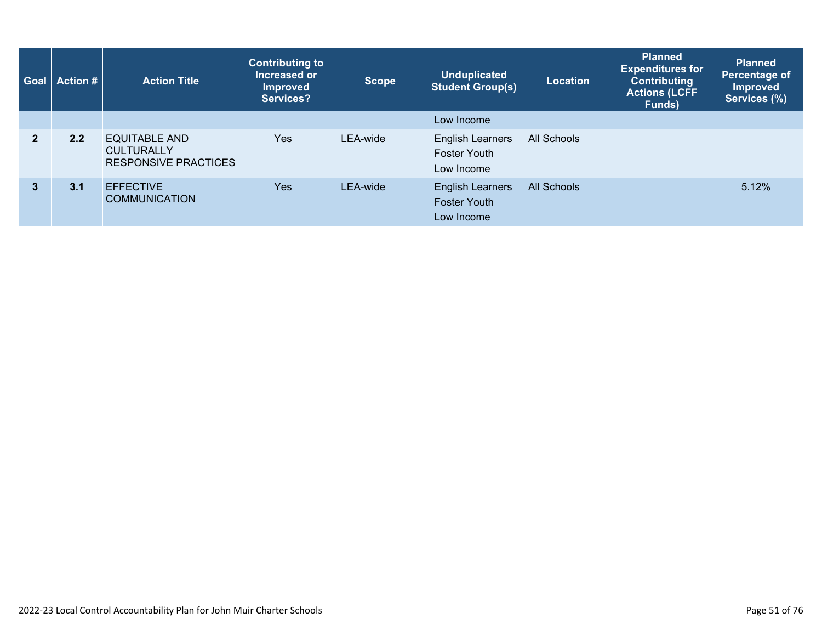| Goal           | <b>Action #</b> | <b>Action Title</b>                                                      | <b>Contributing to</b><br>Increased or<br><b>Improved</b><br>Services? | <b>Scope</b> | <b>Unduplicated</b><br><b>Student Group(s)</b>               | <b>Location</b>    | <b>Planned</b><br><b>Expenditures for</b><br><b>Contributing</b><br><b>Actions (LCFF</b><br>Funds) | <b>Planned</b><br><b>Percentage of</b><br><b>Improved</b><br>Services (%) |
|----------------|-----------------|--------------------------------------------------------------------------|------------------------------------------------------------------------|--------------|--------------------------------------------------------------|--------------------|----------------------------------------------------------------------------------------------------|---------------------------------------------------------------------------|
|                |                 |                                                                          |                                                                        |              | Low Income                                                   |                    |                                                                                                    |                                                                           |
| $\overline{2}$ | 2.2             | <b>EQUITABLE AND</b><br><b>CULTURALLY</b><br><b>RESPONSIVE PRACTICES</b> | <b>Yes</b>                                                             | LEA-wide     | <b>English Learners</b><br><b>Foster Youth</b><br>Low Income | All Schools        |                                                                                                    |                                                                           |
| $\mathbf{3}$   | 3.1             | <b>EFFECTIVE</b><br><b>COMMUNICATION</b>                                 | <b>Yes</b>                                                             | LEA-wide     | <b>English Learners</b><br><b>Foster Youth</b><br>Low Income | <b>All Schools</b> |                                                                                                    | 5.12%                                                                     |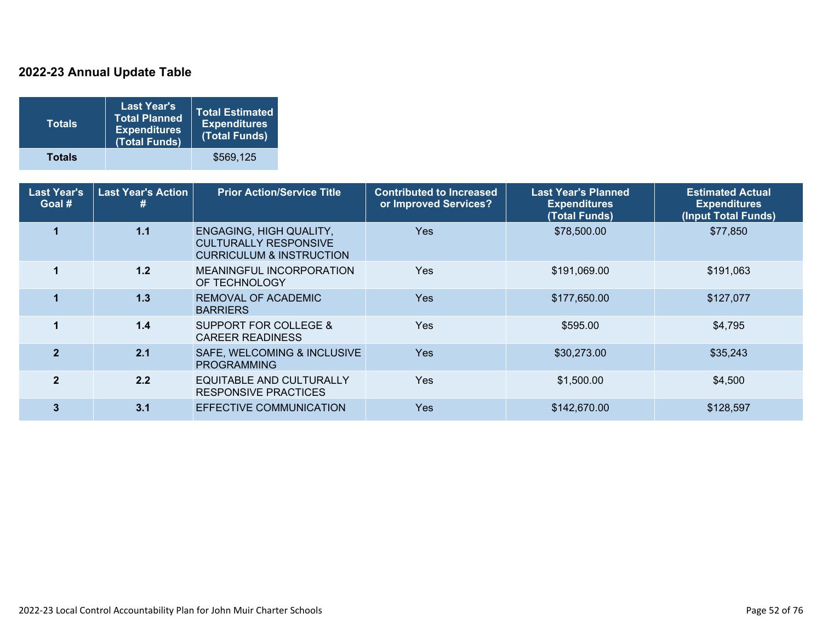### **2022-23 Annual Update Table**

| <b>Totals</b> | <b>Last Year's</b><br><b>Total Planned</b><br><b>Expenditures</b><br>(Total Funds) | <b>Total Estimated</b><br><b>Expenditures</b><br>(Total Funds) |
|---------------|------------------------------------------------------------------------------------|----------------------------------------------------------------|
| <b>Totals</b> |                                                                                    | \$569.125                                                      |

| <b>Last Year's</b><br>Goal # | <b>Last Year's Action</b><br># | <b>Prior Action/Service Title</b>                                                                     | <b>Contributed to Increased</b><br>or Improved Services? | <b>Last Year's Planned</b><br><b>Expenditures</b><br>(Total Funds) | <b>Estimated Actual</b><br><b>Expenditures</b><br>(Input Total Funds) |
|------------------------------|--------------------------------|-------------------------------------------------------------------------------------------------------|----------------------------------------------------------|--------------------------------------------------------------------|-----------------------------------------------------------------------|
|                              | 1.1                            | <b>ENGAGING, HIGH QUALITY,</b><br><b>CULTURALLY RESPONSIVE</b><br><b>CURRICULUM &amp; INSTRUCTION</b> | Yes                                                      | \$78,500.00                                                        | \$77,850                                                              |
|                              | 1.2                            | MEANINGFUL INCORPORATION<br>OF TECHNOLOGY                                                             | <b>Yes</b>                                               | \$191,069.00                                                       | \$191,063                                                             |
|                              | 1.3                            | REMOVAL OF ACADEMIC<br><b>BARRIERS</b>                                                                | <b>Yes</b>                                               | \$177,650.00                                                       | \$127,077                                                             |
|                              | $1.4$                          | SUPPORT FOR COLLEGE &<br><b>CAREER READINESS</b>                                                      | <b>Yes</b>                                               | \$595.00                                                           | \$4,795                                                               |
| $\overline{\mathbf{z}}$      | 2.1                            | SAFE, WELCOMING & INCLUSIVE<br><b>PROGRAMMING</b>                                                     | <b>Yes</b>                                               | \$30,273.00                                                        | \$35,243                                                              |
| $\mathbf{2}$                 | 2.2                            | EQUITABLE AND CULTURALLY<br><b>RESPONSIVE PRACTICES</b>                                               | <b>Yes</b>                                               | \$1,500.00                                                         | \$4,500                                                               |
| 3                            | 3.1                            | EFFECTIVE COMMUNICATION                                                                               | <b>Yes</b>                                               | \$142,670.00                                                       | \$128,597                                                             |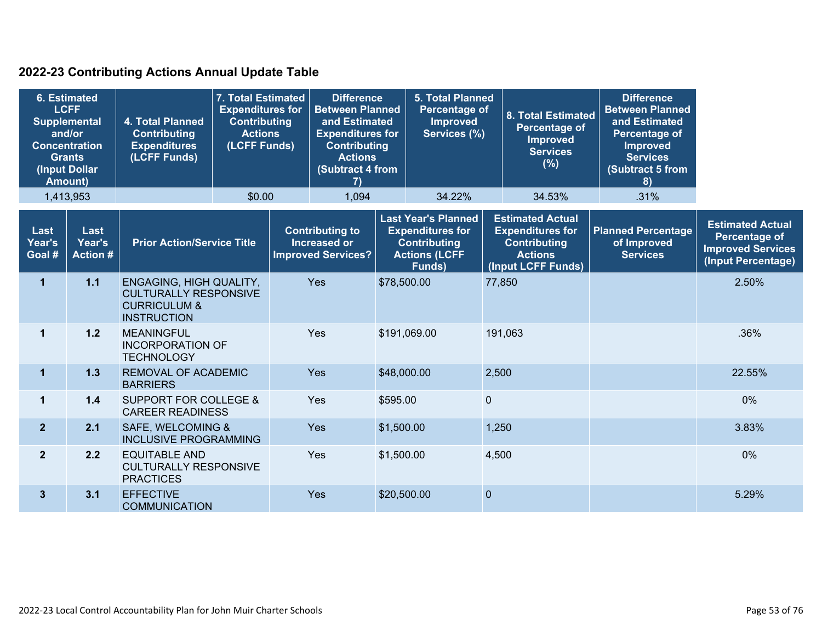### **2022-23 Contributing Actions Annual Update Table**

| <b>6. Estimated</b><br><b>LCFF</b><br><b>Supplemental</b><br>and/or<br><b>Concentration</b><br><b>Grants</b><br>(Input Dollar<br><b>Amount)</b> |                                  | 4. Total Planned<br><b>Contributing</b><br><b>Expenditures</b><br>(LCFF Funds)                           | 7. Total Estimated<br><b>Expenditures for</b><br><b>Contributing</b><br><b>Actions</b><br>(LCFF Funds) | <b>Difference</b><br><b>Between Planned</b><br>and Estimated<br><b>Expenditures for</b><br><b>Contributing</b><br><b>Actions</b><br>(Subtract 4 from<br>7) |              | <b>5. Total Planned</b><br><b>Percentage of</b><br><b>Improved</b><br>Services (%)                             |              | <b>8. Total Estimated</b><br><b>Percentage of</b><br><b>Improved</b><br><b>Services</b><br>$(\%)$                 | <b>Difference</b><br><b>Between Planned</b><br>and Estimated<br><b>Percentage of</b><br><b>Improved</b><br><b>Services</b><br>(Subtract 5 from<br>8) |                                                                                                   |
|-------------------------------------------------------------------------------------------------------------------------------------------------|----------------------------------|----------------------------------------------------------------------------------------------------------|--------------------------------------------------------------------------------------------------------|------------------------------------------------------------------------------------------------------------------------------------------------------------|--------------|----------------------------------------------------------------------------------------------------------------|--------------|-------------------------------------------------------------------------------------------------------------------|------------------------------------------------------------------------------------------------------------------------------------------------------|---------------------------------------------------------------------------------------------------|
|                                                                                                                                                 | 1,413,953                        |                                                                                                          | \$0.00                                                                                                 | 1,094                                                                                                                                                      |              | 34.22%                                                                                                         |              | 34.53%                                                                                                            | .31%                                                                                                                                                 |                                                                                                   |
| Last<br>Year's<br>Goal #                                                                                                                        | Last<br>Year's<br><b>Action#</b> | <b>Prior Action/Service Title</b>                                                                        |                                                                                                        | <b>Contributing to</b><br><b>Increased or</b><br><b>Improved Services?</b>                                                                                 |              | <b>Last Year's Planned</b><br><b>Expenditures for</b><br><b>Contributing</b><br><b>Actions (LCFF</b><br>Funds) |              | <b>Estimated Actual</b><br><b>Expenditures for</b><br><b>Contributing</b><br><b>Actions</b><br>(Input LCFF Funds) | <b>Planned Percentage</b><br>of Improved<br><b>Services</b>                                                                                          | <b>Estimated Actual</b><br><b>Percentage of</b><br><b>Improved Services</b><br>(Input Percentage) |
| 1                                                                                                                                               | $1.1$                            | ENGAGING, HIGH QUALITY,<br><b>CULTURALLY RESPONSIVE</b><br><b>CURRICULUM &amp;</b><br><b>INSTRUCTION</b> |                                                                                                        | Yes                                                                                                                                                        | \$78,500.00  |                                                                                                                | 77,850       |                                                                                                                   |                                                                                                                                                      | 2.50%                                                                                             |
| $\mathbf 1$                                                                                                                                     | $1.2$                            | <b>MEANINGFUL</b><br><b>INCORPORATION OF</b><br><b>TECHNOLOGY</b>                                        |                                                                                                        | Yes                                                                                                                                                        | \$191,069.00 |                                                                                                                | 191,063      |                                                                                                                   |                                                                                                                                                      | .36%                                                                                              |
| $\mathbf{1}$                                                                                                                                    | 1.3                              | REMOVAL OF ACADEMIC<br><b>BARRIERS</b>                                                                   |                                                                                                        | Yes                                                                                                                                                        | \$48,000.00  |                                                                                                                | 2,500        |                                                                                                                   |                                                                                                                                                      | 22.55%                                                                                            |
| $\mathbf{1}$                                                                                                                                    | 1.4                              | <b>SUPPORT FOR COLLEGE &amp;</b><br><b>CAREER READINESS</b>                                              |                                                                                                        | Yes                                                                                                                                                        | \$595.00     |                                                                                                                | $\mathbf{0}$ |                                                                                                                   |                                                                                                                                                      | 0%                                                                                                |
| $\overline{2}$                                                                                                                                  | 2.1                              | SAFE, WELCOMING &<br><b>INCLUSIVE PROGRAMMING</b>                                                        |                                                                                                        | Yes                                                                                                                                                        | \$1,500.00   |                                                                                                                | 1,250        |                                                                                                                   |                                                                                                                                                      | 3.83%                                                                                             |
| $\overline{2}$                                                                                                                                  | 2.2                              | <b>EQUITABLE AND</b><br><b>CULTURALLY RESPONSIVE</b><br><b>PRACTICES</b>                                 |                                                                                                        | Yes                                                                                                                                                        | \$1,500.00   |                                                                                                                | 4,500        |                                                                                                                   |                                                                                                                                                      | 0%                                                                                                |
| 3 <sup>5</sup>                                                                                                                                  | 3.1                              | <b>EFFECTIVE</b><br><b>COMMUNICATION</b>                                                                 |                                                                                                        | Yes                                                                                                                                                        | \$20,500.00  |                                                                                                                | $\mathbf{0}$ |                                                                                                                   |                                                                                                                                                      | 5.29%                                                                                             |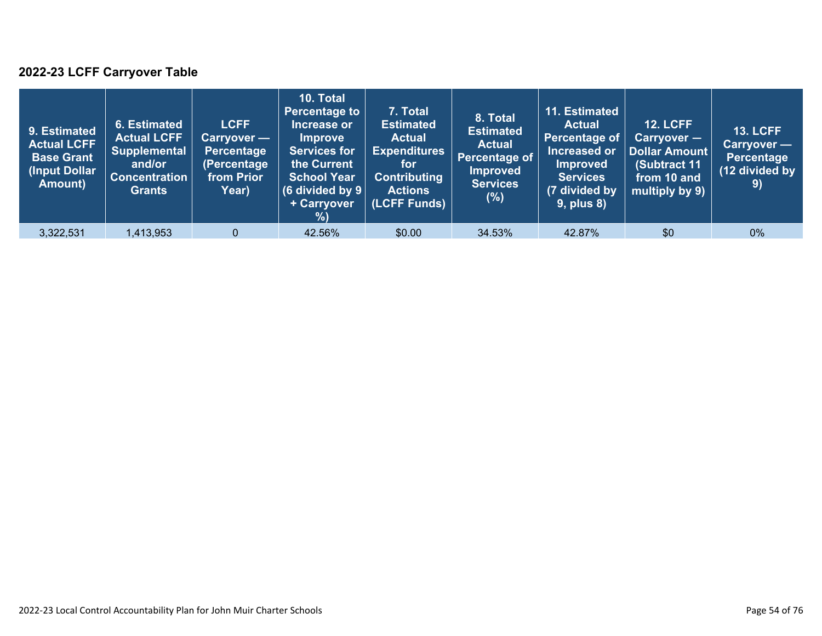### **2022-23 LCFF Carryover Table**

| 9. Estimated<br><b>Actual LCFF</b><br><b>Base Grant</b><br>(Input Dollar<br>Amount) | 6. Estimated<br><b>Actual LCFF</b><br><b>Supplemental</b><br>and/or<br><b>Concentration</b><br><b>Grants</b> | <b>LCFF</b><br>Carryover —<br>Percentage<br>(Percentage<br>from Prior<br>Year) | 10. Total<br><b>Percentage to</b><br>Increase or<br><b>Improve</b><br><b>Services for</b><br>the Current<br><b>School Year</b><br>(6 divided by $9$ $ $<br>+ Carryover<br>% | 7. Total<br><b>Estimated</b><br><b>Actual</b><br><b>Expenditures</b><br>for<br><b>Contributing</b><br><b>Actions</b><br>(LCFF Funds) | 8. Total<br><b>Estimated</b><br><b>Actual</b><br>Percentage of<br><b>Improved</b><br><b>Services</b><br>$(\%)$ | 11. Estimated<br><b>Actual</b><br>Percentage of<br>Increased or<br><b>Improved</b><br><b>Services</b><br>(7 divided by<br>$9$ , plus $8$ ) | <b>12. LCFF</b><br>Carryover -<br>Dollar Amount<br>(Subtract 11<br>from 10 and<br>multiply by 9) | <b>13. LCFF</b><br>Carryover —<br>Percentage<br>(12 divided by<br>9) |
|-------------------------------------------------------------------------------------|--------------------------------------------------------------------------------------------------------------|--------------------------------------------------------------------------------|-----------------------------------------------------------------------------------------------------------------------------------------------------------------------------|--------------------------------------------------------------------------------------------------------------------------------------|----------------------------------------------------------------------------------------------------------------|--------------------------------------------------------------------------------------------------------------------------------------------|--------------------------------------------------------------------------------------------------|----------------------------------------------------------------------|
| 3,322,531                                                                           | A13,953                                                                                                      | $\mathbf{0}$                                                                   | 42.56%                                                                                                                                                                      | \$0.00                                                                                                                               | 34.53%                                                                                                         | 42.87%                                                                                                                                     | \$0                                                                                              | $0\%$                                                                |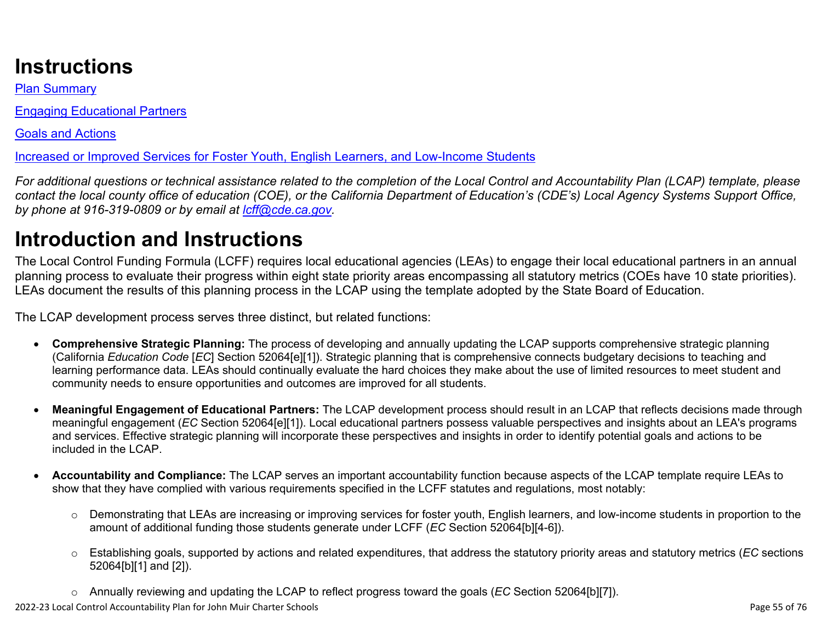# **Instructions**

[Plan Summary](#page-55-0)

[Engaging Educational Partners](#page-57-0)

[Goals and Actions](#page-59-0)

[Increased or Improved Services for Foster Youth, English Learners, and Low-Income Students](#page-64-0)

*For additional questions or technical assistance related to the completion of the Local Control and Accountability Plan (LCAP) template, please contact the local county office of education (COE), or the California Department of Education's (CDE's) Local Agency Systems Support Office, by phone at 916-319-0809 or by email at [lcff@cde.ca.gov](mailto:lcff@cde.ca.gov).*

# **Introduction and Instructions**

The Local Control Funding Formula (LCFF) requires local educational agencies (LEAs) to engage their local educational partners in an annual planning process to evaluate their progress within eight state priority areas encompassing all statutory metrics (COEs have 10 state priorities). LEAs document the results of this planning process in the LCAP using the template adopted by the State Board of Education.

The LCAP development process serves three distinct, but related functions:

- **Comprehensive Strategic Planning:** The process of developing and annually updating the LCAP supports comprehensive strategic planning (California *Education Code* [*EC*] Section 52064[e][1]). Strategic planning that is comprehensive connects budgetary decisions to teaching and learning performance data. LEAs should continually evaluate the hard choices they make about the use of limited resources to meet student and community needs to ensure opportunities and outcomes are improved for all students.
- **Meaningful Engagement of Educational Partners:** The LCAP development process should result in an LCAP that reflects decisions made through meaningful engagement (*EC* Section 52064[e][1]). Local educational partners possess valuable perspectives and insights about an LEA's programs and services. Effective strategic planning will incorporate these perspectives and insights in order to identify potential goals and actions to be included in the LCAP.
- **Accountability and Compliance:** The LCAP serves an important accountability function because aspects of the LCAP template require LEAs to show that they have complied with various requirements specified in the LCFF statutes and regulations, most notably:
	- o Demonstrating that LEAs are increasing or improving services for foster youth, English learners, and low-income students in proportion to the amount of additional funding those students generate under LCFF (*EC* Section 52064[b][4-6]).
	- o Establishing goals, supported by actions and related expenditures, that address the statutory priority areas and statutory metrics (*EC* sections 52064[b][1] and [2]).
	- o Annually reviewing and updating the LCAP to reflect progress toward the goals (*EC* Section 52064[b][7]).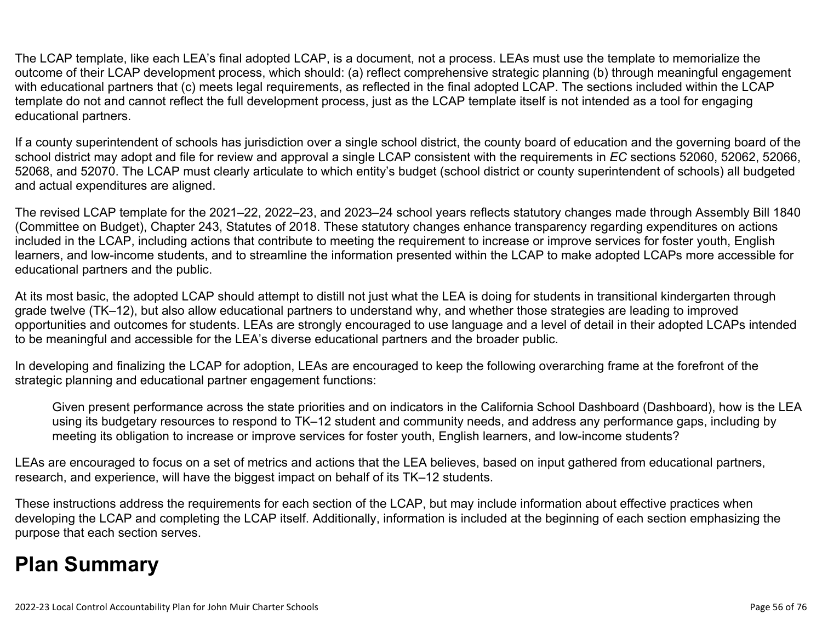The LCAP template, like each LEA's final adopted LCAP, is a document, not a process. LEAs must use the template to memorialize the outcome of their LCAP development process, which should: (a) reflect comprehensive strategic planning (b) through meaningful engagement with educational partners that (c) meets legal requirements, as reflected in the final adopted LCAP. The sections included within the LCAP template do not and cannot reflect the full development process, just as the LCAP template itself is not intended as a tool for engaging educational partners.

If a county superintendent of schools has jurisdiction over a single school district, the county board of education and the governing board of the school district may adopt and file for review and approval a single LCAP consistent with the requirements in *EC* sections 52060, 52062, 52066, 52068, and 52070. The LCAP must clearly articulate to which entity's budget (school district or county superintendent of schools) all budgeted and actual expenditures are aligned.

The revised LCAP template for the 2021–22, 2022–23, and 2023–24 school years reflects statutory changes made through Assembly Bill 1840 (Committee on Budget), Chapter 243, Statutes of 2018. These statutory changes enhance transparency regarding expenditures on actions included in the LCAP, including actions that contribute to meeting the requirement to increase or improve services for foster youth, English learners, and low-income students, and to streamline the information presented within the LCAP to make adopted LCAPs more accessible for educational partners and the public.

At its most basic, the adopted LCAP should attempt to distill not just what the LEA is doing for students in transitional kindergarten through grade twelve (TK–12), but also allow educational partners to understand why, and whether those strategies are leading to improved opportunities and outcomes for students. LEAs are strongly encouraged to use language and a level of detail in their adopted LCAPs intended to be meaningful and accessible for the LEA's diverse educational partners and the broader public.

In developing and finalizing the LCAP for adoption, LEAs are encouraged to keep the following overarching frame at the forefront of the strategic planning and educational partner engagement functions:

Given present performance across the state priorities and on indicators in the California School Dashboard (Dashboard), how is the LEA using its budgetary resources to respond to TK–12 student and community needs, and address any performance gaps, including by meeting its obligation to increase or improve services for foster youth, English learners, and low-income students?

LEAs are encouraged to focus on a set of metrics and actions that the LEA believes, based on input gathered from educational partners, research, and experience, will have the biggest impact on behalf of its TK–12 students.

These instructions address the requirements for each section of the LCAP, but may include information about effective practices when developing the LCAP and completing the LCAP itself. Additionally, information is included at the beginning of each section emphasizing the purpose that each section serves.

# <span id="page-55-0"></span>**Plan Summary**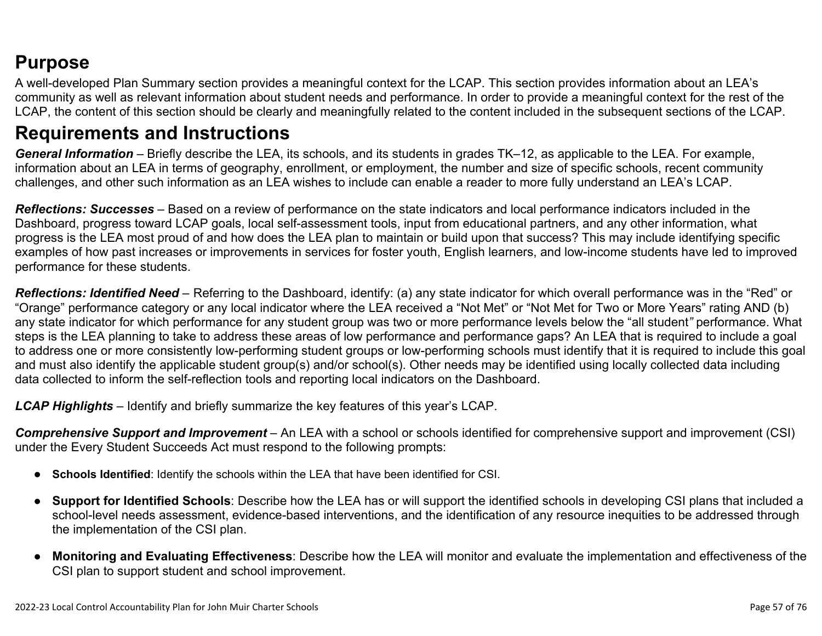## **Purpose**

A well-developed Plan Summary section provides a meaningful context for the LCAP. This section provides information about an LEA's community as well as relevant information about student needs and performance. In order to provide a meaningful context for the rest of the LCAP, the content of this section should be clearly and meaningfully related to the content included in the subsequent sections of the LCAP.

## **Requirements and Instructions**

*General Information* – Briefly describe the LEA, its schools, and its students in grades TK–12, as applicable to the LEA. For example, information about an LEA in terms of geography, enrollment, or employment, the number and size of specific schools, recent community challenges, and other such information as an LEA wishes to include can enable a reader to more fully understand an LEA's LCAP.

*Reflections: Successes* – Based on a review of performance on the state indicators and local performance indicators included in the Dashboard, progress toward LCAP goals, local self-assessment tools, input from educational partners, and any other information, what progress is the LEA most proud of and how does the LEA plan to maintain or build upon that success? This may include identifying specific examples of how past increases or improvements in services for foster youth, English learners, and low-income students have led to improved performance for these students.

*Reflections: Identified Need* – Referring to the Dashboard, identify: (a) any state indicator for which overall performance was in the "Red" or "Orange" performance category or any local indicator where the LEA received a "Not Met" or "Not Met for Two or More Years" rating AND (b) any state indicator for which performance for any student group was two or more performance levels below the "all student*"* performance. What steps is the LEA planning to take to address these areas of low performance and performance gaps? An LEA that is required to include a goal to address one or more consistently low-performing student groups or low-performing schools must identify that it is required to include this goal and must also identify the applicable student group(s) and/or school(s). Other needs may be identified using locally collected data including data collected to inform the self-reflection tools and reporting local indicators on the Dashboard.

*LCAP Highlights* – Identify and briefly summarize the key features of this year's LCAP.

*Comprehensive Support and Improvement* – An LEA with a school or schools identified for comprehensive support and improvement (CSI) under the Every Student Succeeds Act must respond to the following prompts:

- **Schools Identified**: Identify the schools within the LEA that have been identified for CSI.
- **Support for Identified Schools**: Describe how the LEA has or will support the identified schools in developing CSI plans that included a school-level needs assessment, evidence-based interventions, and the identification of any resource inequities to be addressed through the implementation of the CSI plan.
- **Monitoring and Evaluating Effectiveness**: Describe how the LEA will monitor and evaluate the implementation and effectiveness of the CSI plan to support student and school improvement.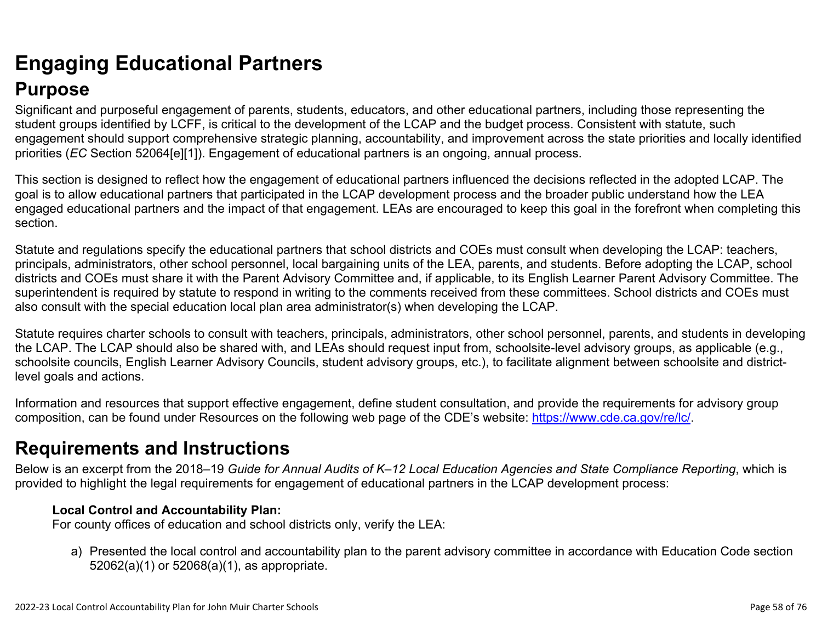## <span id="page-57-0"></span>**Engaging Educational Partners Purpose**

Significant and purposeful engagement of parents, students, educators, and other educational partners, including those representing the student groups identified by LCFF, is critical to the development of the LCAP and the budget process. Consistent with statute, such engagement should support comprehensive strategic planning, accountability, and improvement across the state priorities and locally identified priorities (*EC* Section 52064[e][1]). Engagement of educational partners is an ongoing, annual process.

This section is designed to reflect how the engagement of educational partners influenced the decisions reflected in the adopted LCAP. The goal is to allow educational partners that participated in the LCAP development process and the broader public understand how the LEA engaged educational partners and the impact of that engagement. LEAs are encouraged to keep this goal in the forefront when completing this section.

Statute and regulations specify the educational partners that school districts and COEs must consult when developing the LCAP: teachers, principals, administrators, other school personnel, local bargaining units of the LEA, parents, and students. Before adopting the LCAP, school districts and COEs must share it with the Parent Advisory Committee and, if applicable, to its English Learner Parent Advisory Committee. The superintendent is required by statute to respond in writing to the comments received from these committees. School districts and COEs must also consult with the special education local plan area administrator(s) when developing the LCAP.

Statute requires charter schools to consult with teachers, principals, administrators, other school personnel, parents, and students in developing the LCAP. The LCAP should also be shared with, and LEAs should request input from, schoolsite-level advisory groups, as applicable (e.g., schoolsite councils, English Learner Advisory Councils, student advisory groups, etc.), to facilitate alignment between schoolsite and districtlevel goals and actions.

Information and resources that support effective engagement, define student consultation, and provide the requirements for advisory group composition, can be found under Resources on the following web page of the CDE's website: <https://www.cde.ca.gov/re/lc/>.

## **Requirements and Instructions**

Below is an excerpt from the 2018–19 *Guide for Annual Audits of K–12 Local Education Agencies and State Compliance Reporting*, which is provided to highlight the legal requirements for engagement of educational partners in the LCAP development process:

### **Local Control and Accountability Plan:**

For county offices of education and school districts only, verify the LEA:

a) Presented the local control and accountability plan to the parent advisory committee in accordance with Education Code section 52062(a)(1) or 52068(a)(1), as appropriate.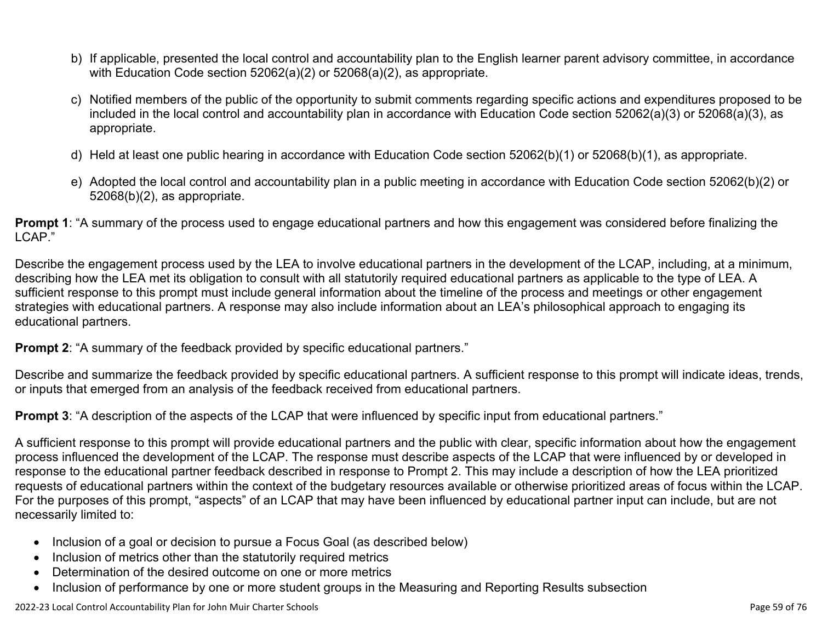- b) If applicable, presented the local control and accountability plan to the English learner parent advisory committee, in accordance with Education Code section 52062(a)(2) or 52068(a)(2), as appropriate.
- c) Notified members of the public of the opportunity to submit comments regarding specific actions and expenditures proposed to be included in the local control and accountability plan in accordance with Education Code section 52062(a)(3) or 52068(a)(3), as appropriate.
- d) Held at least one public hearing in accordance with Education Code section 52062(b)(1) or 52068(b)(1), as appropriate.
- e) Adopted the local control and accountability plan in a public meeting in accordance with Education Code section 52062(b)(2) or 52068(b)(2), as appropriate.

**Prompt 1**: "A summary of the process used to engage educational partners and how this engagement was considered before finalizing the LCAP."

Describe the engagement process used by the LEA to involve educational partners in the development of the LCAP, including, at a minimum, describing how the LEA met its obligation to consult with all statutorily required educational partners as applicable to the type of LEA. A sufficient response to this prompt must include general information about the timeline of the process and meetings or other engagement strategies with educational partners. A response may also include information about an LEA's philosophical approach to engaging its educational partners.

**Prompt 2:** "A summary of the feedback provided by specific educational partners."

Describe and summarize the feedback provided by specific educational partners. A sufficient response to this prompt will indicate ideas, trends, or inputs that emerged from an analysis of the feedback received from educational partners.

**Prompt 3**: "A description of the aspects of the LCAP that were influenced by specific input from educational partners."

A sufficient response to this prompt will provide educational partners and the public with clear, specific information about how the engagement process influenced the development of the LCAP. The response must describe aspects of the LCAP that were influenced by or developed in response to the educational partner feedback described in response to Prompt 2. This may include a description of how the LEA prioritized requests of educational partners within the context of the budgetary resources available or otherwise prioritized areas of focus within the LCAP. For the purposes of this prompt, "aspects" of an LCAP that may have been influenced by educational partner input can include, but are not necessarily limited to:

- Inclusion of a goal or decision to pursue a Focus Goal (as described below)
- Inclusion of metrics other than the statutorily required metrics
- Determination of the desired outcome on one or more metrics
- Inclusion of performance by one or more student groups in the Measuring and Reporting Results subsection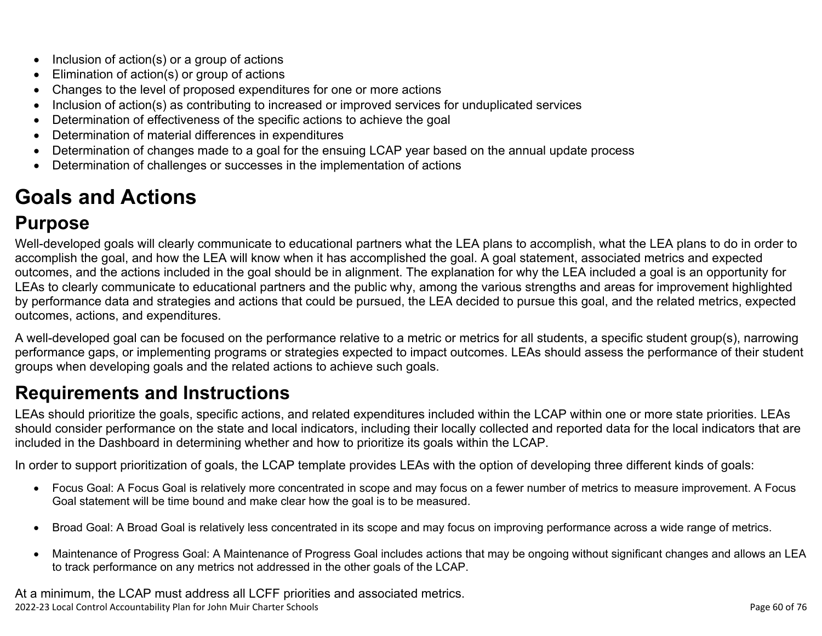- Inclusion of action(s) or a group of actions
- Elimination of action(s) or group of actions
- Changes to the level of proposed expenditures for one or more actions
- Inclusion of action(s) as contributing to increased or improved services for unduplicated services
- Determination of effectiveness of the specific actions to achieve the goal
- Determination of material differences in expenditures
- Determination of changes made to a goal for the ensuing LCAP year based on the annual update process
- Determination of challenges or successes in the implementation of actions

# <span id="page-59-0"></span>**Goals and Actions**

## **Purpose**

Well-developed goals will clearly communicate to educational partners what the LEA plans to accomplish, what the LEA plans to do in order to accomplish the goal, and how the LEA will know when it has accomplished the goal. A goal statement, associated metrics and expected outcomes, and the actions included in the goal should be in alignment. The explanation for why the LEA included a goal is an opportunity for LEAs to clearly communicate to educational partners and the public why, among the various strengths and areas for improvement highlighted by performance data and strategies and actions that could be pursued, the LEA decided to pursue this goal, and the related metrics, expected outcomes, actions, and expenditures.

A well-developed goal can be focused on the performance relative to a metric or metrics for all students, a specific student group(s), narrowing performance gaps, or implementing programs or strategies expected to impact outcomes. LEAs should assess the performance of their student groups when developing goals and the related actions to achieve such goals.

## **Requirements and Instructions**

LEAs should prioritize the goals, specific actions, and related expenditures included within the LCAP within one or more state priorities. LEAs should consider performance on the state and local indicators, including their locally collected and reported data for the local indicators that are included in the Dashboard in determining whether and how to prioritize its goals within the LCAP.

In order to support prioritization of goals, the LCAP template provides LEAs with the option of developing three different kinds of goals:

- Focus Goal: A Focus Goal is relatively more concentrated in scope and may focus on a fewer number of metrics to measure improvement. A Focus Goal statement will be time bound and make clear how the goal is to be measured.
- Broad Goal: A Broad Goal is relatively less concentrated in its scope and may focus on improving performance across a wide range of metrics.
- Maintenance of Progress Goal: A Maintenance of Progress Goal includes actions that may be ongoing without significant changes and allows an LEA to track performance on any metrics not addressed in the other goals of the LCAP.

2022-23 Local Control Accountability Plan for John Muir Charter Schools Page 60 of 76 At a minimum, the LCAP must address all LCFF priorities and associated metrics.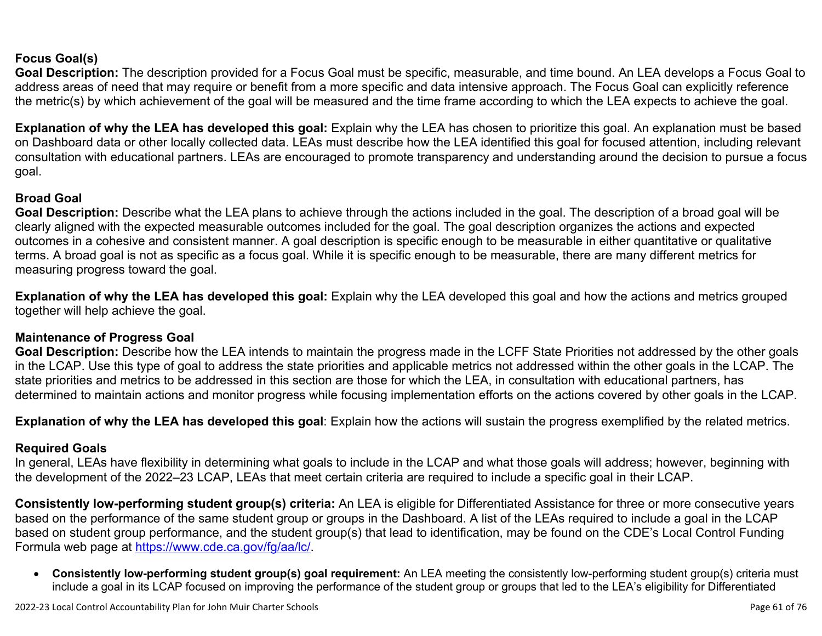### **Focus Goal(s)**

**Goal Description:** The description provided for a Focus Goal must be specific, measurable, and time bound. An LEA develops a Focus Goal to address areas of need that may require or benefit from a more specific and data intensive approach. The Focus Goal can explicitly reference the metric(s) by which achievement of the goal will be measured and the time frame according to which the LEA expects to achieve the goal.

**Explanation of why the LEA has developed this goal:** Explain why the LEA has chosen to prioritize this goal. An explanation must be based on Dashboard data or other locally collected data. LEAs must describe how the LEA identified this goal for focused attention, including relevant consultation with educational partners. LEAs are encouraged to promote transparency and understanding around the decision to pursue a focus goal.

### **Broad Goal**

Goal Description: Describe what the LEA plans to achieve through the actions included in the goal. The description of a broad goal will be clearly aligned with the expected measurable outcomes included for the goal. The goal description organizes the actions and expected outcomes in a cohesive and consistent manner. A goal description is specific enough to be measurable in either quantitative or qualitative terms. A broad goal is not as specific as a focus goal. While it is specific enough to be measurable, there are many different metrics for measuring progress toward the goal.

**Explanation of why the LEA has developed this goal:** Explain why the LEA developed this goal and how the actions and metrics grouped together will help achieve the goal.

#### **Maintenance of Progress Goal**

**Goal Description:** Describe how the LEA intends to maintain the progress made in the LCFF State Priorities not addressed by the other goals in the LCAP. Use this type of goal to address the state priorities and applicable metrics not addressed within the other goals in the LCAP. The state priorities and metrics to be addressed in this section are those for which the LEA, in consultation with educational partners, has determined to maintain actions and monitor progress while focusing implementation efforts on the actions covered by other goals in the LCAP.

**Explanation of why the LEA has developed this goal**: Explain how the actions will sustain the progress exemplified by the related metrics.

### **Required Goals**

In general, LEAs have flexibility in determining what goals to include in the LCAP and what those goals will address; however, beginning with the development of the 2022–23 LCAP, LEAs that meet certain criteria are required to include a specific goal in their LCAP.

**Consistently low-performing student group(s) criteria:** An LEA is eligible for Differentiated Assistance for three or more consecutive years based on the performance of the same student group or groups in the Dashboard. A list of the LEAs required to include a goal in the LCAP based on student group performance, and the student group(s) that lead to identification, may be found on the CDE's Local Control Funding Formula web page at <https://www.cde.ca.gov/fg/aa/lc/>.

• **Consistently low-performing student group(s) goal requirement:** An LEA meeting the consistently low-performing student group(s) criteria must include a goal in its LCAP focused on improving the performance of the student group or groups that led to the LEA's eligibility for Differentiated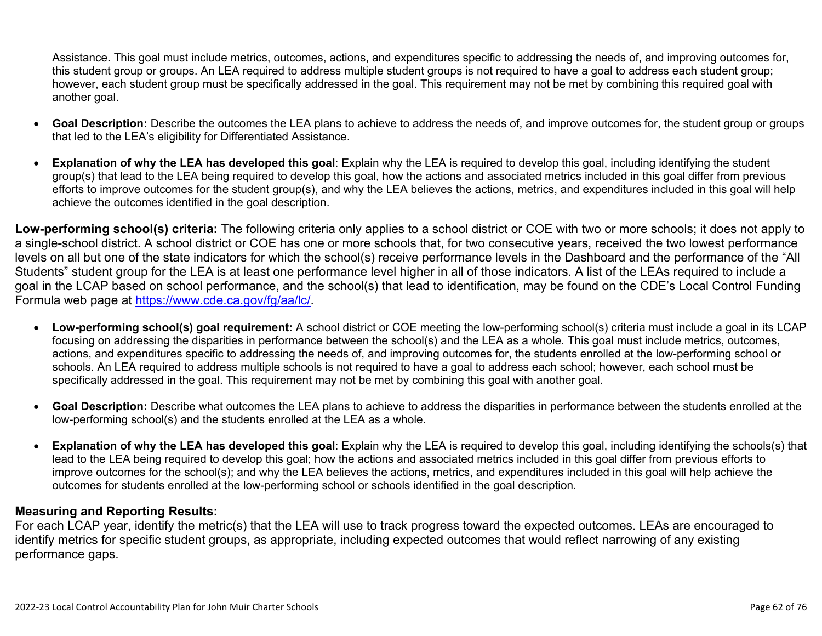Assistance. This goal must include metrics, outcomes, actions, and expenditures specific to addressing the needs of, and improving outcomes for, this student group or groups. An LEA required to address multiple student groups is not required to have a goal to address each student group; however, each student group must be specifically addressed in the goal. This requirement may not be met by combining this required goal with another goal.

- **Goal Description:** Describe the outcomes the LEA plans to achieve to address the needs of, and improve outcomes for, the student group or groups that led to the LEA's eligibility for Differentiated Assistance.
- **Explanation of why the LEA has developed this goal**: Explain why the LEA is required to develop this goal, including identifying the student group(s) that lead to the LEA being required to develop this goal, how the actions and associated metrics included in this goal differ from previous efforts to improve outcomes for the student group(s), and why the LEA believes the actions, metrics, and expenditures included in this goal will help achieve the outcomes identified in the goal description.

**Low-performing school(s) criteria:** The following criteria only applies to a school district or COE with two or more schools; it does not apply to a single-school district. A school district or COE has one or more schools that, for two consecutive years, received the two lowest performance levels on all but one of the state indicators for which the school(s) receive performance levels in the Dashboard and the performance of the "All Students" student group for the LEA is at least one performance level higher in all of those indicators. A list of the LEAs required to include a goal in the LCAP based on school performance, and the school(s) that lead to identification, may be found on the CDE's Local Control Funding Formula web page at <https://www.cde.ca.gov/fg/aa/lc/>.

- **Low-performing school(s) goal requirement:** A school district or COE meeting the low-performing school(s) criteria must include a goal in its LCAP focusing on addressing the disparities in performance between the school(s) and the LEA as a whole. This goal must include metrics, outcomes, actions, and expenditures specific to addressing the needs of, and improving outcomes for, the students enrolled at the low-performing school or schools. An LEA required to address multiple schools is not required to have a goal to address each school; however, each school must be specifically addressed in the goal. This requirement may not be met by combining this goal with another goal.
- **Goal Description:** Describe what outcomes the LEA plans to achieve to address the disparities in performance between the students enrolled at the low-performing school(s) and the students enrolled at the LEA as a whole.
- **Explanation of why the LEA has developed this goal**: Explain why the LEA is required to develop this goal, including identifying the schools(s) that lead to the LEA being required to develop this goal; how the actions and associated metrics included in this goal differ from previous efforts to improve outcomes for the school(s); and why the LEA believes the actions, metrics, and expenditures included in this goal will help achieve the outcomes for students enrolled at the low-performing school or schools identified in the goal description.

#### **Measuring and Reporting Results:**

For each LCAP year, identify the metric(s) that the LEA will use to track progress toward the expected outcomes. LEAs are encouraged to identify metrics for specific student groups, as appropriate, including expected outcomes that would reflect narrowing of any existing performance gaps.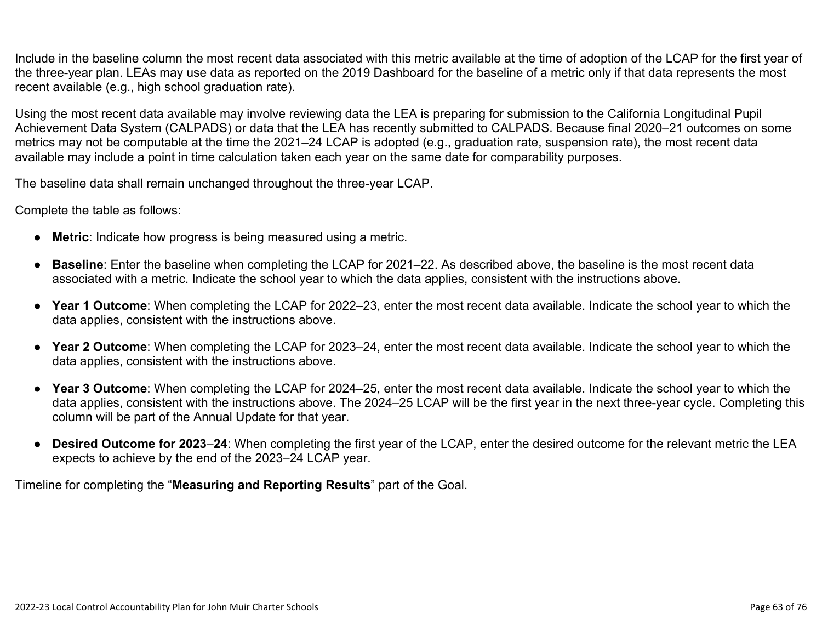Include in the baseline column the most recent data associated with this metric available at the time of adoption of the LCAP for the first year of the three-year plan. LEAs may use data as reported on the 2019 Dashboard for the baseline of a metric only if that data represents the most recent available (e.g., high school graduation rate).

Using the most recent data available may involve reviewing data the LEA is preparing for submission to the California Longitudinal Pupil Achievement Data System (CALPADS) or data that the LEA has recently submitted to CALPADS. Because final 2020–21 outcomes on some metrics may not be computable at the time the 2021–24 LCAP is adopted (e.g., graduation rate, suspension rate), the most recent data available may include a point in time calculation taken each year on the same date for comparability purposes.

The baseline data shall remain unchanged throughout the three-year LCAP.

Complete the table as follows:

- **Metric**: Indicate how progress is being measured using a metric.
- **Baseline**: Enter the baseline when completing the LCAP for 2021–22. As described above, the baseline is the most recent data associated with a metric. Indicate the school year to which the data applies, consistent with the instructions above.
- **Year 1 Outcome**: When completing the LCAP for 2022–23, enter the most recent data available. Indicate the school year to which the data applies, consistent with the instructions above.
- **Year 2 Outcome**: When completing the LCAP for 2023–24, enter the most recent data available. Indicate the school year to which the data applies, consistent with the instructions above.
- **Year 3 Outcome**: When completing the LCAP for 2024–25, enter the most recent data available. Indicate the school year to which the data applies, consistent with the instructions above. The 2024–25 LCAP will be the first year in the next three-year cycle. Completing this column will be part of the Annual Update for that year.
- **Desired Outcome for 2023**–**24**: When completing the first year of the LCAP, enter the desired outcome for the relevant metric the LEA expects to achieve by the end of the 2023–24 LCAP year.

Timeline for completing the "**Measuring and Reporting Results**" part of the Goal.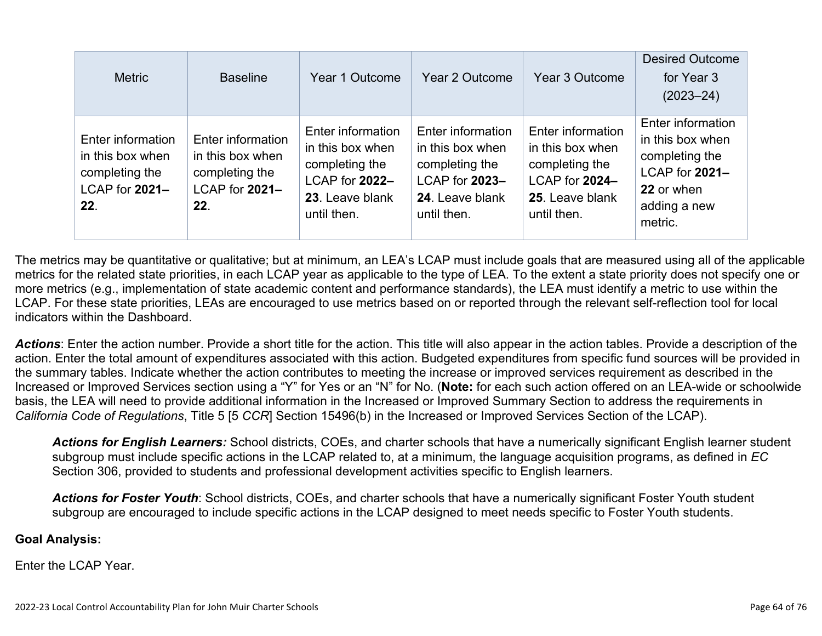| <b>Metric</b>                                                                    | <b>Baseline</b>                                                                  | Year 1 Outcome                                                                                              | Year 2 Outcome                                                                                              | Year 3 Outcome                                                                                              | <b>Desired Outcome</b><br>for Year 3<br>$(2023 - 24)$                                                              |
|----------------------------------------------------------------------------------|----------------------------------------------------------------------------------|-------------------------------------------------------------------------------------------------------------|-------------------------------------------------------------------------------------------------------------|-------------------------------------------------------------------------------------------------------------|--------------------------------------------------------------------------------------------------------------------|
| Enter information<br>in this box when<br>completing the<br>LCAP for 2021-<br>22. | Enter information<br>in this box when<br>completing the<br>LCAP for 2021-<br>22. | Enter information<br>in this box when<br>completing the<br>LCAP for 2022-<br>23. Leave blank<br>until then. | Enter information<br>in this box when<br>completing the<br>LCAP for 2023-<br>24. Leave blank<br>until then. | Enter information<br>in this box when<br>completing the<br>LCAP for 2024-<br>25. Leave blank<br>until then. | Enter information<br>in this box when<br>completing the<br>LCAP for 2021-<br>22 or when<br>adding a new<br>metric. |

The metrics may be quantitative or qualitative; but at minimum, an LEA's LCAP must include goals that are measured using all of the applicable metrics for the related state priorities, in each LCAP year as applicable to the type of LEA. To the extent a state priority does not specify one or more metrics (e.g., implementation of state academic content and performance standards), the LEA must identify a metric to use within the LCAP. For these state priorities, LEAs are encouraged to use metrics based on or reported through the relevant self-reflection tool for local indicators within the Dashboard.

*Actions*: Enter the action number. Provide a short title for the action. This title will also appear in the action tables. Provide a description of the action. Enter the total amount of expenditures associated with this action. Budgeted expenditures from specific fund sources will be provided in the summary tables. Indicate whether the action contributes to meeting the increase or improved services requirement as described in the Increased or Improved Services section using a "Y" for Yes or an "N" for No. (**Note:** for each such action offered on an LEA-wide or schoolwide basis, the LEA will need to provide additional information in the Increased or Improved Summary Section to address the requirements in *California Code of Regulations*, Title 5 [5 *CCR*] Section 15496(b) in the Increased or Improved Services Section of the LCAP).

*Actions for English Learners:* School districts, COEs, and charter schools that have a numerically significant English learner student subgroup must include specific actions in the LCAP related to, at a minimum, the language acquisition programs, as defined in *EC* Section 306, provided to students and professional development activities specific to English learners.

*Actions for Foster Youth*: School districts, COEs, and charter schools that have a numerically significant Foster Youth student subgroup are encouraged to include specific actions in the LCAP designed to meet needs specific to Foster Youth students.

### **Goal Analysis:**

Enter the LCAP Year.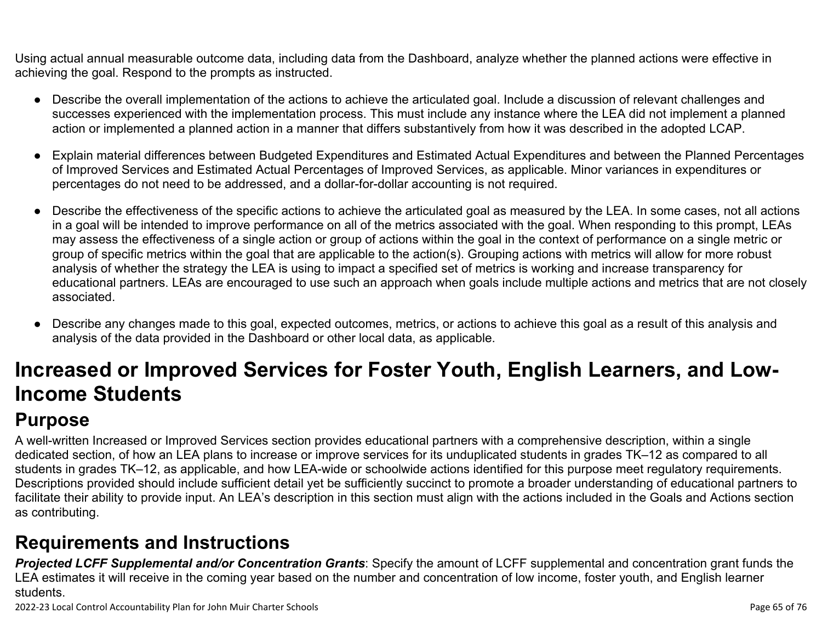Using actual annual measurable outcome data, including data from the Dashboard, analyze whether the planned actions were effective in achieving the goal. Respond to the prompts as instructed.

- Describe the overall implementation of the actions to achieve the articulated goal. Include a discussion of relevant challenges and successes experienced with the implementation process. This must include any instance where the LEA did not implement a planned action or implemented a planned action in a manner that differs substantively from how it was described in the adopted LCAP.
- Explain material differences between Budgeted Expenditures and Estimated Actual Expenditures and between the Planned Percentages of Improved Services and Estimated Actual Percentages of Improved Services, as applicable. Minor variances in expenditures or percentages do not need to be addressed, and a dollar-for-dollar accounting is not required.
- Describe the effectiveness of the specific actions to achieve the articulated goal as measured by the LEA. In some cases, not all actions in a goal will be intended to improve performance on all of the metrics associated with the goal. When responding to this prompt, LEAs may assess the effectiveness of a single action or group of actions within the goal in the context of performance on a single metric or group of specific metrics within the goal that are applicable to the action(s). Grouping actions with metrics will allow for more robust analysis of whether the strategy the LEA is using to impact a specified set of metrics is working and increase transparency for educational partners. LEAs are encouraged to use such an approach when goals include multiple actions and metrics that are not closely associated.
- Describe any changes made to this goal, expected outcomes, metrics, or actions to achieve this goal as a result of this analysis and analysis of the data provided in the Dashboard or other local data, as applicable.

# <span id="page-64-0"></span>**Increased or Improved Services for Foster Youth, English Learners, and Low-Income Students**

## **Purpose**

A well-written Increased or Improved Services section provides educational partners with a comprehensive description, within a single dedicated section, of how an LEA plans to increase or improve services for its unduplicated students in grades TK–12 as compared to all students in grades TK–12, as applicable, and how LEA-wide or schoolwide actions identified for this purpose meet regulatory requirements. Descriptions provided should include sufficient detail yet be sufficiently succinct to promote a broader understanding of educational partners to facilitate their ability to provide input. An LEA's description in this section must align with the actions included in the Goals and Actions section as contributing.

## **Requirements and Instructions**

*Projected LCFF Supplemental and/or Concentration Grants*: Specify the amount of LCFF supplemental and concentration grant funds the LEA estimates it will receive in the coming year based on the number and concentration of low income, foster youth, and English learner students.

2022-23 Local Control Accountability Plan for John Muir Charter Schools Page 65 of 76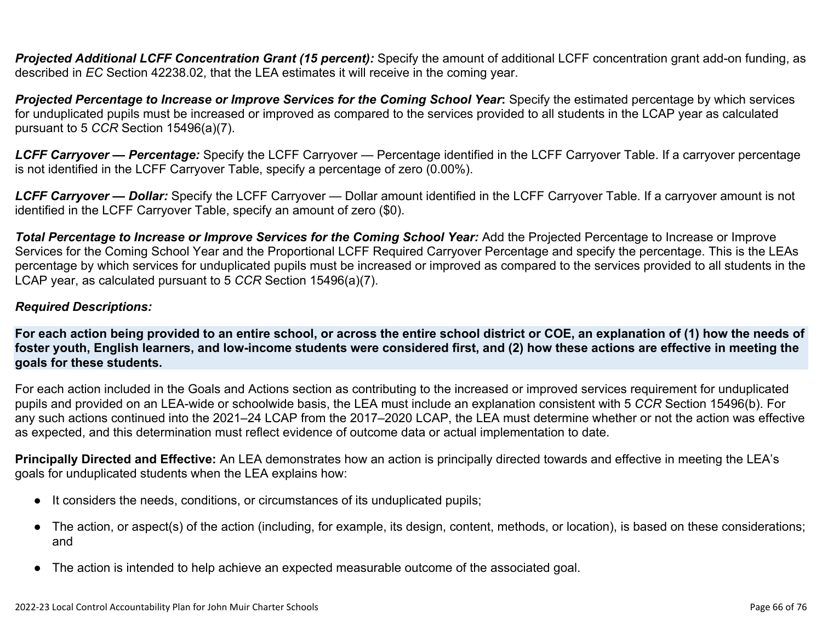**Projected Additional LCFF Concentration Grant (15 percent):** Specify the amount of additional LCFF concentration grant add-on funding, as described in *EC* Section 42238.02, that the LEA estimates it will receive in the coming year.

*Projected Percentage to Increase or Improve Services for the Coming School Year***:** Specify the estimated percentage by which services for unduplicated pupils must be increased or improved as compared to the services provided to all students in the LCAP year as calculated pursuant to 5 *CCR* Section 15496(a)(7).

*LCFF Carryover — Percentage:* Specify the LCFF Carryover — Percentage identified in the LCFF Carryover Table. If a carryover percentage is not identified in the LCFF Carryover Table, specify a percentage of zero (0.00%).

*LCFF Carryover — Dollar:* Specify the LCFF Carryover — Dollar amount identified in the LCFF Carryover Table. If a carryover amount is not identified in the LCFF Carryover Table, specify an amount of zero (\$0).

Total Percentage to Increase or Improve Services for the Coming School Year: Add the Projected Percentage to Increase or Improve Services for the Coming School Year and the Proportional LCFF Required Carryover Percentage and specify the percentage. This is the LEAs percentage by which services for unduplicated pupils must be increased or improved as compared to the services provided to all students in the LCAP year, as calculated pursuant to 5 *CCR* Section 15496(a)(7).

### *Required Descriptions:*

**For each action being provided to an entire school, or across the entire school district or COE, an explanation of (1) how the needs of foster youth, English learners, and low-income students were considered first, and (2) how these actions are effective in meeting the goals for these students.**

For each action included in the Goals and Actions section as contributing to the increased or improved services requirement for unduplicated pupils and provided on an LEA-wide or schoolwide basis, the LEA must include an explanation consistent with 5 *CCR* Section 15496(b). For any such actions continued into the 2021–24 LCAP from the 2017–2020 LCAP, the LEA must determine whether or not the action was effective as expected, and this determination must reflect evidence of outcome data or actual implementation to date.

**Principally Directed and Effective:** An LEA demonstrates how an action is principally directed towards and effective in meeting the LEA's goals for unduplicated students when the LEA explains how:

- It considers the needs, conditions, or circumstances of its unduplicated pupils;
- The action, or aspect(s) of the action (including, for example, its design, content, methods, or location), is based on these considerations; and
- The action is intended to help achieve an expected measurable outcome of the associated goal.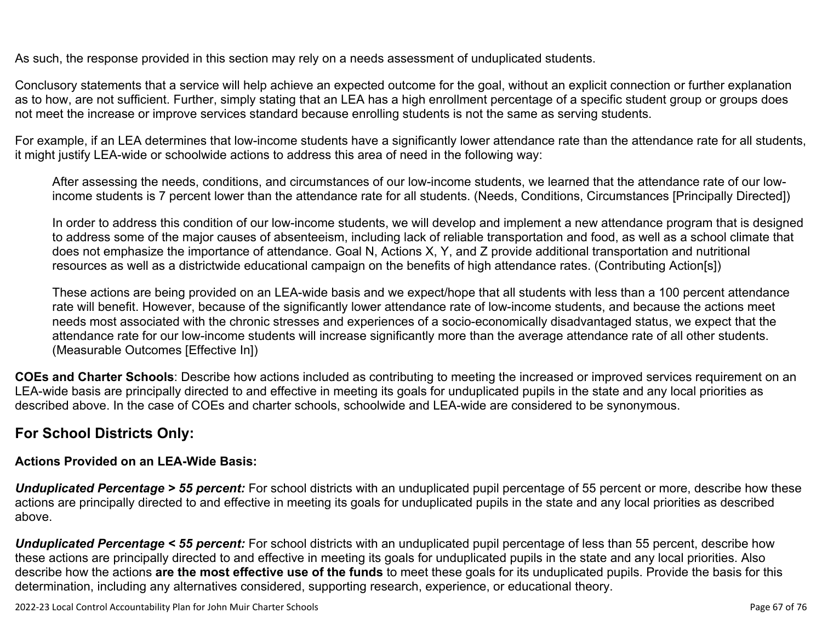As such, the response provided in this section may rely on a needs assessment of unduplicated students.

Conclusory statements that a service will help achieve an expected outcome for the goal, without an explicit connection or further explanation as to how, are not sufficient. Further, simply stating that an LEA has a high enrollment percentage of a specific student group or groups does not meet the increase or improve services standard because enrolling students is not the same as serving students.

For example, if an LEA determines that low-income students have a significantly lower attendance rate than the attendance rate for all students, it might justify LEA-wide or schoolwide actions to address this area of need in the following way:

After assessing the needs, conditions, and circumstances of our low-income students, we learned that the attendance rate of our lowincome students is 7 percent lower than the attendance rate for all students. (Needs, Conditions, Circumstances [Principally Directed])

In order to address this condition of our low-income students, we will develop and implement a new attendance program that is designed to address some of the major causes of absenteeism, including lack of reliable transportation and food, as well as a school climate that does not emphasize the importance of attendance. Goal N, Actions X, Y, and Z provide additional transportation and nutritional resources as well as a districtwide educational campaign on the benefits of high attendance rates. (Contributing Action[s])

These actions are being provided on an LEA-wide basis and we expect/hope that all students with less than a 100 percent attendance rate will benefit. However, because of the significantly lower attendance rate of low-income students, and because the actions meet needs most associated with the chronic stresses and experiences of a socio-economically disadvantaged status, we expect that the attendance rate for our low-income students will increase significantly more than the average attendance rate of all other students. (Measurable Outcomes [Effective In])

**COEs and Charter Schools**: Describe how actions included as contributing to meeting the increased or improved services requirement on an LEA-wide basis are principally directed to and effective in meeting its goals for unduplicated pupils in the state and any local priorities as described above. In the case of COEs and charter schools, schoolwide and LEA-wide are considered to be synonymous.

### **For School Districts Only:**

### **Actions Provided on an LEA-Wide Basis:**

**Unduplicated Percentage > 55 percent:** For school districts with an unduplicated pupil percentage of 55 percent or more, describe how these actions are principally directed to and effective in meeting its goals for unduplicated pupils in the state and any local priorities as described above.

*Unduplicated Percentage < 55 percent:* For school districts with an unduplicated pupil percentage of less than 55 percent, describe how these actions are principally directed to and effective in meeting its goals for unduplicated pupils in the state and any local priorities. Also describe how the actions **are the most effective use of the funds** to meet these goals for its unduplicated pupils. Provide the basis for this determination, including any alternatives considered, supporting research, experience, or educational theory.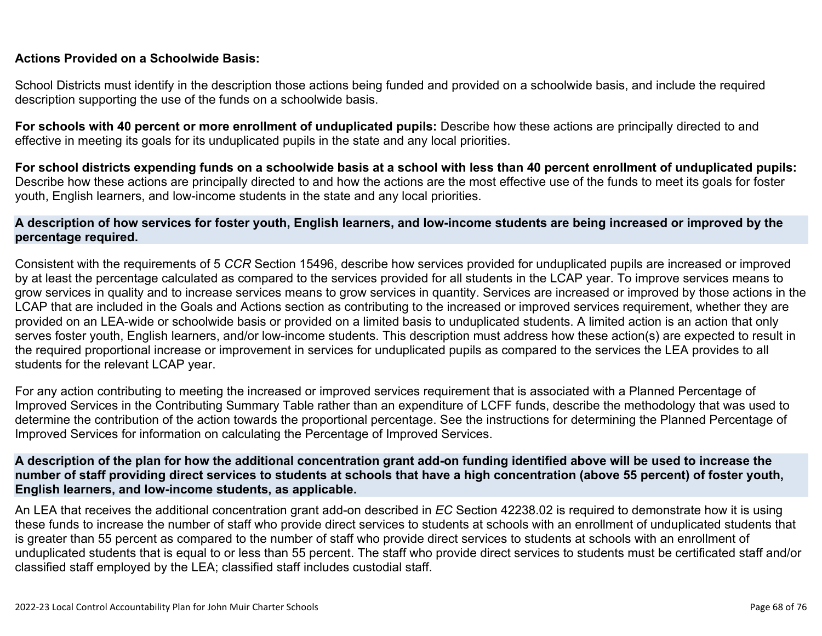#### **Actions Provided on a Schoolwide Basis:**

School Districts must identify in the description those actions being funded and provided on a schoolwide basis, and include the required description supporting the use of the funds on a schoolwide basis.

**For schools with 40 percent or more enrollment of unduplicated pupils:** Describe how these actions are principally directed to and effective in meeting its goals for its unduplicated pupils in the state and any local priorities.

**For school districts expending funds on a schoolwide basis at a school with less than 40 percent enrollment of unduplicated pupils:** Describe how these actions are principally directed to and how the actions are the most effective use of the funds to meet its goals for foster youth, English learners, and low-income students in the state and any local priorities.

#### **A description of how services for foster youth, English learners, and low-income students are being increased or improved by the percentage required.**

Consistent with the requirements of 5 *CCR* Section 15496, describe how services provided for unduplicated pupils are increased or improved by at least the percentage calculated as compared to the services provided for all students in the LCAP year. To improve services means to grow services in quality and to increase services means to grow services in quantity. Services are increased or improved by those actions in the LCAP that are included in the Goals and Actions section as contributing to the increased or improved services requirement, whether they are provided on an LEA-wide or schoolwide basis or provided on a limited basis to unduplicated students. A limited action is an action that only serves foster youth, English learners, and/or low-income students. This description must address how these action(s) are expected to result in the required proportional increase or improvement in services for unduplicated pupils as compared to the services the LEA provides to all students for the relevant LCAP year.

For any action contributing to meeting the increased or improved services requirement that is associated with a Planned Percentage of Improved Services in the Contributing Summary Table rather than an expenditure of LCFF funds, describe the methodology that was used to determine the contribution of the action towards the proportional percentage. See the instructions for determining the Planned Percentage of Improved Services for information on calculating the Percentage of Improved Services.

#### **A description of the plan for how the additional concentration grant add-on funding identified above will be used to increase the number of staff providing direct services to students at schools that have a high concentration (above 55 percent) of foster youth, English learners, and low-income students, as applicable.**

An LEA that receives the additional concentration grant add-on described in *EC* Section 42238.02 is required to demonstrate how it is using these funds to increase the number of staff who provide direct services to students at schools with an enrollment of unduplicated students that is greater than 55 percent as compared to the number of staff who provide direct services to students at schools with an enrollment of unduplicated students that is equal to or less than 55 percent. The staff who provide direct services to students must be certificated staff and/or classified staff employed by the LEA; classified staff includes custodial staff.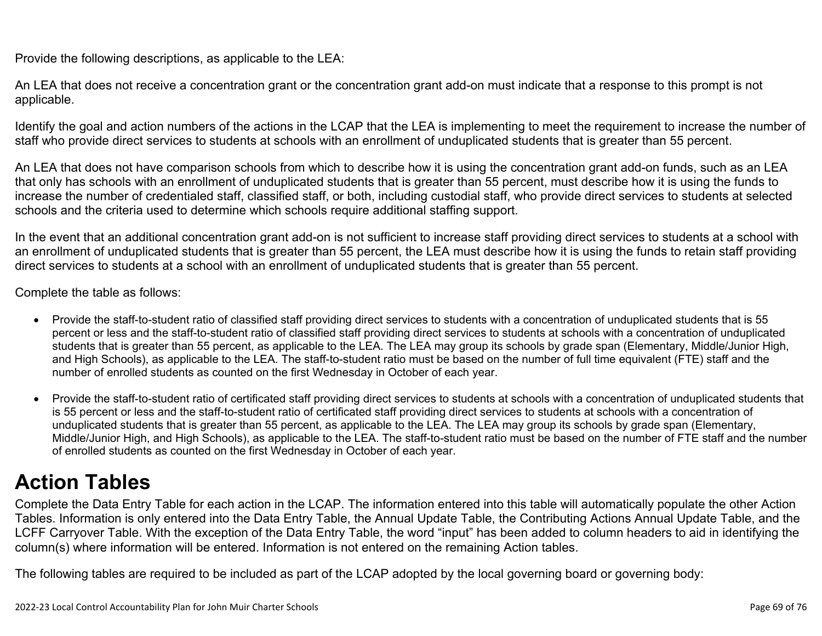Provide the following descriptions, as applicable to the LEA:

An LEA that does not receive a concentration grant or the concentration grant add-on must indicate that a response to this prompt is not applicable.

Identify the goal and action numbers of the actions in the LCAP that the LEA is implementing to meet the requirement to increase the number of staff who provide direct services to students at schools with an enrollment of unduplicated students that is greater than 55 percent.

An LEA that does not have comparison schools from which to describe how it is using the concentration grant add-on funds, such as an LEA that only has schools with an enrollment of unduplicated students that is greater than 55 percent, must describe how it is using the funds to increase the number of credentialed staff, classified staff, or both, including custodial staff, who provide direct services to students at selected schools and the criteria used to determine which schools require additional staffing support.

In the event that an additional concentration grant add-on is not sufficient to increase staff providing direct services to students at a school with an enrollment of unduplicated students that is greater than 55 percent, the LEA must describe how it is using the funds to retain staff providing direct services to students at a school with an enrollment of unduplicated students that is greater than 55 percent.

Complete the table as follows:

- Provide the staff-to-student ratio of classified staff providing direct services to students with a concentration of unduplicated students that is 55 percent or less and the staff-to-student ratio of classified staff providing direct services to students at schools with a concentration of unduplicated students that is greater than 55 percent, as applicable to the LEA. The LEA may group its schools by grade span (Elementary, Middle/Junior High, and High Schools), as applicable to the LEA. The staff-to-student ratio must be based on the number of full time equivalent (FTE) staff and the number of enrolled students as counted on the first Wednesday in October of each year.
- Provide the staff-to-student ratio of certificated staff providing direct services to students at schools with a concentration of unduplicated students that is 55 percent or less and the staff-to-student ratio of certificated staff providing direct services to students at schools with a concentration of unduplicated students that is greater than 55 percent, as applicable to the LEA. The LEA may group its schools by grade span (Elementary, Middle/Junior High, and High Schools), as applicable to the LEA. The staff-to-student ratio must be based on the number of FTE staff and the number of enrolled students as counted on the first Wednesday in October of each year.

# **Action Tables**

Complete the Data Entry Table for each action in the LCAP. The information entered into this table will automatically populate the other Action Tables. Information is only entered into the Data Entry Table, the Annual Update Table, the Contributing Actions Annual Update Table, and the LCFF Carryover Table. With the exception of the Data Entry Table, the word "input" has been added to column headers to aid in identifying the column(s) where information will be entered. Information is not entered on the remaining Action tables.

The following tables are required to be included as part of the LCAP adopted by the local governing board or governing body: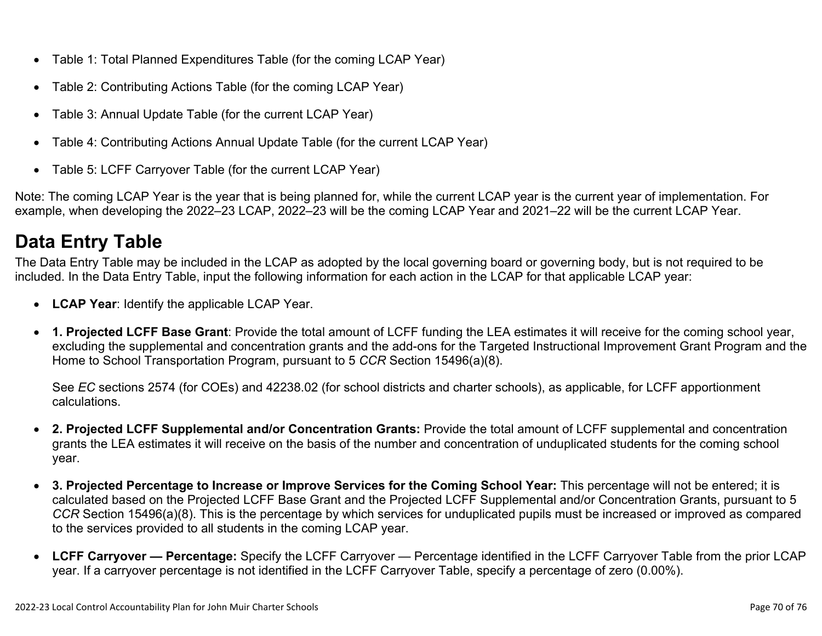- Table 1: Total Planned Expenditures Table (for the coming LCAP Year)
- Table 2: Contributing Actions Table (for the coming LCAP Year)
- Table 3: Annual Update Table (for the current LCAP Year)
- Table 4: Contributing Actions Annual Update Table (for the current LCAP Year)
- Table 5: LCFF Carryover Table (for the current LCAP Year)

Note: The coming LCAP Year is the year that is being planned for, while the current LCAP year is the current year of implementation. For example, when developing the 2022–23 LCAP, 2022–23 will be the coming LCAP Year and 2021–22 will be the current LCAP Year.

## **Data Entry Table**

The Data Entry Table may be included in the LCAP as adopted by the local governing board or governing body, but is not required to be included. In the Data Entry Table, input the following information for each action in the LCAP for that applicable LCAP year:

- **LCAP Year**: Identify the applicable LCAP Year.
- **1. Projected LCFF Base Grant**: Provide the total amount of LCFF funding the LEA estimates it will receive for the coming school year, excluding the supplemental and concentration grants and the add-ons for the Targeted Instructional Improvement Grant Program and the Home to School Transportation Program, pursuant to 5 *CCR* Section 15496(a)(8).

See *EC* sections 2574 (for COEs) and 42238.02 (for school districts and charter schools), as applicable, for LCFF apportionment calculations.

- **2. Projected LCFF Supplemental and/or Concentration Grants:** Provide the total amount of LCFF supplemental and concentration grants the LEA estimates it will receive on the basis of the number and concentration of unduplicated students for the coming school year.
- **3. Projected Percentage to Increase or Improve Services for the Coming School Year:** This percentage will not be entered; it is calculated based on the Projected LCFF Base Grant and the Projected LCFF Supplemental and/or Concentration Grants, pursuant to 5 *CCR* Section 15496(a)(8). This is the percentage by which services for unduplicated pupils must be increased or improved as compared to the services provided to all students in the coming LCAP year.
- **LCFF Carryover Percentage:** Specify the LCFF Carryover Percentage identified in the LCFF Carryover Table from the prior LCAP year. If a carryover percentage is not identified in the LCFF Carryover Table, specify a percentage of zero (0.00%).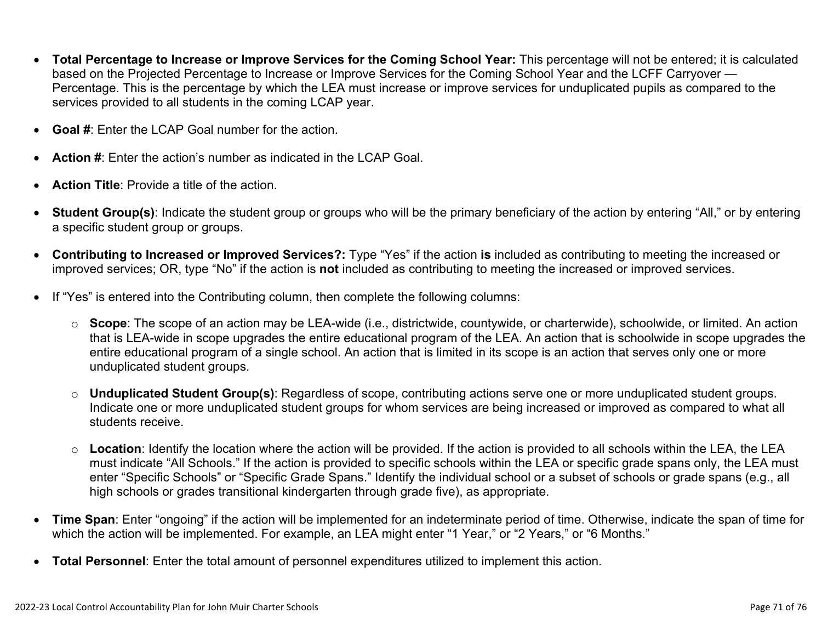- **Total Percentage to Increase or Improve Services for the Coming School Year:** This percentage will not be entered; it is calculated based on the Projected Percentage to Increase or Improve Services for the Coming School Year and the LCFF Carryover — Percentage. This is the percentage by which the LEA must increase or improve services for unduplicated pupils as compared to the services provided to all students in the coming LCAP year.
- **Goal #:** Enter the LCAP Goal number for the action.
- **Action #**: Enter the action's number as indicated in the LCAP Goal.
- **Action Title:** Provide a title of the action
- **Student Group(s)**: Indicate the student group or groups who will be the primary beneficiary of the action by entering "All," or by entering a specific student group or groups.
- **Contributing to Increased or Improved Services?:** Type "Yes" if the action **is** included as contributing to meeting the increased or improved services; OR, type "No" if the action is **not** included as contributing to meeting the increased or improved services.
- If "Yes" is entered into the Contributing column, then complete the following columns:
	- o **Scope**: The scope of an action may be LEA-wide (i.e., districtwide, countywide, or charterwide), schoolwide, or limited. An action that is LEA-wide in scope upgrades the entire educational program of the LEA. An action that is schoolwide in scope upgrades the entire educational program of a single school. An action that is limited in its scope is an action that serves only one or more unduplicated student groups.
	- o **Unduplicated Student Group(s)**: Regardless of scope, contributing actions serve one or more unduplicated student groups. Indicate one or more unduplicated student groups for whom services are being increased or improved as compared to what all students receive.
	- o **Location**: Identify the location where the action will be provided. If the action is provided to all schools within the LEA, the LEA must indicate "All Schools." If the action is provided to specific schools within the LEA or specific grade spans only, the LEA must enter "Specific Schools" or "Specific Grade Spans." Identify the individual school or a subset of schools or grade spans (e.g., all high schools or grades transitional kindergarten through grade five), as appropriate.
- **Time Span**: Enter "ongoing" if the action will be implemented for an indeterminate period of time. Otherwise, indicate the span of time for which the action will be implemented. For example, an LEA might enter "1 Year," or "2 Years," or "6 Months."
- **Total Personnel**: Enter the total amount of personnel expenditures utilized to implement this action.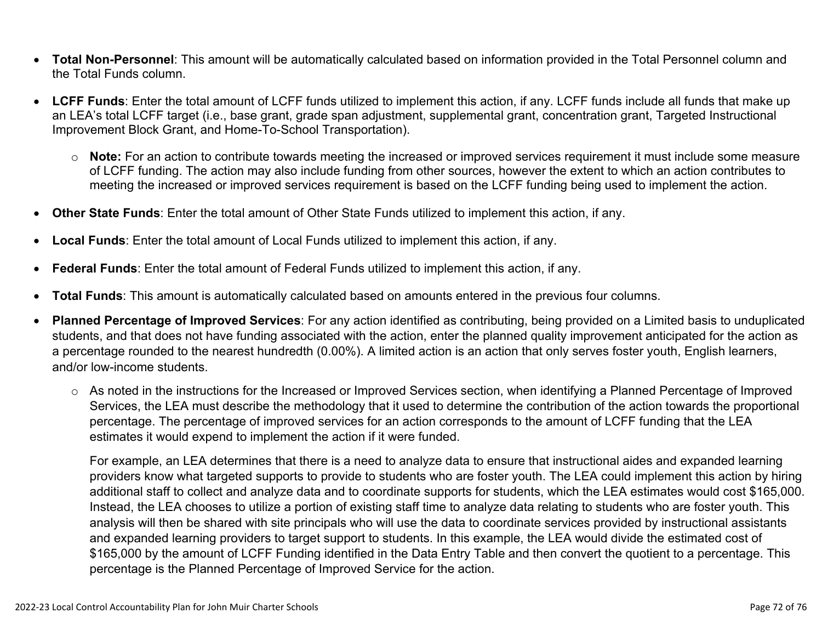- **Total Non-Personnel**: This amount will be automatically calculated based on information provided in the Total Personnel column and the Total Funds column.
- **LCFF Funds**: Enter the total amount of LCFF funds utilized to implement this action, if any. LCFF funds include all funds that make up an LEA's total LCFF target (i.e., base grant, grade span adjustment, supplemental grant, concentration grant, Targeted Instructional Improvement Block Grant, and Home-To-School Transportation).
	- o **Note:** For an action to contribute towards meeting the increased or improved services requirement it must include some measure of LCFF funding. The action may also include funding from other sources, however the extent to which an action contributes to meeting the increased or improved services requirement is based on the LCFF funding being used to implement the action.
- **Other State Funds**: Enter the total amount of Other State Funds utilized to implement this action, if any.
- **Local Funds**: Enter the total amount of Local Funds utilized to implement this action, if any.
- **Federal Funds**: Enter the total amount of Federal Funds utilized to implement this action, if any.
- **Total Funds**: This amount is automatically calculated based on amounts entered in the previous four columns.
- **Planned Percentage of Improved Services**: For any action identified as contributing, being provided on a Limited basis to unduplicated students, and that does not have funding associated with the action, enter the planned quality improvement anticipated for the action as a percentage rounded to the nearest hundredth (0.00%). A limited action is an action that only serves foster youth, English learners, and/or low-income students.
	- o As noted in the instructions for the Increased or Improved Services section, when identifying a Planned Percentage of Improved Services, the LEA must describe the methodology that it used to determine the contribution of the action towards the proportional percentage. The percentage of improved services for an action corresponds to the amount of LCFF funding that the LEA estimates it would expend to implement the action if it were funded.

For example, an LEA determines that there is a need to analyze data to ensure that instructional aides and expanded learning providers know what targeted supports to provide to students who are foster youth. The LEA could implement this action by hiring additional staff to collect and analyze data and to coordinate supports for students, which the LEA estimates would cost \$165,000. Instead, the LEA chooses to utilize a portion of existing staff time to analyze data relating to students who are foster youth. This analysis will then be shared with site principals who will use the data to coordinate services provided by instructional assistants and expanded learning providers to target support to students. In this example, the LEA would divide the estimated cost of \$165,000 by the amount of LCFF Funding identified in the Data Entry Table and then convert the quotient to a percentage. This percentage is the Planned Percentage of Improved Service for the action.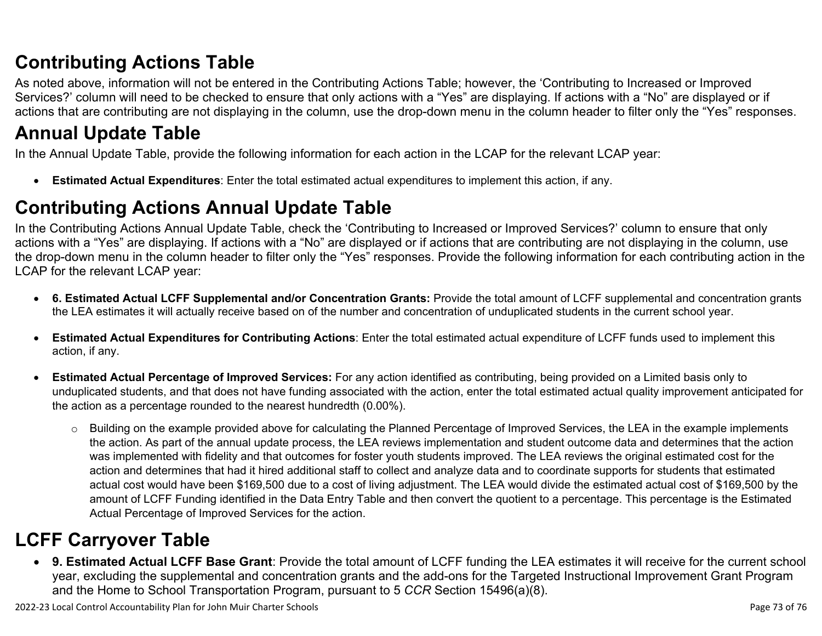# **Contributing Actions Table**

As noted above, information will not be entered in the Contributing Actions Table; however, the 'Contributing to Increased or Improved Services?' column will need to be checked to ensure that only actions with a "Yes" are displaying. If actions with a "No" are displayed or if actions that are contributing are not displaying in the column, use the drop-down menu in the column header to filter only the "Yes" responses.

# **Annual Update Table**

In the Annual Update Table, provide the following information for each action in the LCAP for the relevant LCAP year:

• **Estimated Actual Expenditures**: Enter the total estimated actual expenditures to implement this action, if any.

# **Contributing Actions Annual Update Table**

In the Contributing Actions Annual Update Table, check the 'Contributing to Increased or Improved Services?' column to ensure that only actions with a "Yes" are displaying. If actions with a "No" are displayed or if actions that are contributing are not displaying in the column, use the drop-down menu in the column header to filter only the "Yes" responses. Provide the following information for each contributing action in the LCAP for the relevant LCAP year:

- **6. Estimated Actual LCFF Supplemental and/or Concentration Grants:** Provide the total amount of LCFF supplemental and concentration grants the LEA estimates it will actually receive based on of the number and concentration of unduplicated students in the current school year.
- **Estimated Actual Expenditures for Contributing Actions**: Enter the total estimated actual expenditure of LCFF funds used to implement this action, if any.
- **Estimated Actual Percentage of Improved Services:** For any action identified as contributing, being provided on a Limited basis only to unduplicated students, and that does not have funding associated with the action, enter the total estimated actual quality improvement anticipated for the action as a percentage rounded to the nearest hundredth (0.00%).
	- $\circ$  Building on the example provided above for calculating the Planned Percentage of Improved Services, the LEA in the example implements the action. As part of the annual update process, the LEA reviews implementation and student outcome data and determines that the action was implemented with fidelity and that outcomes for foster youth students improved. The LEA reviews the original estimated cost for the action and determines that had it hired additional staff to collect and analyze data and to coordinate supports for students that estimated actual cost would have been \$169,500 due to a cost of living adjustment. The LEA would divide the estimated actual cost of \$169,500 by the amount of LCFF Funding identified in the Data Entry Table and then convert the quotient to a percentage. This percentage is the Estimated Actual Percentage of Improved Services for the action.

# **LCFF Carryover Table**

• **9. Estimated Actual LCFF Base Grant**: Provide the total amount of LCFF funding the LEA estimates it will receive for the current school year, excluding the supplemental and concentration grants and the add-ons for the Targeted Instructional Improvement Grant Program and the Home to School Transportation Program, pursuant to 5 *CCR* Section 15496(a)(8).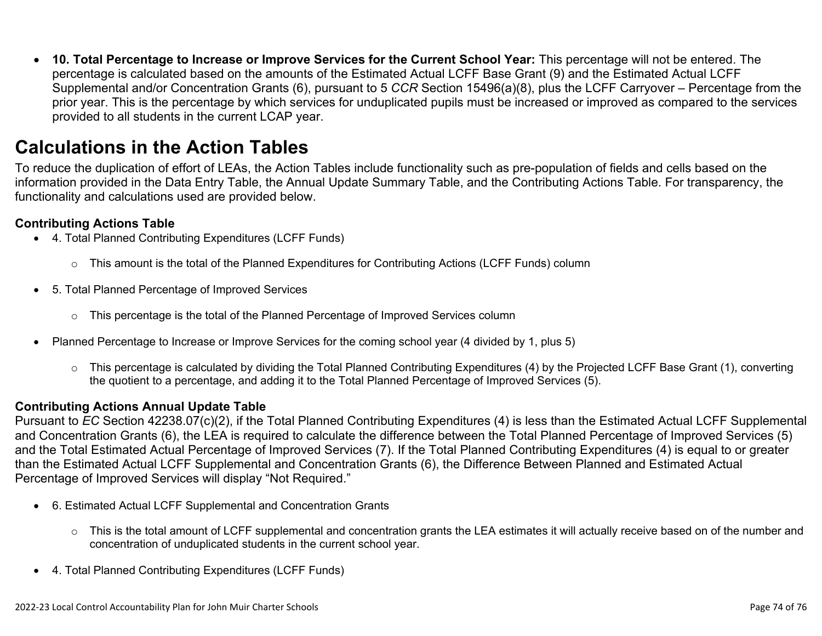• **10. Total Percentage to Increase or Improve Services for the Current School Year:** This percentage will not be entered. The percentage is calculated based on the amounts of the Estimated Actual LCFF Base Grant (9) and the Estimated Actual LCFF Supplemental and/or Concentration Grants (6), pursuant to 5 *CCR* Section 15496(a)(8), plus the LCFF Carryover – Percentage from the prior year. This is the percentage by which services for unduplicated pupils must be increased or improved as compared to the services provided to all students in the current LCAP year.

### **Calculations in the Action Tables**

To reduce the duplication of effort of LEAs, the Action Tables include functionality such as pre-population of fields and cells based on the information provided in the Data Entry Table, the Annual Update Summary Table, and the Contributing Actions Table. For transparency, the functionality and calculations used are provided below.

### **Contributing Actions Table**

- 4. Total Planned Contributing Expenditures (LCFF Funds)
	- $\circ$  This amount is the total of the Planned Expenditures for Contributing Actions (LCFF Funds) column
- 5. Total Planned Percentage of Improved Services
	- o This percentage is the total of the Planned Percentage of Improved Services column
- Planned Percentage to Increase or Improve Services for the coming school year (4 divided by 1, plus 5)
	- $\circ$  This percentage is calculated by dividing the Total Planned Contributing Expenditures (4) by the Projected LCFF Base Grant (1), converting the quotient to a percentage, and adding it to the Total Planned Percentage of Improved Services (5).

### **Contributing Actions Annual Update Table**

Pursuant to *EC* Section 42238.07(c)(2), if the Total Planned Contributing Expenditures (4) is less than the Estimated Actual LCFF Supplemental and Concentration Grants (6), the LEA is required to calculate the difference between the Total Planned Percentage of Improved Services (5) and the Total Estimated Actual Percentage of Improved Services (7). If the Total Planned Contributing Expenditures (4) is equal to or greater than the Estimated Actual LCFF Supplemental and Concentration Grants (6), the Difference Between Planned and Estimated Actual Percentage of Improved Services will display "Not Required."

- 6. Estimated Actual LCFF Supplemental and Concentration Grants
	- $\circ$  This is the total amount of LCFF supplemental and concentration grants the LEA estimates it will actually receive based on of the number and concentration of unduplicated students in the current school year.
- 4. Total Planned Contributing Expenditures (LCFF Funds)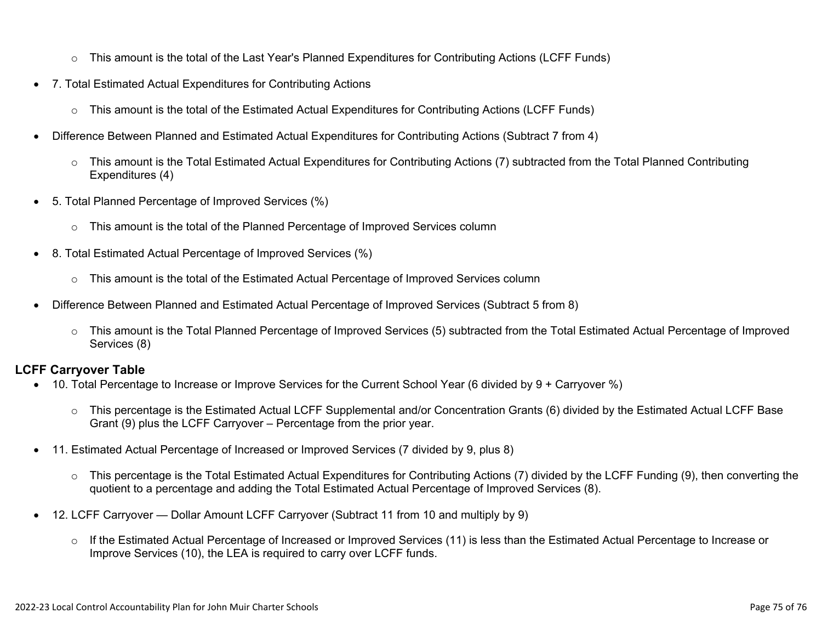- $\circ$  This amount is the total of the Last Year's Planned Expenditures for Contributing Actions (LCFF Funds)
- 7. Total Estimated Actual Expenditures for Contributing Actions
	- $\circ$  This amount is the total of the Estimated Actual Expenditures for Contributing Actions (LCFF Funds)
- Difference Between Planned and Estimated Actual Expenditures for Contributing Actions (Subtract 7 from 4)
	- $\circ$  This amount is the Total Estimated Actual Expenditures for Contributing Actions (7) subtracted from the Total Planned Contributing Expenditures (4)
- 5. Total Planned Percentage of Improved Services (%)
	- $\circ$  This amount is the total of the Planned Percentage of Improved Services column
- 8. Total Estimated Actual Percentage of Improved Services (%)
	- $\circ$  This amount is the total of the Estimated Actual Percentage of Improved Services column
- Difference Between Planned and Estimated Actual Percentage of Improved Services (Subtract 5 from 8)
	- o This amount is the Total Planned Percentage of Improved Services (5) subtracted from the Total Estimated Actual Percentage of Improved Services (8)

### **LCFF Carryover Table**

- 10. Total Percentage to Increase or Improve Services for the Current School Year (6 divided by 9 + Carryover %)
	- $\circ$  This percentage is the Estimated Actual LCFF Supplemental and/or Concentration Grants (6) divided by the Estimated Actual LCFF Base Grant (9) plus the LCFF Carryover – Percentage from the prior year.
- 11. Estimated Actual Percentage of Increased or Improved Services (7 divided by 9, plus 8)
	- $\circ$  This percentage is the Total Estimated Actual Expenditures for Contributing Actions (7) divided by the LCFF Funding (9), then converting the quotient to a percentage and adding the Total Estimated Actual Percentage of Improved Services (8).
- 12. LCFF Carryover Dollar Amount LCFF Carryover (Subtract 11 from 10 and multiply by 9)
	- $\circ$  If the Estimated Actual Percentage of Increased or Improved Services (11) is less than the Estimated Actual Percentage to Increase or Improve Services (10), the LEA is required to carry over LCFF funds.